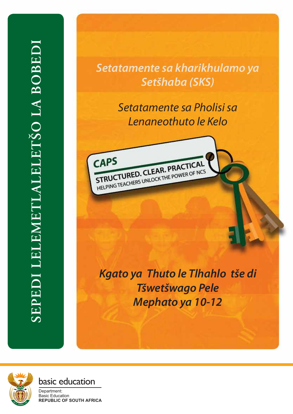*Setatamente sa kharikhulamo ya Setšhaba (SKS)*

> *Setatamente sa Pholisi sa Lenaneothuto le Kelo*



*Kgato ya Thuto le Tlhahlo tše di Tšwetšwago Pele Mephato ya 10-12*





Basic Education Department: **REPUBLIC OF SOUTH AFRICA**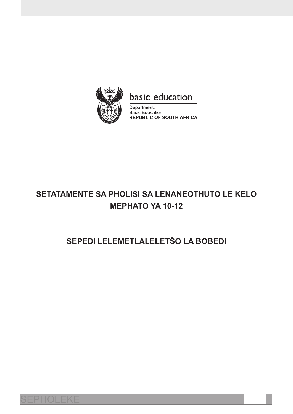

# basic education

Department: **Basic Education REPUBLIC OF SOUTH AFRICA** 

# **SETATAMENTE SA PHOLISI SA LENANEOTHUTO LE KELO MEPHATO YA 10-12**

# **SEPEDI LELEMETLALELETŠO LA BOBEDI**

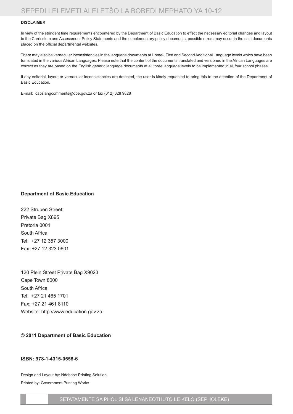## **DISCLAIMER**

In view of the stringent time requirements encountered by the Department of Basic Education to effect the necessary editorial changes and layout to the Curriculum and Assessment Policy Statements and the supplementary policy documents, possible errors may occur in the said documents placed on the official departmental websites.

There may also be vernacular inconsistencies in the language documents at Home-, First and Second Additional Language levels which have been translated in the various African Languages. Please note that the content of the documents translated and versioned in the African Languages are correct as they are based on the English generic language documents at all three language levels to be implemented in all four school phases.

If any editorial, layout or vernacular inconsistencies are detected, the user is kindly requested to bring this to the attention of the Department of Basic Education.

E-mail: capslangcomments@dbe.gov.za or fax (012) 328 9828

#### **Department of Basic Education**

222 Struben Street Private Bag X895 Pretoria 0001 South Africa Tel: +27 12 357 3000 Fax: +27 12 323 0601

120 Plein Street Private Bag X9023 Cape Town 8000 South Africa Tel: +27 21 465 1701 Fax: +27 21 461 8110 Website: http://www.education.gov.za

#### **© 2011 Department of Basic Education**

#### **Isbn: 978-1-4315-0558-6**

Design and Layout by: Ndabase Printing Solution Printed by: Government Printing Works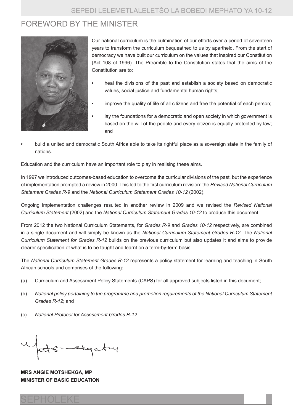# FOREWORD by the minister



Our national curriculum is the culmination of our efforts over a period of seventeen years to transform the curriculum bequeathed to us by apartheid. From the start of democracy we have built our curriculum on the values that inspired our Constitution (Act 108 of 1996). The Preamble to the Constitution states that the aims of the Constitution are to:

- heal the divisions of the past and establish a society based on democratic values, social justice and fundamental human rights;
- improve the quality of life of all citizens and free the potential of each person;
- **•**  lay the foundations for a democratic and open society in which government is based on the will of the people and every citizen is equally protected by law; and
- **•**  build a united and democratic South Africa able to take its rightful place as a sovereign state in the family of nations.

Education and the curriculum have an important role to play in realising these aims.

In 1997 we introduced outcomes-based education to overcome the curricular divisions of the past, but the experience of implementation prompted a review in 2000. This led to the first curriculum revision: the *Revised National Curriculum Statement Grades R-9* and the *National Curriculum Statement Grades 10-12* (2002).

Ongoing implementation challenges resulted in another review in 2009 and we revised the *Revised National Curriculum Statement* (2002) and the *National Curriculum Statement Grades 10-12* to produce this document.

From 2012 the two National Curriculum Statements, for *Grades R-9* and *Grades 10-12* respectively, are combined in a single document and will simply be known as the *National Curriculum Statement Grades R-12.* The *National Curriculum Statement for Grades R-12* builds on the previous curriculum but also updates it and aims to provide clearer specification of what is to be taught and learnt on a term-by-term basis.

The *National Curriculum Statement Grades R-12* represents a policy statement for learning and teaching in South African schools and comprises of the following:

- (a) Curriculum and Assessment Policy Statements (CAPS) for all approved subjects listed in this document;
- (b) *National policy pertaining to the programme and promotion requirements of the National Curriculum Statement Grades R-12*; and
- (c) *National Protocol for Assessment Grades R-12.*

exgety

**MRS ANGIE MOTSHEKGA, MP MINISTER OF BASIC EDUCATION**

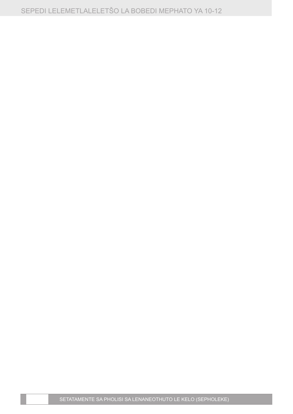SETATAMENTE SA PHOLISI SA LENANEOTHUTO LE KELO (SEPHOLEKE)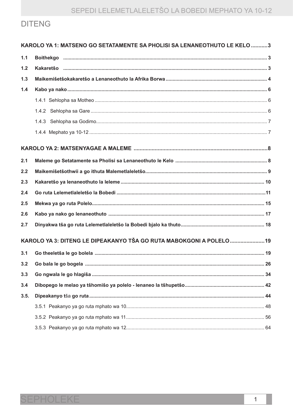# **DITENG**

|      | KAROLO YA 1: MATSENO GO SETATAMENTE SA PHOLISI SA LENANEOTHUTO LE KELO 3 |  |
|------|--------------------------------------------------------------------------|--|
| 1.1  |                                                                          |  |
| 1.2  |                                                                          |  |
| 1.3  |                                                                          |  |
| 1.4  |                                                                          |  |
|      |                                                                          |  |
|      |                                                                          |  |
|      |                                                                          |  |
|      |                                                                          |  |
|      |                                                                          |  |
| 2.1  |                                                                          |  |
| 2.2  |                                                                          |  |
| 2.3  |                                                                          |  |
| 2.4  |                                                                          |  |
|      |                                                                          |  |
| 2.5  |                                                                          |  |
| 2.6  |                                                                          |  |
| 2.7  |                                                                          |  |
|      |                                                                          |  |
| 3.1  |                                                                          |  |
| 3.2  |                                                                          |  |
| 3.3  |                                                                          |  |
| 3.4  |                                                                          |  |
| 3.5. |                                                                          |  |
|      |                                                                          |  |
|      |                                                                          |  |
|      |                                                                          |  |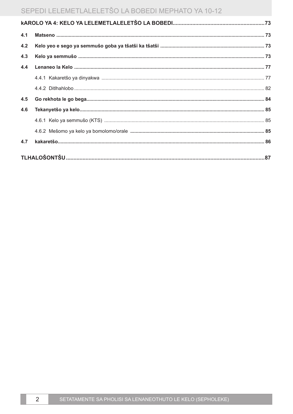| 4.1 |  |
|-----|--|
| 4.2 |  |
| 4.3 |  |
| 4.4 |  |
|     |  |
|     |  |
| 4.5 |  |
| 4.6 |  |
|     |  |
|     |  |
| 4.7 |  |
|     |  |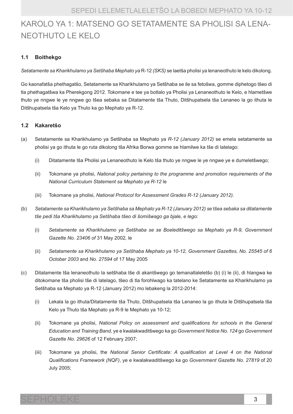# KAROLO ya 1: MATSENO GO SETATAMENTE SA PHOLISI SA LENA-NEOTHUTO LE KELO

## **1.1 Boithekgo**

*Setatamente sa Kharikhulamo ya Setšhaba Mephato ya* R-12 *(SKS)* se laetša pholisi ya lenaneothuto le kelo dikolong.

Go kaonafatša phethagatšo, Setatamente sa Kharikhulamo ya Setšhaba se ile sa fetošwa, gomme diphetogo tšeo di tla phethagatšwa ka Pherekgong 2012. Tokomane e tee ya botlalo ya Pholisi ya Lenaneothuto le Kelo, e hlametšwe thuto ye nngwe le ye nngwe go tšea sebaka sa Ditatamente tša Thuto, Ditšhupatsela tša Lenaneo la go ithuta le Ditšhupatsela tša Kelo ya Thuto ka go Mephato ya R-12.

## **1.2 Kakaretšo**

- (a) Setatamente sa Kharikhulamo ya Setšhaba sa Mephato ya *R-12 (January 2012)* se emela setatamente sa pholisi ya go ithuta le go ruta dikolong tša Afrika Borwa gomme se hlamilwe ka tše di latelago:
	- (i) Ditatamente tša Pholisi ya Lenaneothuto le Kelo tša thuto ye nngwe le ye nngwe ye e dumeletšwego;
	- (ii) Tokomane ya pholisi, *National policy pertaining to the programme and promotion requirements of the National Curriculum Statement sa Mephato ya R-12* le
	- (iii) Tokomane ya pholisi, *National Protocol for Assessment Grades R-12 (January 2012).*
- (b) *Setatamente sa Kharikhulamo ya Setšhaba sa Mephato ya R-12 (January 2012) se tšea sebaka sa ditatamente tše pedi tša Kharikhulamo ya Setšhaba tšeo di šomišwago ga bjale, e lego:* 
	- (i) *Setatamente sa Kharikhulamo ya Setšhaba se se Boeleditšwego sa Mephato ya R-9, Government Gazette No. 23406 of* 31 May 2002*,* le
	- (ii) *Setatamente sa Kharikhulamo ya Setšhaba Mephato ya 10-12, Government Gazettes, No. 25545 of 6 October 2003* and *No. 27594* of 17 May 2005
- (c) Ditatamente tša lenaneothuto la setšhaba tše di akantšwego go temanatlaleletšo (b) (i) le (ii), di hlangwa ke ditokomane tša pholisi tše di latelago, tšeo di tla forohlwago ka tatelano ke Setatamente sa Kharikhulamo ya Setšhaba sa Mephato ya R-12 (January 2012) mo lebakeng la 2012-2014:
	- (i) Lekala la go ithuta/Ditatamente tša Thuto, Ditšhupatsela tša Lenaneo la go ithuta le Ditšhupatsela tša Kelo ya Thuto tša Mephato ya R-9 le Mephato ya 10-12;
	- (ii) Tokomane ya pholisi, *National Policy on assessment and qualifications for schools in the General Education and Training Band,* ye e kwalakwaditšwego ka go *Government Notice No. 124* go *Government Gazette No. 29626* of 12 February 2007;
	- (iii) Tokomane ya pholisi, the *National Senior Certificate: A qualification at Level 4 on the National Qualifications Framework (NQF)*, ye e kwalakwaditšwego ka go *Government Gazette No. 27819* of 20 July 2005;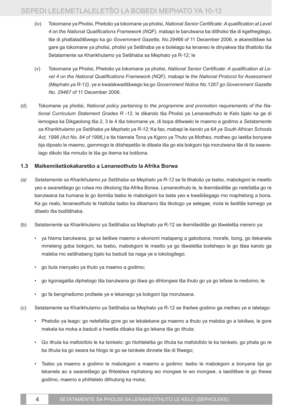- (iv) Tokomane ya Pholisi, Phetošo ya tokomane ya pholisi, *National Senior Certificate*: *A qualification at Level 4 on the National Qualifications Framework (NQF),* mabapi le barutwana ba ditlhoko tše di kgethegilego, tše di phatlaladitšwego ka go *Government Gazette, No.29466* of 11 December 2006, e akareditšwe ka gare ga tokomane ya pholisi, pholisi ya Setšhaba ye e bolelago ka lenaneo le dinyakwa tša tlhatlošo tša Setatamente sa Kharikhulamo ya Setšhaba sa Mephato ya R-12; le
- (v) Tokomane ya Pholisi, Phetošo ya tokomane ya pholisi, *National Senior Certificate*: *A qualification at Level 4 on the National Qualifications Framework (NQF),* mabapi le *the National Protocol for Assessment (Mephato ya R-12)*, ye e kwalakwaditšwego ka go *Government Notice No.1267 go Government Gazette No. 29467* of 11 December 2006.
- (d) Tokomane ya pholisi, *National policy pertaining to the programme and promotion requirements of the National Curriculum Statement Grades R -12,* le dikarolo tša Pholisi ya Lenaneothuto le Kelo bjalo ka ge di lemogwa ka Dikgaolong tša 2, 3 le 4 tša tokomane ye, di bopa ditlwaelo le maemo a godimo a *Setatamente sa Kharikhulamo ya Setšhaba ya Mephato ya R-12;* Ka fao, mabapi le *karolo ya 6A ya South African Schools Act, 1996 (Act No. 84 of 1996,)* e tla hlamela Tona ya Kgoro ya Thuto ya Motheo, motheo go laetša bonyane bja dipoelo le maemo, gammogo le ditshepetšo le ditsela tša go ela bokgoni bja morutwana tše di tla swanelago dikolo tša mmušo le tša go ikema ka botšona.

## **1.3 Maikemišetšokakaretšo a Lenaneothuto la Afrika Borwa**

- *(a) Setatamente sa Kharikhulamo ya Setšhaba sa Mephato ya R-12* se fa tlhalošo ya tsebo, mabokgoni le meetlo yeo e swanetšego go rutwa mo dikolong tša Afrika Borwa. Lenaneothuto le, le ikemišeditše go netefatša go re barutwana ba humana le go šomiša tsebo le mabokgoni ka tsela yeo e kwešišegago mo maphelong a bona. Ka go realo, lenaneothuto le hlatloša tsebo ka dikamano tša tikologo ya selegae, mola le šeditše kamego ya ditaelo tša boditšhaba.
- (b) Setatamente sa Kharikhulamo ya Setšhaba sa Mephato ya R-12 se ikemišeditše go tšweletša merero ya:
	- ya hlama barutwana, go sa šetšwe maemo a ekonomi malapeng a gabobona, morafe, bong, go itekanela mmeleng goba bokgoni, ka tsebo, mabokgoni le meetlo ya go tšweletša boitshepo le go tšea karolo ga maleba mo setšhabeng bjalo ka badudi ba naga ye e lokologilego;
	- go bula menyako ya thuto ya maemo a godimo;
	- go kgonagatša diphetogo tša barutwana go tšwa go dihlongwa tša thuto go ya go lefase la mešomo; le
	- go fa bengmešomo profaele ye e lekanego ya bokgoni bja morutwana.
- (c) Setatamente sa Kharikhulamo ya Setšhaba sa Mephato ya R-12 se theilwe godimo ga metheo ye e latelago:
	- Phetošo ya leago: go netefatša gore go se lekalekane ga maemo a thuto ya maloba go a lokišwa, le gore makala ka moka a badudi a hwetša dibaka tša go lekana tša go ithuta;
	- Go ithuta ka mafolofolo le ka tsinkelo: go hlohleletša go ithuta ka mafolofolo le ka tsinkelo, go phala go re ba ithuta ka go swara ka hlogo le go se tsinkele dinnete tše di filwego;
	- Tsebo ya maemo a godimo le mabokgoni a maemo a godimo: tsebo le mabokgoni a bonyane bja go lekanela ao a swanetšego go fihlelelwa mphatong wo mongwe le wo mongwe, a laeditšwe le go thewa godimo, maemo a phihlelelo dithutong ka moka;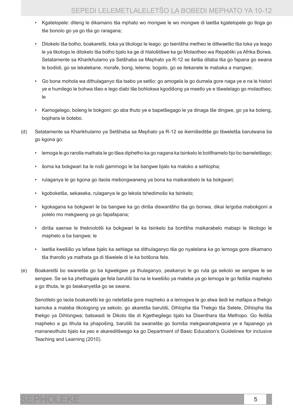- Kgatelopele: diteng le dikamano tša mphato wo mongwe le wo mongwe di laetša kgatelopele go tloga go tše bonolo go ya go tša go raragana;
- Ditokelo tša botho, boakaretši, toka ya tikologo le leago: go tsentšha metheo le ditlwaetšo tša toka ya leago le ya tikologo le ditokelo tša botho bjalo ka ge di hlalošitšwe ka go Molaotheo wa Repabliki ya Afrika Borwa. Setatamente sa Kharikhulamo ya Setšhaba sa Mephato ya R-12 se šetša ditaba tša go fapana go swana le bodiidi, go se lekalekane, morafe, bong, leleme, bogolo, go se itekanele le mabaka a mangwe;
- Go bona mohola wa dithulaganyo tša tsebo ya setšo: go amogela le go dumela gore naga ye e na le histori ye e humilego le bohwa tšeo e lego diabi tše bohlokwa kgodišong ya meetlo ye e tšwelelago go molaotheo; le
- Kamogelego, boleng le bokgoni: go aba thuto ye e bapetšegago le ya dinaga tše dingwe, go ya ka boleng, bophara le botebo.
- (d) Setatamente sa Kharikhulamo ya Setšhaba sa Mephato ya R-12 se ikemišeditše go tšweletša barutwana ba go kgona go:
	- lemoga le go rarolla mathata le go tšea diphetho ka go nagana ka tsinkelo le boitlhamelo bjo bo tseneletšego;
	- šoma ka bokgwari ba le noši gammogo le ba bangwe bjalo ka maloko a sehlopha;
	- rulaganya le go kgona go itaola mešongwaneng ya bona ka maikarabelo le ka bokgwari;
	- kgoboketša, sekaseka, rulaganya le go lekola tshedimošo ka tsinkelo;
	- kgokagana ka bokgwari le ba bangwe ka go diriša diswantšho tša go bonwa, dikai le/goba mabokgoni a polelo mo mekgweng ya go fapafapana;
	- diriša saense le theknolotši ka bokgwari le ka tsinkelo ba bontšha maikarabelo mabapi le tikologo le maphelo a ba bangwe; le
	- laetša kwešišo ya lefase bjalo ka sehlaga sa dithulaganyo tša go nyalelana ka go lemoga gore dikamano tša tharollo ya mathata ga di tšwelele di le ka botšona fela.
- (e) Boakaretši bo swanetše go ba kgwekgwe ya thulaganyo, peakanyo le go ruta ga sekolo se sengwe le se sengwe. Se se ka phethagala ge fela barutiši ba na le kwešišo ya maleba ya go lemoga le go fediša mapheko a go ithuta, le go beakanyetša go se swane.

Senotlelo go laola boakaretši ke go netefatša gore mapheko a a lemogwa le go elwa šedi ke mafapa a thekgo kamoka a maleba tikologong ya sekolo; go akaretša barutiši, Dihlopha tša Thekgo tša Selete, Dihlopha tša thekgo ya Dihlongwa; batswadi le Dikolo tše di Kgethegilego bjalo ka Disenthara tša Methopo. Go fediša mapheko a go ithuta ka phapošing, barutiši ba swanetše go šomiša mekgwanakgwana ye e fapanego ya mananeothuto bjalo ka yeo e akareditšwego ka go Department of Basic Education's Guidelines for inclusive Teaching and Learning (2010).

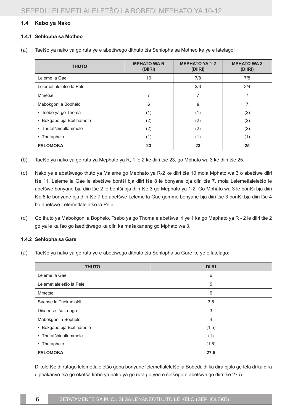## **1.4 Kabo ya Nako**

## **1.4.1 Sehlopha sa Motheo**

|  |  |  | (a) Taetšo ya nako ya go ruta ye e abetšwego dithuto tša Sehlopha sa Motheo ke ye e latelago: |  |
|--|--|--|-----------------------------------------------------------------------------------------------|--|
|--|--|--|-----------------------------------------------------------------------------------------------|--|

| <b>THUTO</b>              | <b>MPHATO WA R</b><br>(DIIRI) | <b>MEPHATO YA 1-2</b><br>(DIIRI) | <b>MPHATO WA3</b><br>(DIIRI) |
|---------------------------|-------------------------------|----------------------------------|------------------------------|
| Leleme la Gae             | 10                            | 7/8                              | 7/8                          |
| Lelemetlaleletšo la Pele  |                               | 2/3                              | 3/4                          |
| Mmetse                    | 7                             | 7                                | 7                            |
| Mabokgoni a Bophelo       | 6                             | 6                                | 7                            |
| • Tsebo ya go Thoma       | (1)                           | (1)                              | (2)                          |
| • Bokgabo bja Boitlhamelo | (2)                           | (2)                              | (2)                          |
| • Thutatšhidullammele     | (2)                           | (2)                              | (2)                          |
| • Thutaphelo              | (1)                           | (1)                              | (1)                          |
| <b>PALOMOKA</b>           | 23                            | 23                               | 25                           |

(b) Taetšo ya nako ya go ruta ya Mephato ya R, 1 le 2 ke diiri tše 23, go Mphato wa 3 ke diiri tše 25.

- (c) Nako ye e abetšwego thuto ya Maleme go Mephato ya R-2 ke diiri tše 10 mola Mphato wa 3 o abetšwe diiri tše 11. Leleme la Gae le abetšwe bontši bja diiri tše 8 le bonyane bja diiri tše 7, mola Lelemetlaleletšo le abetšwe bonyane bja diiri tše 2 le bontši bja diiri tše 3 go Mephato ya 1-2. Go Mphato wa 3 le bontši bja diiri tše 8 le bonyane bja diiri tše 7 bo abetšwe Leleme la Gae gomme bonyane bja diiri tše 3 bontši bja diiri tše 4 bo abetšwe Lelemetlaleletšo la Pele.
- (d) Go thuto ya Mabokgoni a Bophelo, Tsebo ya go Thoma e abetšwe iri ye 1 ka go Mephato ya R 2 le diiri tše 2 go ya le ka fao go laeditšwego ka diiri ka mašakaneng go Mphato wa 3.

#### **1.4.2 Sehlopha sa Gare**

(a) Taetšo ya nako ya go ruta ye e abetšwego dithuto tša Sehlopha sa Gare ke ye e latelago:

| <b>THUTO</b>              | <b>DIIRI</b> |
|---------------------------|--------------|
| Leleme la Gae             | 6            |
| Lelemetlaleletšo la Pele  | 5            |
| Mmetse                    | 6            |
| Saense le Theknolotši     | 3,5          |
| Disaense tša Leago        | 3            |
| Mabokgoni a Bophelo       | 4            |
| · Bokgabo bja Boitlhamelo | (1,5)        |
| • Thutatšhidullammele     | (1)          |
| Thutaphelo<br>$\bullet$   | (1,5)        |
| <b>PALOMOKA</b>           | 27,5         |

Dikolo tše di rutago lelemetlaleletšo goba bonyane lelemetlaleletšo la Bobedi, di ka dira bjalo ge fela di ka dira dipeakanyo tša go oketša kabo ya nako ya go ruta go yeo e šetšego e abetšwe go diiri tše 27.5.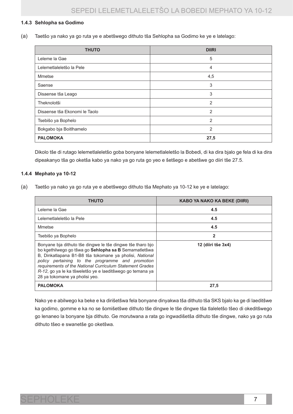## **1.4.3 Sehlopha sa Godimo**

(a) Taetšo ya nako ya go ruta ye e abetšwego dithuto tša Sehlopha sa Godimo ke ye e latelago:

| <b>THUTO</b>                  | <b>DIIRI</b>   |
|-------------------------------|----------------|
| Leleme la Gae                 | 5              |
| Lelemetlaleletšo la Pele      | 4              |
| Mmetse                        | 4,5            |
| Saense                        | 3              |
| Disaense tša Leago            | 3              |
| Theknolotši                   | 2              |
| Disaense tša Ekonomi le Taolo | $\overline{2}$ |
| Tsebišo ya Bophelo            | 2              |
| Bokgabo bja Boitlhamelo       | 2              |
| <b>PALOMOKA</b>               | 27,5           |

Dikolo tše di rutago lelemetlaleletšo goba bonyane lelemetlaleletšo la Bobedi, di ka dira bjalo ge fela di ka dira dipeakanyo tša go oketša kabo ya nako ya go ruta go yeo e šetšego e abetšwe go diiri tše 27.5.

#### **1.4.4 Mephato ya 10-12**

(a) Taetšo ya nako ya go ruta ye e abetšwego dithuto tša Mephato ya 10-12 ke ye e latelago:

| <b>THUTO</b>                                                                                                                                                                                                                                                                                                                                                                                  | KABO YA NAKO KA BEKE (DIIRI) |
|-----------------------------------------------------------------------------------------------------------------------------------------------------------------------------------------------------------------------------------------------------------------------------------------------------------------------------------------------------------------------------------------------|------------------------------|
| Leleme la Gae                                                                                                                                                                                                                                                                                                                                                                                 | 4.5                          |
| Lelemetlaleletšo la Pele                                                                                                                                                                                                                                                                                                                                                                      | 4.5                          |
| Mmetse                                                                                                                                                                                                                                                                                                                                                                                        | 4.5                          |
| Tsebišo ya Bophelo                                                                                                                                                                                                                                                                                                                                                                            | $\mathbf{2}$                 |
| Bonyane bia dithuto tše dingwe le tše dingwe tše tharo bio<br>bo kgethilwego go tšwa go Sehlopha sa B Semamatletšwa<br>B, Dinkatlapana B1-B8 tša tokomane ya pholisi, National<br>policy pertaining to the programme and promotion<br>requirements of the National Curriculum Statement Grades<br>R-12, go va le ka tšweletšo ye e laeditšwego go temana ya<br>28 ya tokomane ya pholisi yeo. | 12 (diiri tše 3x4)           |
| <b>PALOMOKA</b>                                                                                                                                                                                                                                                                                                                                                                               | 27,5                         |

Nako ye e abilwego ka beke e ka dirišetšwa fela bonyane dinyakwa tša dithuto tša SKS bjalo ka ge di laeditšwe ka godimo, gomme e ka no se šomišetšwe dithuto tše dingwe le tše dingwe tša tlaleletšo tšeo di okeditšwego go lenaneo la bonyane bja dithuto. Ge morutwana a rata go ingwadišetša dithuto tše dingwe, nako ya go ruta dithuto tšeo e swanetše go oketšwa.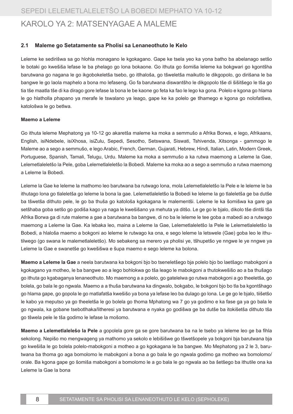### **2.1 Maleme go Setatamente sa Pholisi sa Lenaneothuto le Kelo**

Leleme ke sedirišwa sa go hlohla monagano le kgokagano. Gape ke tsela yeo ka yona batho ba abelanago setšo le botaki go kwešiša lefase le ba phelago go lona bokaone. Go ithuta go šomiša leleme ka bokgwari go kgontšha barutwana go nagana le go ikgobokeletša tsebo, go itlhaloša, go tšweletša maikutlo le dikgopolo, go dirišana le ba bangwe le go laola maphelo a bona mo lefaseng. Go fa barutwana diswantšho le dikgopolo tše di šišitšego le tša go tia tše maatla tše di ka dirago gore lefase la bona le be kaone go feta ka fao le lego ka gona. Polelo e kgona go hlama le go hlatholla phapano ya merafe le tswalano ya leago, gape ke ka polelo ge tlhamego e kgona go nolofatšwa, katološwa le go betlwa.

#### **Maemo a Leleme**

Go ithuta leleme Mephatong ya 10-12 go akaretša maleme ka moka a semmušo a Afrika Borwa, e lego, Afrikaans, English, isiNdebele, isiXhosa, isiZulu, Sepedi, Sesotho, Setswana, Siswati, Tshivenda, Xitsonga - gammogo le Maleme ao a sego a semmušo, e lego Arabic, French, German, Gujarati, Hebrew, Hindi, Italian, Latin, Modern Greek, Portuguese, Spanish, Tamali, Telugu, Urdu. Maleme ka moka a semmušo a ka rutwa maemong a Leleme la Gae, Lelemetlaleletšo la Pele, goba Lelemetlaleletšo la Bobedi. Maleme ka moka ao a sego a semmušo a rutwa maemong a Leleme la Bobedi.

Leleme la Gae ke leleme la mathomo leo barutwana ba rutwago lona, mola Lelemetlaleletšo la Pele e le leleme le ba ithutago lona go tlaleletša go leleme la bona la gae. Lelemetlaleletšo la Bobedi ke leleme la go tlaleletša ge ba dutše ba tšwetša dithuto pele, le go ba thuša go katološa kgokagana le malementši. Leleme le ka šomišwa ka gare ga setšhaba goba setšo go godiša kago ya naga le kwešišano ya mehuta ya ditšo. Le ge go le bjalo, dikolo tše dintši tša Afrika Borwa ga di rute maleme a gae a barutwana ba bangwe, di no ba le leleme le tee goba a mabedi ao a rutwago maemong a Leleme la Gae. Ka lebaka leo, maina a Leleme la Gae, Lelemetlaleletšo la Pele le Lelemetlaleletšo la Bobedi, a hlaloša maemo a bokgoni ao leleme le rutwago ka ona, e sego leleme la letswele (Gae) goba leo le ithutilwego (go swana le malemetlaleletšo). Mo sebakeng sa merero ya pholisi ye, tšhupetšo ye nngwe le ye nngwe ya Leleme la Gae e swanetše go kwešišwa e šupa maemo e sego leleme ka bolona.

**Maemo a Leleme la Gae** a neela barutwana ka bokgoni bjo bo tseneletšego bja polelo bjo bo laetšago mabokgoni a kgokagano ya motheo, le ba bangwe ao a lego bohlokwa go tša leago le mabokgoni a thutokwešišo ao a ba thušago go ithuta go kgabaganya lenaneothuto. Mo maemong a a polelo, go gatelelwa go rutwa mabokgoni a go theeletša, go bolela, go bala le go ngwala. Maemo a a thuša barutwana ka dingwalo, bokgabo, le bokgoni bjo bo tla ba kgontšhago go hlama gape, go gopola le go matlafatša kwešišo ya bona ya lefase leo ba dulago go lona. Le ge go le bjalo, tiišetšo le kabo ya meputso ya go theeletša le go bolela go thoma Mphatong wa 7 go ya godimo e ka fase ga ya go bala le go ngwala, ka gobane tsebotlhaka/litheresi ya barutwana e nyaka go godišwa ge ba dutše ba itokišetša dithuto tša go tšwela pele le tša godimo le lefase la mošomo.

**Maemo a Lelemetlalelešo la Pele** a gopolela gore ga se gore barutwana ba na le tsebo ya leleme leo ge ba fihla sekolong. Nepišo mo mengwageng ya mathomo ya sekolo e lebišišwe go tšwetšopele ya bokgoni bja barutwana bja go kwešiša le go bolela polelo-mabokgoni a motheo a go kgokagana le ba bangwe. Mo Mephatong ya 2 le 3, barutwana ba thoma go aga bomolomo le mabokgoni a bona a go bala le go ngwala godimo ga motheo wa bomolomo/ orale. Ba kgona gape go šomiša mabokgoni a bomolomo le a go bala le go ngwala ao ba šetšego ba ithutile ona ka Leleme la Gae la bona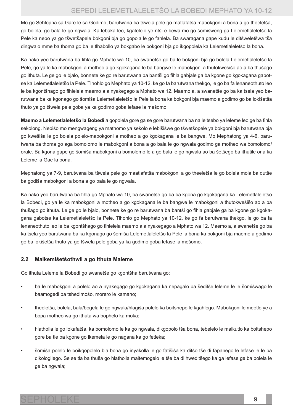Mo go Sehlopha sa Gare le sa Godimo, barutwana ba tšwela pele go matlafatša mabokgoni a bona a go theeletša, go bolela, go bala le go ngwala. Ka lebaka leo, kgatelelo ye ntši e bewa mo go šomišweng ga Lelemetlaleletšo la Pele ka nepo ya go tšwetšapele bokgoni bja go gopola le go fahlela. Ba swaragana gape kudu le ditšweletšwa tša dingwalo mme ba thoma go ba le tlhabollo ya bokgabo le bokgoni bja go ikgopolela ka Lelemetlaleletšo la bona.

Ka nako yeo barutwana ba fihla go Mphato wa 10, ba swanetše go ba le bokgoni bja go bolela Lelemetlaleletšo la Pele, go ya le ka mabokgoni a motheo a go kgokagana le ba bangwe le mabokgoni a thutokwešišo ao a ba thušago go ithuta. Le ge go le bjalo, bonnete ke go re barutwana ba bantši go fihla gabjale ga ba kgone go kgokagana gabotse ka Lelemetlaleletšo la Pele. Tlhohlo go Mephato ya 10-12, ke go fa barutwana thekgo, le go ba fa lenaneothuto leo le ba kgontšhago go fihlelela maemo a a nyakegago a Mphato wa 12. Maemo a, a swanetše go ba ka tsela yeo barutwana ba ka kgonago go šomiša Lelemetlaleletšo la Pele la bona ka bokgoni bja maemo a godimo go ba lokišetša thuto ya go tšwela pele goba ya ka godimo goba lefase la mešomo.

**Maemo a Lelemetlaleletšo la Bobedi** a gopolela gore ga se gore barutwana ba na le tsebo ya leleme leo ge ba fihla sekolong. Nepišo mo mengwageng ya mathomo ya sekolo e lebišišwe go tšwetšopele ya bokgoni bja barutwana bja go kwešiša le go bolela polelo-mabokgoni a motheo a go kgokagana le ba bangwe. Mo Mephatong ya 4-6, barutwana ba thoma go aga bomolomo le mabokgoni a bona a go bala le go ngwala godimo ga motheo wa bomolomo/ orale. Ba kgona gape go šomiša mabokgoni a bomolomo le a go bala le go ngwala ao ba šetšego ba ithutile ona ka Leleme la Gae la bona.

Mephatong ya 7-9, barutwana ba tšwela pele go maatlafatša mabokgoni a go theeletša le go bolela mola ba dutše ba godiša mabokgoni a bona a go bala le go ngwala.

Ka nako yeo barutwana ba fihla go Mphato wa 10, ba swanetše go ba ba kgona go kgokagana ka Lelemetlaleletšo la Bobedi, go ya le ka mabokgoni a motheo a go kgokagana le ba bangwe le mabokgoni a thutokwešišo ao a ba thušago go ithuta. Le ge go le bjalo, bonnete ke go re barutwana ba bantši go fihla gabjale ga ba kgone go kgokagana gabotse ka Lelemetlaleletšo la Pele. Tlhohlo go Mephato ya 10-12, ke go fa barutwana thekgo, le go ba fa lenaneothuto leo le ba kgontšhago go fihlelela maemo a a nyakegago a Mphato wa 12. Maemo a, a swanetše go ba ka tsela yeo barutwana ba ka kgonago go šomiša Lelemetlaleletšo la Pele la bona ka bokgoni bja maemo a godimo go ba lokišetša thuto ya go tšwela pele goba ya ka godimo goba lefase la mešomo.

## **2.2 Maikemišetšothwii a go ithuta Maleme**

Go ithuta Leleme la Bobedi go swanetše go kgontšha barutwana go:

- ba le mabokgoni a polelo ao a nyakegago go kgokagana ka nepagalo ba šeditše leleme le le šomišwago le baamogedi ba tshedimošo, morero le kamano;
- theeletša, bolela, bala/bogela le go ngwala/hlagiša polelo ka boitshepo le kgahlego. Mabokgoni le meetlo ye a bopa motheo wa go ithuta wa bophelo ka moka;
- hlatholla le go lokafatša, ka bomolomo le ka go ngwala, dikgopolo tša bona, tebelelo le maikutlo ka boitshepo gore ba tle ba kgone go ikemela le go nagana ka go fetleka;
- šomiša polelo le boikgopolelo bja bona go inyakolla le go fatišiša ka ditšo tše di fapanego le lefase le le ba dikologilego. Se se tla ba thuša go hlatholla maitemogelo le tše ba di hweditšego ka ga lefase ge ba bolela le ge ba ngwala;

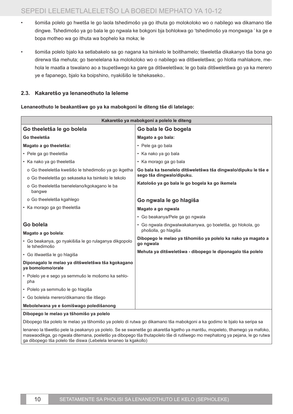- $\bullet$ • šomiša polelo go hwetša le go laola tshedimošo ya go ithuta go molokoloko wo o nabilego wa dikamano tše dingwe. Tshedimošo ya go bala le go ngwala ke bokgoni bja bohlokwa go 'tshedimošo ya mongwaga ' ka ge e bopa motheo wa go ithuta wa bophelo ka moka; le
- šomiša polelo bjalo ka setlabakelo sa go nagana ka tsinkelo le boitlhamelo; tšweletša dikakanyo tša bona go direrwa tša mehuta; go tsenelelana ka molokoloko wo o nabilego wa ditšweletšwa; go hlotla mahlakore, mehola le maatla a tswalano ao a tsupetšwego ka gare ga ditšweletšwa; le go bala ditšweletšwa go ya ka merero ye e fapanego, bjalo ka boipshino, nyakišišo le tshekaseko..

## **2.3. Kakaretšo ya lenaneothuto la leleme**

## **Lenaneothuto le beakantšwe go ya ka mabokgoni le diteng tše di latelago:**

| Kakaretšo ya mabokgoni a polelo le diteng                                                                               |                                                                                    |  |  |  |  |
|-------------------------------------------------------------------------------------------------------------------------|------------------------------------------------------------------------------------|--|--|--|--|
| Go theeletša le go bolela                                                                                               | Go bala le Go bogela                                                               |  |  |  |  |
| Go theeletša                                                                                                            | Magato a go bala:                                                                  |  |  |  |  |
| Magato a go theeletša:                                                                                                  | • Pele ga go bala                                                                  |  |  |  |  |
| · Pele ga go theeletša                                                                                                  | • Ka nako ya go bala                                                               |  |  |  |  |
| • Ka nako ya go theeletša                                                                                               | • Ka morago ga go bala                                                             |  |  |  |  |
| o Go theeleletša kwešišo le tshedimošo ya go ikgetha                                                                    | Go bala ka tsenelelo ditšweletšwa tša dingwalo/dipuku le tše e                     |  |  |  |  |
| o Go theeleletša go sekaseka ka tsinkelo le tekolo                                                                      | sego tša dingwalo/dipuku.                                                          |  |  |  |  |
| o Go theeleletša tsenelelano/kgokagano le ba<br>bangwe                                                                  | Katološo ya go bala le go bogela ka go ikemela                                     |  |  |  |  |
| o Go theeleletša kgahlego                                                                                               | Go ngwala le go hlagiša                                                            |  |  |  |  |
| · Ka morago ga go theeletša                                                                                             | Magato a go ngwala                                                                 |  |  |  |  |
|                                                                                                                         | • Go beakanya/Pele ga go ngwala                                                    |  |  |  |  |
| Go bolela                                                                                                               | · Go ngwala dingwalwakakanywa, go boeletša, go hlokola, go<br>phošolla, go hlagiša |  |  |  |  |
| Magato a go bolela:                                                                                                     | Dibopego le melao ya tšhomišo ya polelo ka nako ya magato a                        |  |  |  |  |
| · Go beakanya, go nyakišiša le go rulaganya dikgopolo<br>le tshedimošo                                                  | go ngwala                                                                          |  |  |  |  |
| · Go itlwaetša le go hlagiša                                                                                            | Mehuta ya ditšweletšwa - dibopego le diponagalo tša polelo                         |  |  |  |  |
| Diponagalo le melao ya ditšweletšwa tša kgokagano<br>ya bomolomo/orale                                                  |                                                                                    |  |  |  |  |
| · Polelo ye e sego ya semmušo le mošomo ka sehlo-<br>pha                                                                |                                                                                    |  |  |  |  |
| · Polelo ya semmušo le go hlagiša                                                                                       |                                                                                    |  |  |  |  |
| · Go bolelela merero/dikamano tše itšego                                                                                |                                                                                    |  |  |  |  |
| Mebolelwana ye e šomišwago poledišanong                                                                                 |                                                                                    |  |  |  |  |
| Dibopego le melao va tšhomišo va polelo                                                                                 |                                                                                    |  |  |  |  |
| Dibopego tša polelo le melao ya tšhomišo ya polelo di rutwa go dikamano tša mabokgoni a ka godimo le bjalo ka seripa sa |                                                                                    |  |  |  |  |

lenaneo la tšwetšo pele la peakanyo ya polelo. Se se swanetše go akaretša kgetho ya mantšu, mopeleto, tlhamego ya mafoko, maswaodikga, go ngwala ditemana, poeletšo ya dibopego tša thutapolelo tše di rutilwego mo mephatong ya pejana, le go rutwa ga dibopego tša polelo tše diswa (Lebelela lenaneo la kgakollo)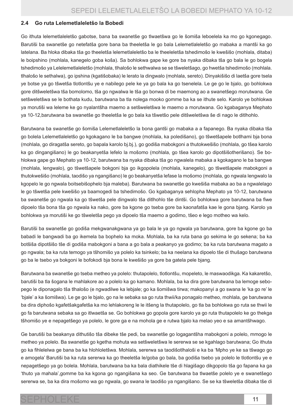## **2.4 Go ruta Lelemetlaleletšo la Bobedi**

Go ithuta lelemetlaleletšo gabotse, bana ba swanetše go tlwaetšwa go le šomiša leboelela ka mo go kgonegago. Barutiši ba swanetše go netefatša gore bana ba theeletša le go bala Lelemetlaleletšo go mabaka a mantši ka go latelana. Ba hloka dibaka tša go theeletša lelemetlaleletšo ba le theeleletša tshedimošo le kwešišo (mohlala, ditaba) le boipshino (mohlala, kanegelo goba koša). Sa bohlokwa gape ke gore ba nyaka dibaka tša go bala le go bogela tshedimošo ya Lelelemetlaleletšo (mohlala, tlhalošo le sethwalwa se se tšweletšago, go hwetša tshedimošo (mohlala. tlhalošo le sethalwa), go ipshina (kgatišobaka) le lerato la dingwalo (mohlala, sereto). Dinyakišišo di laetša gore tsela ye botse ya go tšwetša tlotlontšu ye e nabilego pele ke ya go bala ka go tsenelela. Le ge go le bjalo, go bohlokwa gore ditšweletšwa tša bomolomo, tša go ngwalwa le tša go bonwa di be maemong ao a swanetšego morutwana. Ge setšweletšwa se le bothata kudu, barutwana ba tla nolega mooko gomme ba ka se ithute selo. Karolo ye bohlokwa ya morutiši wa leleme ke go nyalantšha maemo a setšweletšwa le maemo a morutwana. Go kgabaganya Mephato ya 10-12,barutwana ba swanetše go theeletša le go bala ka tšwetšo pele ditšweletšwa še di nago le ditlhohlo.

Barutwana ba swanetše go šomiša Lelemetlaleletšo la bona gantši go mabaka a a fapanego. Ba nyaka dibaka tša go bolela Lelemetlaleletšo go kgokagano le ba bangwe (mohlala, ka poledišano), go tšwetšapele botlhami bja bona (mohlala, go diragatša sereto, go bapala karolo bj.bj.), go godiša mabokgoni a thutokwešišo (mohlala, go tšea karolo ka go dingangišano) le go beakanyetša lefelo la mošomo (mohlala, go tšea karolo go dipotšišotherišano). Se bohlokwa gape go Mephato ya 10-12, barutwana ba nyaka dibaka tša go ngwalela mabaka a kgokagano le ba bangwe (mohlala, lengwalo), go tšwetšapele bokgoni bja go ikgopolela (mohlala, kanegelo), go tšwetšapele mabokgoni a thutokwešišo (mohlala, taodišo ya ngangišano) le go beakanyetša lefase la mošomo (mohlala, go ngwala lengwalo la kgopelo le go ngwala boitsebišophelo bja maleba). Barutwana ba swanetše go kwešiša mabaka ao ba a ngwalelago le go tšwetša pele kwešišo ya baamogedi ba tshedimošo. Go kgabaganya sehlopha Mephato ya 10-12, barutwana ba swanetše go ngwala ka go tšwetša pele dingwalo tša ditlhohlo tše dintši. Go bohlokwa gore barutwana ba fiwe dipoelo tša bona tša go ngwala ka nako, gore ba kgone go tseba gore ba kaonafatša kae le gona bjang. Karolo ya bohlokwa ya morutiši ke go tšweletša pego ya dipoelo tša maemo a godimo, tšeo e lego motheo wa kelo.

Barutiši ba swanetše go godiša mekgwanakgwana ya go bala le ya go ngwala ya barutwana, gore ba kgone go ba babadi le bangwadi ba go ikemela ba bophelo ka moka. Mohlala, ba ka ruta bana go sekima le go sekena; ba ka botšiša dipotšišo tše di godiša mabokgoni a bana a go bala a peakanyo ya godimo; ba ka ruta barutwana magato a go ngwala; ba ka ruta temogo ya tšhomišo ya polelo ka tsinkelo; ba ka neelana ka dipoelo tše di thušago barutwana go ba le tsebo ya bokgoni le bofokodi bja bona le kwešišo ya gore ba gatela pele bjang.

Barutwana ba swanetše go tseba metheo ya polelo: thutapolelo, tlotlontšu, mopeleto, le maswaodikga. Ka kakaretšo, barutiši ba tla šogana le mahlakore ao a polelo ka go kamano. Mohlala, ba ka dira gore barutwana ba lemoge sebopego le diponagalo tša tlhalošo (e ngwadilwe ka lebjale; go ka šomišwa tirwa; makopanyi a go swana le 'ka go re' le 'bjale' a ka šomišwa). Le ge go le bjalo, go na le sebaka sa go ruta thwii/ka ponagalo metheo, mohlala, ge barutwana ba dira diphošo kgafetšakgafetša ka mo lehlakoreng le le itšeng la thutapolelo, go tla ba bohlokwa go ruta se thwii le go fa barutwana sebaka sa go itlwaetša se. Go bohlokwa go gopola gore karolo ya go ruta thutapolelo ke go thekga tšhomišo ye e nepagetšego ya polelo, le gore ga e na mohola ge e rutwa bjalo ka melao yeo e sa amantšhwago.

Ge barutiši ba beakanya dithutišo tša dibeke tše pedi, ba swanetše go logagantšha mabokgoni a polelo, mmogo le metheo ya polelo. Ba swanetše go kgetha mohuta wa setšweletšwa le sererwa se se kgahlago barutwana; Go ithuta go ka fihlelelwa ge bana ba ka hlohloletšwa. Mohlala, sererwa sa taodišotlhaloši e ka ba 'Mpho ye ke sa tšwago go e amogela' Barutiši ba ka ruta sererwa ka go theeletša le/goba go bala, ba godiša tsebo ya polelo le tlotlontšu ye e nepagetšego ya go bolela. Mohlala, barutwana ba ka bala diathikele tše di hlagišago dikgopolo tša go fapana ka ga 'thuto ya mahala',gomme ba ka kgona go ngangišana ka seo. Ge barutwana ba tlwaetše polelo ye e swanetšego sererwa se, ba ka dira mošomo wa go ngwala, go swana le taodišo ya ngangišano. Se se ka tšweletša dibaka tše di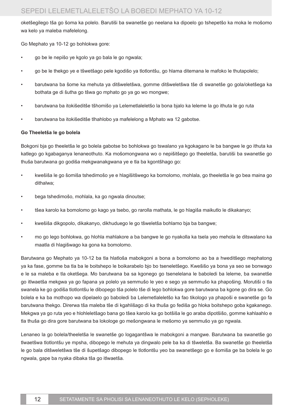oketšegilego tša go šoma ka polelo. Barutiši ba swanetše go neelana ka dipoelo go tshepetšo ka moka le mošomo wa kelo ya maleba mafelelong.

Go Mephato ya 10-12 go bohlokwa gore:

- go be le nepišo ye kgolo ya go bala le go ngwala;
- go be le thekgo ye e tšwetšago pele kgodišo ya tlotlontšu, go hlama ditemana le mafoko le thutapolelo;
- barutwana ba šome ka mehuta ya ditšweletšwa, gomme ditšweletšwa tše di swanetše go gola/oketšega ka bothata ge di šutha go tšwa go mphato go ya go wo mongwe;
- barutwana ba itokišeditše tšhomišo ya Lelemetlaleletšo la bona bjalo ka leleme la go ithuta le go ruta
- barutwana ba itokišeditše tlhahlobo ya mafelelong a Mphato wa 12 gabotse.

## **Go Theeletša le go bolela**

Bokgoni bja go theeletša le go bolela gabotse bo bohlokwa go tswalano ya kgokagano le ba bangwe le go ithuta ka katlego go kgabaganya lenaneothuto. Ka mošomongwana wo o nepišitšego go theeletša, barutiši ba swanetše go thuša barutwana go godiša mekgwanakgwana ye e tla ba kgontšhago go:

- kwešiša le go šomiša tshedimošo ye e hlagišitšwego ka bomolomo, mohlala, go theeletša le go bea maina go dithalwa;
- bega tshedimošo, mohlala, ka go ngwala dinoutse;
- tšea karolo ka bomolomo go kago ya tsebo, go rarolla mathata, le go hlagiša maikutlo le dikakanyo;
- kwešiša dikgopolo, dikakanyo, dikhuduego le go tšweletša bohlamo bja ba bangwe;
- mo go lego bohlokwa, go hlohla mahlakore a ba bangwe le go nyakolla ka tsela yeo mehola le ditswalano ka maatla di hlagišwago ka gona ka bomolomo.

Barutwana go Mephato ya 10-12 ba tla hlatloša mabokgoni a bona a bomolomo ao ba a hweditšego mephatong ya ka fase, gomme ba tla ba le boitshepo le boikarabelo bjo bo tseneletšego. Kwešišo ya bona ya seo se bonwago e le sa maleba e tla oketšega. Mo barutwana ba sa kgonego go tsenelelana le baboledi ba leleme, ba swanetše go itlwaetša mekgwa ya go fapana ya polelo ya semmušo le yeo e sego ya semmušo ka phapošing. Morutiši o tla swanela ke go godiša tlotlontšu le dibopego tša polelo tše di lego bohlokwa gore barutwana ba kgone go dira se. Go bolela e ka ba mothopo wa dipelaelo go baboledi ba Lelemetlaleletšo ka fao tikologo ya phapoši e swanetše go fa barutwana thekgo. Direrwa tša maleba tše di kgahlišago di ka thuša go fediša go hloka boitshepo goba kgakanego. Mekgwa ya go ruta yeo e hlohleletšago bana go tšea karolo ka go botšiša le go araba dipotšišo, gomme kahlaahlo e tla thuša go dira gore barutwana ba lokologe go mešongwana le mešomo ya semmušo ya go ngwala.

Lenaneo la go bolela/theeletša le swanetše go logagantšwa le mabokgoni a mangwe. Barutwana ba swanetše go tlwaetšwa tlotlontšu ye mpsha, dibopego le mehuta ya dingwalo pele ba ka di tšweletša. Ba swanetše go theeletša le go bala ditšweletšwa tše di šupetšago dibopego le tlotlontšu yeo ba swanetšego go e šomiša ge ba bolela le go ngwala, gape ba nyaka dibaka tša go itlwaetša.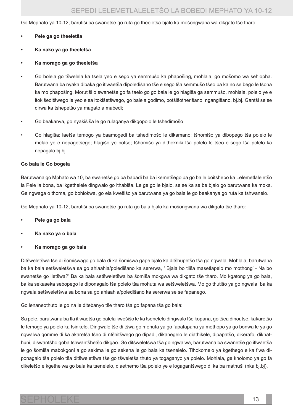Go Mephato ya 10-12, barutiši ba swanetše go ruta go theeletša bjalo ka mošongwana wa dikgato tše tharo:

- **• Pele ga go theeletša**
- **• Ka nako ya go theeletša**
- **• Ka morago ga go theeletša**
- Go bolela go tšwelela ka tsela yeo e sego ya semmušo ka phapošing, mohlala, go mošomo wa sehlopha. Barutwana ba nyaka dibaka go itlwaetša dipoledišano tše e sego tša semmušo tšeo ba ka no se bego le tšona ka mo phapošing. Morutiši o swanetše go fa taelo go go bala le go hlagiša ga semmušo, mohlala, polelo ye e itokišeditšwego le yeo e sa itokišetšwago, go balela godimo, potšišotherišano, ngangišano, bj.bj. Gantši se se dirwa ka tshepetšo ya magato a mabedi;
- Go beakanya, go nyakišiša le go rulaganya dikgopolo le tshedimošo
- Go hlagiša: laetša temogo ya baamogedi ba tshedimošo le dikamano; tšhomišo ya dibopego tša polelo le melao ye e nepagetšego; hlagišo ye botse; tšhomišo ya dithekniki tša polelo le tšeo e sego tša polelo ka nepagalo bj.bj.

## **Go bala le Go bogela**

Barutwana go Mphato wa 10, ba swanetše go ba babadi ba ba ikemetšego ba go ba le boitshepo ka Lelemetlaleletšo la Pele la bona, ba ikgethelele dingwalo go ithabiša. Le ge go le bjalo, se se ka se be bjalo go barutwana ka moka. Ge ngwaga o thoma, go bohlokwa, go ela kwešišo ya barutwana ya go bala le go beakanya go ruta ka tshwanelo.

Go Mephato ya 10-12, barutiši ba swanetše go ruta go bala bjalo ka mošongwana wa dikgato tše tharo:

- **• Pele ga go bala**
- **• Ka nako ya o bala**
- **• Ka morago ga go bala**

Ditšweletšwa tše di šomišwago go bala di ka šomiswa gape bjalo ka ditšhupetšo tša go ngwala. Mohlala, barutwana ba ka bala setšweletšwa sa go ahlaahla/poledišano ka sererwa, ' Bjala bo tliša masetlapelo mo mothong' - Na bo swanetše go iletšwa?' Ba ka bala setšweletšwa ba šomiša mokgwa wa dikgato tše tharo. Mo kgatong ya go bala, ba ka sekaseka sebopego le diponagalo tša polelo tša mohuta wa setšweletšwa. Mo go thutišo ya go ngwala, ba ka ngwala setšweletšwa sa bona sa go ahlaahla/poledišano ka sererwa se se fapanego.

Go lenaneothuto le go na le ditebanyo tše tharo tša go fapana tša go bala:

Sa pele, barutwana ba tla itlwaetša go balela kwešišo le ka tsenelelo dingwalo tše kopana, go tšea dinoutse, kakaretšo le temogo ya polelo ka tsinkelo. Dingwalo tše di tšwa go mehuta ya go fapafapana ya methopo ya go bonwa le ya go ngwalwa gomme di ka akaretša tšeo di ntšhitšwego go dipadi, dikanegelo le diathikele, dipapatšo, dikerafo, dikhathuni, diswantšho goba tshwantšhetšo dikgao. Go ditšweletšwa tša go ngwalwa, barutwana ba swanetše go itlwaetša le go šomiša mabokgoni a go sekima le go sekena le go bala ka tsenelelo. Tlhokomelo ya kgethego e ka fiwa diponagalo tša polelo tša ditšweletšwa tše go tšweletša thuto ya togaganyo ya polelo. Mohlala, ge kholomo ya go fa dikeletšo e kgethelwa go bala ka tsenelelo, diaethemo tša polelo ye e logagantšwego di ka ba mathuši (nka bj.bj).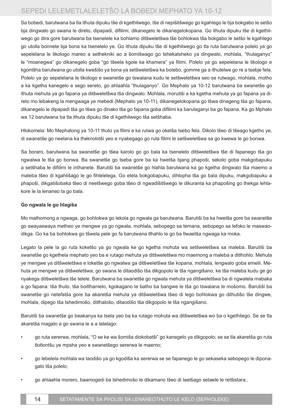Sa bobedi, barutwana ba tla ithuta dipuku tše di kgethilwego, tše di nepišitšwego go kgahlego le bja bokgabo le setšo bja dingwalo go swana le direto, dipapadi, difilimi, dikanegelo le dikanegelokopana. Go ithuta dipuku tše di kgethilwego go dira gore barutwana ba tsenelele ka bohlamo ditšweletšwa tše bohlokwa tša bokgabo le setšo le kgahlego go utolla bonnete bja bona ka tsenelelo ye. Go ithuta dipuku tše di kgethilwego go tla ruta barutwana polelo ya go sepelelana le tikologo mareo a sethekniki ao a šomišwago go tshekatsheko ya dingwalo, mohlala, "thulaganyo" le "moanegwa" go dikanegelo goba "go tšeela kgole ka khamera" ya filimi. Polelo ya go sepelelana le tikologo e kgontšha barutwana go utolla kwešišo ya bona ya setšweletšwa ka botebo, gomme ga a ithutelwe go re a tsebje fela. Polelo ya go sepelelana le tikologo e swanetše go tswalana kudu le setšweletšwa seo se rutwago, mohlala, motho a ka kgetha kanegelo e sego sereto, go ahlaahla "thulaganyo". Go Mephato ya 10-12 barutwana ba swanetše go ithuta mehuta ya go fapana ya ditšweletšwa tša dingwalo. Mohlala, morutiši a ka kgetha mehuta ya go fapana ya direto mo lebakeng la mengwaga ye mebedi (Mephato ya 10-11), dikanegelokopana go tšwa dinageng tša go fapana, dikanegelo le dipapadi tša go tšwa go dinako tša go fapana goba difilimi ka barulaganyi ba go fapana. Ka go Mphato wa 12 barutwana ba tla ithuta dipuku tše di kgethilwego tša setšhaba.

Hlokomela: Mo Mephatong ya 10-11 thuto ya filimi e ka rutwa go oketša tsebo fela. Dikolo tšeo di tšeago kgetho ye, di swanetše go neelana ka theknolotši yeo e nyakegago go ruta filimi le setšweletšwa sa go kwewa le go bonwa.

Sa boraro, barutwana ba swanetše go tšea karolo go go bala ka tsenelelo ditšweletšwa tše di fapanego tša go ngwalwa le tša go bonwa. Ba swanetše go tseba gore ba ka hwetša bjang phapoši, sekolo goba makgobapuku a setšhaba le difilimi le inthanete. Barutiši ba swanetše go hlahla barutwana ka go kgetha dingwalo tša maemo a maleba tšeo di kgahlišago le go fihlelelega. Go etela bokgobapuku, dihlopha tša go bala dipuku, makgobapuku a phapoši, dikgatišobaka tšeo di neetšwego goba tšeo di ngwadišitšwego le dikuranta ka phapošing go thekga lehlakore le la lenaneo la go bala.

## **Go ngwala le go hlagiša**

Mo mathomong a ngwaga, go bohlokwa go lekola go ngwala ga barutwana. Barutiši ba ka hwetša gore ba swanetše go swayaswaya metheo ye mengwe ya go ngwala. mohlala, sebopego sa temana, sebopego sa lefoko le maswaodikga. Go ka ba bohlokwa go tšwela pele go fa barutwana tlhahlo le go ba tlwaetša ngwaga ka moka.

Legato la pele la go ruta koketšo ya go ngwala ke go kgetha mohuta wa setšweletšwa sa maleba. Barutiši ba swanetše go kgethela mephato yeo ba e rutago mehuta ya ditšweletšwa mo maemong a maleba a ditlhohlo. Mehuta ye mengwe ya ditšweletšwa e loketše go ngwalwa ga ditšweletšwa tše kopana, mohlala, lengwalo goba emeili. Mehuta ye mengwe ya ditšweletšwa, go swana le ditaodišo tša dikgopolo le tša ngangišano, ke tša maleba kudu ge go nyakega ditšweletšwa tše telele. Barutwana ba swanetše go ngwala mehuta ya ditšweletšwa ba di ngwalela mabaka a go fapana: tša thuto, tša boitlhamelo, kgokagano le batho ba bangwe le tša go tswalana le mošomo. Barutiši ba swanetše go netefatša gore ba akaretša mehuta ya ditšweletšwa tšeo di lego bohlokwa go dithutišo tše dingwe, mohlala, dipego tša tshedimošo, ditlhalošo, ditaodišo tša dikgopolo le tša ngangišano.

Barutiši ba swanetše go beakanya ka tsela yeo ba ka rutago mohuta wa ditšweletšwa wo ba o kgethilego. Se se tla akaretša magato a go swana le a a latelago:

- go ruta sererwa, mohlala, "O se ke wa šomiša diokobatši" go kanegelo ya dikgopolo; se se tla akaretša go ruta tlotlontšu ye mpsha yeo e swanetšego sererwa le maemo;
- go lebelela mohlala wa taodišo ya go kgodiša ka sererwa se se fapanego le go sekaseka sebopego le diponagalo tša polelo;
- go ahlaahla morero, baamogedi ba tshedimošo le dikamano tšeo di laetšago setaele le retšistara;.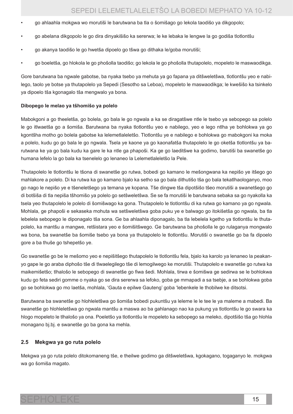- go ahlaahla mokgwa wo morutiši le barutwana ba tla o šomišago go lekola taodišo ya dikgopolo;
- go abelana dikgopolo le go dira dinyakišišo ka sererwa; le ke lebaka le lengwe la go godiša tlotlontšu
- go akanya taodišo le go hwetša dipoelo go tšwa go dithaka le/goba morutiši;
- go boeletša, go hlokola le go phošolla taodišo; go lekola le go phošolla thutapolelo, mopeleto le maswaodikga.

Gore barutwana ba ngwale gabotse, ba nyaka tsebo ya mehuta ya go fapana ya ditšweletšwa, tlotlontšu yeo e nabilego, taolo ye botse ya thutapolelo ya Sepedi (Sesotho sa Leboa), mopeleto le maswaodikga; le kwešišo ka tsinkelo ya dipoelo tša kgonagalo tša mengwalo ya bona.

### **Dibopego le melao ya tšhomišo ya polelo**

Mabokgoni a go theeletša, go bolela, go bala le go ngwala a ka se diragatšwe ntle le tsebo ya sebopego sa polelo le go itlwaetša go a šomiša. Barutwana ba nyaka tlotlontšu yeo e nabilego, yeo e lego ntlha ye bohlokwa ya go kgontšha motho go bolela gabotse ka lelemetlaleletšo. Tlotlontšu ye e nabilego e bohlokwa go mabokgoni ka moka a polelo, kudu go go bala le go ngwala. Tsela ye kaone ya go kaonafatša thutapolelo le go oketša tlotlontšu ya barutwana ke ya go bala kudu ka gare le ka ntle ga phapoši. Ka ge go laeditšwe ka godimo, barutiši ba swanetše go humana lefelo la go bala ka tsenelelo go lenaneo la Lelemetlaleletšo la Pele.

Thutapolelo le tlotlontšu le tšona di swanetše go rutwa, bobedi go kamano le mešongwana ka nepišo ye itšego go mahlakore a polelo. Di ka rutwa ka go kamano bjalo ka setho sa go bala dithutišo tša go bala tekatlhaologanyo, moo go nago le nepišo ye e tšeneletšego ya temana ye kopana. Tše dingwe tša dipotšišo tšeo morutiši a swanetšego go di botšiša di tla nepiša tšhomišo ya polelo go setšweletšwa. Se se fa morutiši le barutwana sebaka sa go nyakolla ka tsela yeo thutapolelo le polelo di šomišwago ka gona. Thutapolelo le tlotlontšu di ka rutwa go kamano ya go ngwala. Mohlala, ge phapoši e sekaseka mohuta wa setšweletšwa goba puku ye e balwago go itokišetša go ngwala, ba tla lebelela sebopego le diponagalo tša sona. Ge ba ahlaahla diponagalo, ba tla lebelela kgetho ya tlotlontšu le thutapolelo, ka mantšu a mangwe, retšistara yeo e šomišitšwego. Ge barutwana ba phošolla le go rulaganya mongwalo wa bona, ba swanetše ba šomiše tsebo ya bona ya thutapolelo le tlotlontšu. Morutiši o swanetše go ba fa dipoelo gore a ba thuše go tshepetšo ye.

Go swanetše go be le mešomo yeo e nepišitšego thutapolelo le tlotlontšu fela, bjalo ka karolo ya lenaneo la peakanyo gape le go araba diphošo tše di tlwaelegilego tše di lemogilwego ke morutiši. Thutapolelo e swanetše go rutwa ka maikemišetšo; tlhalošo le sebopego di swanetše go fiwa šedi. Mohlala, tirwa e šomišwa ge sedirwa se le bohlokwa kudu go feta sediri gomme o nyaka go se dira sererwa sa lefoko, goba ge mmapadi a sa tsebje, a se bohlokwa goba go se bohlokwa go mo laetša, mohlala, 'Gauta e epilwe Gauteng' goba 'lebenkele le thobilwe ke ditsotsi.

Barutwana ba swanetše go hlohleletšwa go šomiša bobedi pukuntšu ya leleme le le tee le ya maleme a mabedi. Ba swanetše go hlohleletšwa go ngwala mantšu a maswa ao ba gahlanago nao ka pukung ya tlotlontšu le go swara ka hlogo mopeleto le tlhalošo ya ona. Poeletšo ya tlotlontšu le mopeleto ka sebopego sa meleko, dipotšišo tša go hlohla monagano bj.bj. e swanetše go ba gona ka mehla.

## **2.5 Mekgwa ya go ruta polelo**

Mekgwa ya go ruta polelo ditokomaneng tše, e theilwe godimo ga ditšweletšwa, kgokagano, togaganyo le. mokgwa wa go šomiša magato.

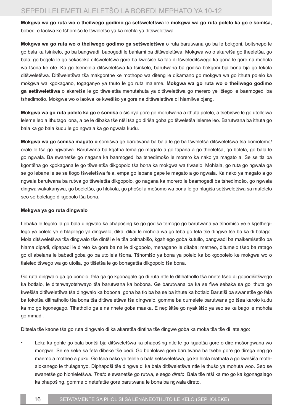**Mokgwa wa go ruta wo o theilwego godimo ga setšweletšwa** le **mokgwa wa go ruta polelo ka go e šomiša,**  bobedi e laolwa ke tšhomišo le tšweletšo ya ka mehla ya ditšweletšwa.

**Mokgwa wa go ruta wo o theilwego godimo ga setšweletšwa** o ruta barutwana go ba le bokgoni, boitshepo le go bala ka tsinkelo, go ba bangwadi, babogedi le bahlami ba ditšweletšwa. Mokgwa wo o akaretša go theeletša, go bala, go bogela le go sekaseka ditšweletšwa gore ba kwešiše ka fao di tšweleditšwego ka gona le gore na mohola wa tšona ke ofe. Ka go tsenelela ditšweletšwa ka tsinkelo, barutwana ba godiša bokgoni bja bona bja go lekola ditšweletšwa. Ditšweletšwa tša makgonthe ke mothopo wa diteng le dikamano go mokgwa wa go ithuta polelo ka mokgwa wa kgokagano, togaganyo ya thuto le go ruta maleme. **Mokgwa wa go ruta wo o theilwego godimo ga setšweletšwa** o akaretša le go tšweletša mehutahuta ya ditšweletšwa go merero ye itšego le baamogedi ba tshedimošo. Mokgwa wo o laolwa ke kwešišo ya gore na ditšweletšwa di hlamilwe bjang.

**Mokgwa wa go ruta polelo ka go e šomiša** o šišinya gore ge morutwana a ithuta polelo, a tsebišwe le go utollelwa leleme leo a ithutago lona, a be le dibaka tše ntši tša go diriša goba go tšweletša leleme leo. Barutwana ba ithuta go bala ka go bala kudu le go ngwala ka go ngwala kudu.

**Mokgwa wa go** š**omiša magato o** šomišwa ge barutwana ba bala le ge ba tšweletša ditšweletšwa tša bomolomo/ orale le tša go ngwalwa. Barutwana ba kgatha tema go magato a go fapana a go theeletša, go bolela, go bala le go ngwala. Ba swanetše go nagana ka baamogedi ba tshedimošo le morero ka nako ya magato a. Se se tla ba kgontšha go kgokagana le go tšweletša dikgopolo tša bona ka mokgwa wa tlwaelo. Mohlala, go ruta go ngwala ga se go lebane le se se tlogo tšweletšwa fela, empa go lebane gape le magato a go ngwala. Ka nako ya magato a go ngwala barutwana ba rutwa go tšweletša dikgopolo, go nagana ka morero le baamogedi ba tshedimošo, go ngwala dingwalwakakanywa, go boeletšo, go hlokola, go phošolla mošomo wa bona le go hlagiša setšweletšwa sa mafelelo seo se bolelago dikgopolo tša bona.

#### **Mekgwa ya go ruta dingwalo**

Lebaka le legolo la go bala dingwalo ka phapošing ke go godiša temogo go barutwana ya tšhomišo ye e kgethegilego ya polelo ye e hlapilego ya dingwalo, dika, dikai le mohola wa go teba go feta tše dingwe tše ba ka di balago. Mola ditšweletšwa tša dingwalo tše dintši e le tša boithabišo, kgahlego goba kutullo, bangwadi ba maikemišetšo ba hlama dipadi, dipapadi le direto ka gore ba na le dikgopolo, menagano le ditaba; metheo, ditumelo tšeo ba ratago go di abelana le babadi goba go ba utollela tšona. Tšhomišo ya bona ya polelo ka boikgopolelo ke mokgwa wo o tlaleleditšwego wa go utolla, go tiišetša le go bonagatša dikgopolo tša bona.

Go ruta dingwalo ga go bonolo, fela ga go kgonagale go di ruta ntle le ditlhathollo tša nnete tšeo di gopodišitšwego ka botlalo, le ditshwayotshwayo tša barutwana ka bobona. Ge barutwana ba ka se fiwe sebaka sa go ithuta go kwešiša ditšweletšwa tša dingwalo ka bobona, gona ba tlo ba ba se ba ithute ka botlalo Barutiši ba swanetše go fela ba fokotša ditlhathollo tša bona tša ditšweletšwa tša dingwalo, gomme ba dumelele barutwana go tšea karolo kudu ka mo go kgonegago. Tlhathollo ga e na nnete goba maaka. E nepišitše go nyakišišo ya seo se ka bago le mohola go mmadi.

Ditsela tše kaone tša go ruta dingwalo di ka akaretša dintlha tše dingwe goba ka moka tša tše di latelago:

• Leka ka gohle go bala bontši bja ditšweletšwa ka phapošing ntle le go kgaotša gore o dire mošongwana wo mongwe. Se se seke sa feta dibeke tše pedi. Go bohlokwa gore barutwana ba tsebe gore go direga eng go maemo a motheo a puku. Go tšea nako ye telele o bala setšweletšwa, go ka hlola mathata a go kwešiša mothalokanego le thulaganyo. Diphapoši tše dingwe di ka bala ditšweletšwa ntle le thušo ya mohuta woo. Seo se swanetše go hlohleletšwa. *Theto* e swanetše go rutwa, e sego *direto*. Bala tše ntši ka mo go ka kgonagalago ka phapošing, gomme o netefatše gore barutwana le bona ba ngwala direto.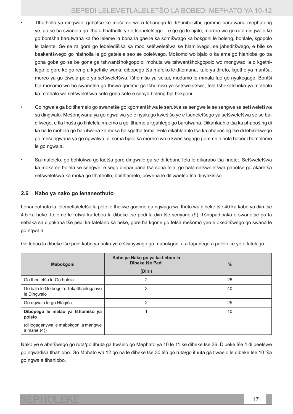- Tlhathollo ya dingwalo gabotse ke mošomo wo o lebanego le diYunibesithi, gomme barutwana mephatong ye, ga se ba swanela go ithuta tlhathollo ye e tseneletšego. Le ge go le bjalo, morero wa go ruta dingwalo ke go bontšha barutwana ka fao leleme la bona la gae le ka šomišwago ka bokgoni le boleng, bohlale, kgopolo le talente. Se se ra gore go lebeledišiša ka moo setšweletšwa se hlamilwego, se jabeditšwego, e bile se beakantšwego go hlatholla le go gatelela seo se bolelwago. Mošomo wo bjalo o ka ama go hlahloba go ba gona goba go se be gona ga tshwantšhokgopolo; mohuta wa tshwantšhokgopolo wo mongwadi a o kgethilego le gore ke go reng a kgethile wona; dibopego tša mafoko le ditemana, kalo ya direto, kgetho ya mantšu, mereo ya go tšwela pele ya setšweletšwa, tšhomišo ya sekai, modumo le mmala fao go nyakegago. Bontši bja mošomo wo bo swanetše go thewa godimo ga tšhomišo ya setšweletšwa, fela tshekatsheko ya mothalo ka mothalo wa setšweletšwa sefe goba sefe e senya boleng bja bokgoni.
- Go ngwala ga boitlhamelo go swanetše go kgomantšhwa le serutwa se sengwe le se sengwe sa setšweletšwa sa dingwalo. Mešongwana ya go ngwalwa ye e nyakago kwešišo ye e tseneletšego ya setšweletšwa se se badilwego, e tla thuša go fihlelela maemo a go itlhamela kgahlego go barutwana. Dikahlaahlo tša ka phapošing di ka ba le mohola ge barutwana ka moka ba kgatha tema. Fela dikahlaahlo tša ka phapošing tše di lebišitšwego go mešongwana ya go ngwalwa, di šoma bjalo ka morero wo o kwešišegago gomme e hola bobedi bomolomo le go ngwala.
- Sa mafelelo, go bohlokwa go laetša gore dingwalo ga se di lebane fela le dikarabo tša nnete:. Setšweletšwa ka moka se bolela se sengwe, e sego diriparipana tša sona fela; go bala setšweletšwa gabotse go akaretša setšweletšwa ka moka go tlhathollo, boitlhamelo, bowena le ditlwaetšo tša dinyakišišo.

## **2.6 Kabo ya nako go lenaneothuto**

Lenaneothuto la lelemetlaleletšo la pele le theilwe godimo ga ngwaga wa thuto wa dibeke tše 40 ka kabo ya diiri tše 4.5 ka beke. Leleme le rutwa ka leboo la dibeke tše pedi la diiri tše senyane (9). Tšhupadipaka e swanetše go fa sebaka sa dipakana tše pedi ka tatelano ka beke, gore ba kgone go fetša mešomo yeo e okeditšwego go swana le go ngwala.

| Mabokgoni                                              | Kabo ya Nako go ya ka Leboo la<br>Dibeke tše Pedi<br>(Diiri) | $\frac{9}{6}$ |
|--------------------------------------------------------|--------------------------------------------------------------|---------------|
| Go theeletša le Go bolela                              | 2                                                            | 25            |
| Go bala le Go bogela: Tekatlhaologanyo<br>le Dingwalo  | 3                                                            | 40            |
| Go ngwala le go Hlagiša                                | $\overline{2}$                                               | 25            |
| Dibopego le melao ya tšhomišo ya<br>polelo             |                                                              | 10            |
| (di logaganywa le mabokgoni a mangwe<br>a mane $(4)$ ) |                                                              |               |

Go leboo la dibeke tše pedi kabo ya nako ye e šišinywago go mabokgoni a a fapanego a polelo ke ye e latelago:

Nako ye e abetšwego go ruta/go ithuta ga tlwaelo go Mephato ya 10 le 11 ke dibeke tše 36. Dibeke tše 4 di beetšwe go ngwadiša tlhahlobo. Go Mphato wa 12 go na le dibeke tše 30 tša go ruta/go ithuta ga tlwaelo le dibeke tše 10 tša go ngwala tlhahlobo.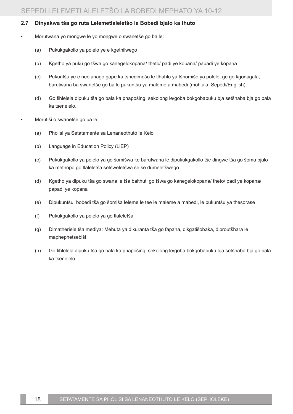## **2.7 Dinyakwa tša go ruta Lelemetlaleletšo la Bobedi bjalo ka thuto**

- Morutwana yo mongwe le yo mongwe o swanetše go ba le:
	- (a) Pukukgakollo ya polelo ye e kgethilwego
	- (b) Kgetho ya puku go tšwa go kanegelokopana/ theto/ padi ye kopana/ papadi ye kopana
	- (c) Pukuntšu ye e neelanago gape ka tshedimošo le tlhahlo ya tšhomišo ya polelo; ge go kgonagala, barutwana ba swanetše go ba le pukuntšu ya maleme a mabedi (mohlala, Sepedi/English).
	- (d) Go fihlelela dipuku tša go bala ka phapošing, sekolong le/goba bokgobapuku bja setšhaba bja go bala ka tsenelelo.
	- Morutiši o swanetše go ba le:
		- (a) Pholisi ya Setatamente sa Lenaneothuto le Kelo
		- (b) Language in Education Policy (LiEP)
		- (c) Pukukgakollo ya polelo ya go šomišwa ke barutwana le dipukukgakollo tše dingwe tša go šoma bjalo ka methopo go tlaleletša setšweletšwa se se dumeletšwego.
		- (d) Kgetho ya dipuku tša go swana le tša baithuti go tšwa go kanegelokopana/ theto/ padi ye kopana/ papadi ye kopana
		- (e) Dipukuntšu, bobedi tša go šomiša leleme le tee le maleme a mabedi, le pukuntšu ya thesorase
		- (f) Pukukgakollo ya polelo ya go tlaleletša
		- (g) Dimatheriele tša mediya: Mehuta ya dikuranta tša go fapana, dikgatišobaka, diproutšhara le maphephetsebiši
		- (h) Go fihlelela dipuku tša go bala ka phapošing, sekolong le/goba bokgobapuku bja setšhaba bja go bala ka tsenelelo.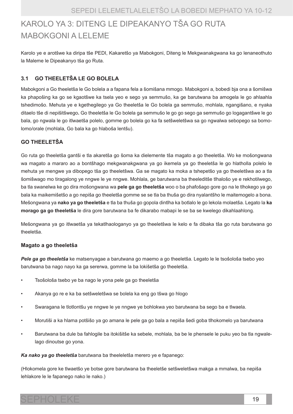# KAROLO ya 3: DITENG LE DIPEAKANYO TŠA GO RUTA MABOKGONI A LELEME

Karolo ye e arotšwe ka diripa tše PEDI, Kakaretšo ya Mabokgoni, Diteng le Mekgwanakgwana ka go lenaneothuto la Maleme le Dipeakanyo tša go Ruta.

## **3.1 GO THEELETŠA LE GO BOLELA**

Mabokgoni a Go theeletša le Go bolela a a fapana fela a šomišana mmogo. Mabokgoni a, bobedi bja ona a šomišwa ka phapošing ka go se kgaotšwe ka tsela yeo e sego ya semmušo, ka ge barutwana ba amogela le go ahlaahla tshedimošo. Mehuta ye e kgethegilego ya Go theeletša le Go bolela ga semmušo, mohlala, ngangišano, e nyaka ditaelo tše di nepišitšwego**.** Go theeletša le Go bolela ga semmušo le go go sego ga semmušo go logagantšwe le go bala, go ngwala le go itlwaetša polelo, gomme go bolela go ka fa setšweletšwa sa go ngwalwa sebopego sa bomolomo/orale (mohlala, Go bala ka go hlaboša lentšu).

## **GO THEELETŠA**

Go ruta go theeletša gantši e tla akaretša go šoma ka dielemente tša magato a go theeletša. Wo ke mošongwana wa magato a mararo ao a bontšhago mekgwanakgwana ya go ikemela ya go theeletša le go hlatholla polelo le mehuta ye mengwe ya dibopego tša go theeletšwa. Ga se magato ka moka a tshepetšo ya go theeletšwa ao a tla šomišwago mo tiragalong ye nngwe le ye nngwe. Mohlala, ge barutwana ba theeleditše tlhalošo ye e rekhotilwego, ba tla swanelwa ke go dira mošongwana wa **pele ga go theeletša** woo o ba phafošago gore go na le tlhokego ya go bala ka maikemišetšo a go nepiša go theeletša gomme se se tla ba thuša go dira nyalantšho le maitemogelo a bona. Mešongwana ya **nako ya go theeletša** e tla ba thuša go gopola dintlha ka botlalo le go lekola molaetša. Legato la **ka morago ga go theeletša** le dira gore barutwana ba fe dikarabo mabapi le se ba se kwelego dikahlaahlong.

Mešongwana ya go itlwaetša ya tekatlhaologanyo ya go theeletšwa le kelo e fa dibaka tša go ruta barutwana go theeletša.

## **Magato a go theeletša**

*Pele ga go theeletša* ke matsenyagae a barutwana go maemo a go theeletša. Legato le le tsošološa tsebo yeo barutwana ba nago nayo ka ga sererwa, gomme la ba lokišetša go theeletša.

- Tsošološa tsebo ye ba nago le yona pele ga go theeletša
- Akanya go re e ka ba setšweletšwa se bolela ka eng go tšwa go hlogo
- Swaragana le tlotlontšu ye nngwe le ye nngwe ye bohlokwa yeo barutwana ba sego ba e tlwaela.
- Morutiši a ka hlama potšišo ya go amana le pele ga go bala a nepiša šedi goba tlhokomelo ya barutwana
- Barutwana ba dule ba fahlogile ba itokišitše ka sebele, mohlala, ba be le phensele le puku yeo ba tla ngwalelago dinoutse go yona.

*Ka nako ya go theeletša* barutwana ba theeleletša merero ye e fapanego:

(Hlokomela gore ke tlwaetšo ye botse gore barutwana ba theeletše setšweletšwa makga a mmalwa, ba nepiša lehlakore le le fapanego nako le nako.)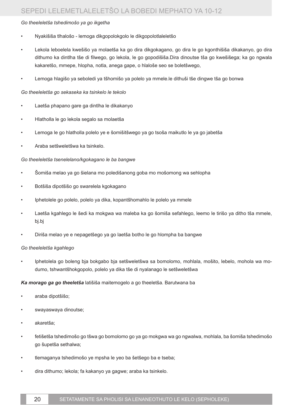#### *Go theeleletša tshedimošo ya go ikgetha*

- Nyakišiša tlhalošo lemoga dikgopolokgolo le dikgopolotlaleletšo
- Lekola leboelela kwešišo ya molaetša ka go dira dikgokagano, go dira le go kgonthišiša dikakanyo, go dira dithumo ka dintlha tše di filwego, go lekola, le go gopodišiša.Dira dinoutse tša go kwešišega; ka go ngwala kakaretšo, mmepe, hlopha, notla, anega gape, o hlaloše seo se boletšwego,
- Lemoga hlagišo ya seboledi ya tšhomišo ya polelo ya mmele.le dithuši tše dingwe tša go bonwa

## *Go theeleletša go sekaseka ka tsinkelo le tekolo*

- Laetša phapano gare ga dintlha le dikakanyo
- Hlatholla le go lekola segalo sa molaetša
- Lemoga le go hlatholla polelo ye e šomišitšwego ya go tsoša maikutlo le ya go jabetša
- Araba setšweletšwa ka tsinkelo.

#### *Go theeleletša tsenelelano/kgokagano le ba bangwe*

- Šomiša melao ya go šielana mo poledišanong goba mo mošomong wa sehlopha
- Botšiša dipotšišo go swarelela kgokagano
- Iphetolele go polelo, polelo ya dika, kopantšhomahlo le polelo ya mmele
- Laetša kgahlego le šedi ka mokgwa wa maleba ka go šomiša sefahlego, leemo le tirišo ya ditho tša mmele, bj.bj
- Diriša melao ye e nepagetšego ya go laetša botho le go hlompha ba bangwe

## *Go theeleletša kgahlego*

• Iphetolela go boleng bja bokgabo bja setšweletšwa sa bomolomo, mohlala, mošito, lebelo, mohola wa modumo, tshwantšhokgopolo, polelo ya dika tše di nyalanago le setšweletšwa

#### *Ka morago ga go theeletša* latišiša maitemogelo a go theeletša. Barutwana ba

- araba dipotšišo;
- swayaswaya dinoutse;
- akaretša;
- fetišetša tshedimošo go tšwa go bomolomo go ya go mokgwa wa go ngwalwa, mohlala, ba šomiša tshedimošo go šupetša sethalwa;
- tlemaganya tshedimošo ye mpsha le yeo ba šetšego ba e tseba;
- dira dithumo; lekola; fa kakanyo ya gagwe; araba ka tsinkelo.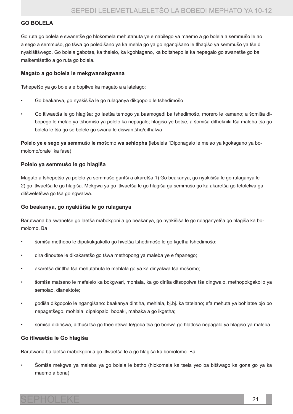## **GO BOLELA**

Go ruta go bolela e swanetše go hlokomela mehutahuta ye e nabilego ya maemo a go bolela a semmušo le ao a sego a semmušo, go tšwa go poledišano ya ka mehla go ya go ngangišano le tlhagišo ya semmušo ya tše di nyakišitšwego. Go bolela gabotse, ka thelelo, ka kgohlagano, ka boitshepo le ka nepagalo go swanetše go ba maikemišetšo a go ruta go bolela.

## **Magato a go bolela le mekgwanakgwana**

Tshepetšo ya go bolela e bopilwe ka magato a a latelago:

- Go beakanya, go nyakišiša le go rulaganya dikgopolo le tshedimošo
- Go itlwaetša le go hlagiša: go laetša temogo ya baamogedi ba tshedimošo, morero le kamano; a šomiša dibopego le melao ya tšhomišo ya polelo ka nepagalo; hlagišo ye botse, a šomiša dithekniki tša maleba tša go bolela le tša go se bolele go swana le diswantšho/dithalwa

**Polelo ye e sego ya semmu**šo **le mo**šomo **wa sehlopha (**lebelela "Diponagalo le melao ya kgokagano ya bomolomo/orale" ka fase)

## **Polelo ya semmušo le go hlagiša**

Magato a tshepetšo ya polelo ya semmušo gantši a akaretša 1) Go beakanya, go nyakišiša le go rulaganya le 2) go itlwaetša le go hlagiša. Mekgwa ya go itlwaetša le go hlagiša ga semmušo go ka akaretša go fetolelwa ga ditšweletšwa go tša go ngwalwa.

## **Go beakanya, go nyakišiša le go rulaganya**

Barutwana ba swanetše go laetša mabokgoni a go beakanya, go nyakišiša le go rulaganyetša go hlagiša ka bomolomo. Ba

- šomiša methopo le dipukukgakollo go hwetša tshedimošo le go kgetha tshedimošo;
- dira dinoutse le dikakaretšo go tšwa methopong ya maleba ye e fapanego;
- akaretša dintlha tša mehutahuta le mehlala go ya ka dinyakwa tša mošomo;
- šomiša matseno le mafelelo ka bokgwari, mohlala, ka go diriša ditsopolwa tša dingwalo, methopokgakollo ya semolao, dianektote;
- godiša dikgopolo le ngangišano: beakanya dintlha, mehlala, bj.bj. ka tatelano; efa mehuta ya bohlatse bjo bo nepagetšego, mohlala. dipalopalo, bopaki, mabaka a go ikgetha;
- šomiša didirišwa, dithuši tša go theeletšwa le/goba tša go bonwa go hlatloša nepagalo ya hlagišo ya maleba.

## **Go itlwaetša le Go hlagiša**

Barutwana ba laetša mabokgoni a go itlwaetša le a go hlagiša ka bomolomo. Ba

• Šomiša mekgwa ya maleba ya go bolela le batho (hlokomela ka tsela yeo ba bitšwago ka gona go ya ka maemo a bona)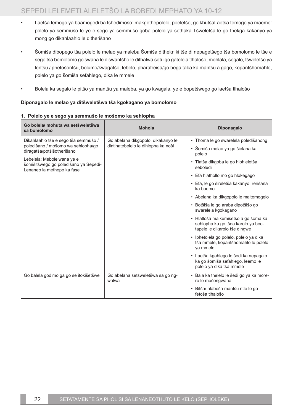- Laetša temogo ya baamogedi ba tshedimošo: makgethepolelo, poeletšo, go khutšaLaetša temogo ya maemo: polelo ya semmušo le ye e sego ya semmušo goba polelo ya sethaka Tšweletša le go thekga kakanyo ya mong go dikahlaahlo le ditherišano
- Šomiša dibopego tša polelo le melao ya maleba Šomiša dithekniki tše di nepagetšego tša bomolomo le tše e sego tša bomolomo go swana le diswantšho le dithalwa setu go gatelela tlhalošo, mohlala, segalo, tšweletšo ya lentšu / phetošontšu, bolumo/kwagatšo, lebelo, pharafreisa/go bega taba ka mantšu a gago, kopantšhomahlo, polelo ya go šomiša sefahlego, dika le mmele
- Bolela ka segalo le pitšo ya mantšu ya maleba, ya go kwagala, ye e bopetšwego go laetša tlhalošo

### **Diponagalo le melao ya ditšweletšwa tša kgokagano ya bomolomo**

|  |  |  |  |  | 1. Polelo ye e sego ya semmušo le mošomo ka sehlopha |  |  |  |  |
|--|--|--|--|--|------------------------------------------------------|--|--|--|--|
|--|--|--|--|--|------------------------------------------------------|--|--|--|--|

| Go bolela/ mohuta wa setšweletšwa<br>sa bomolomo                                                  | <b>Mohola</b>                              | <b>Diponagalo</b>                                                                                                      |  |  |  |
|---------------------------------------------------------------------------------------------------|--------------------------------------------|------------------------------------------------------------------------------------------------------------------------|--|--|--|
| Dikahlaahlo tše e sego tša semmušo /                                                              | Go abelana dikgopolo, dikakanyo le         | · Thoma le go swarelela poledišanong                                                                                   |  |  |  |
| poledišano / mošomo wa sehlopha/go<br>diragatša/potšišotherišano                                  | dintlhatebelelo le dihlopha ka noši        | · Šomiša melao ya go šielana ka<br>polelo                                                                              |  |  |  |
| Lebelela: Mebolelwana ye e<br>šomišitšwego go poledišano ya Sepedi-<br>Lenaneo la methopo ka fase |                                            | · Tlatša dikgoba le go hlohleletša<br>seboledi                                                                         |  |  |  |
|                                                                                                   |                                            | Efa hlathollo mo go hlokegago                                                                                          |  |  |  |
|                                                                                                   |                                            | · Efa, le go šireletša kakanyo; rerišana<br>ka boemo                                                                   |  |  |  |
|                                                                                                   |                                            | • Abelana ka dikgopolo le maitemogelo                                                                                  |  |  |  |
|                                                                                                   |                                            | · Botšiša le go araba dipotšišo go<br>swarelela kgokagano                                                              |  |  |  |
|                                                                                                   |                                            | Hlatloša maikemišetšo a go šoma ka<br>$\bullet$<br>sehlopha ka go tšea karolo ya boe-<br>tapele le dikarolo tše dingwe |  |  |  |
|                                                                                                   |                                            | Iphetolela go polelo, polelo ya dika<br>tša mmele, kopantšhomahlo le polelo<br>va mmele                                |  |  |  |
|                                                                                                   |                                            | · Laetša kgahlego le šedi ka nepagalo<br>ka go šomiša sefahlego, leemo le<br>polelo ya dika tša mmele                  |  |  |  |
| Go balela godimo ga go se itokišetšwe                                                             | Go abelana setšweletšwa sa go ng-<br>walwa | Bala ka thelelo le šedi go ya ka more-<br>ro le mošongwana                                                             |  |  |  |
|                                                                                                   |                                            | Bitša/ hlaboša mantšu ntle le go<br>fetoša tlhalošo                                                                    |  |  |  |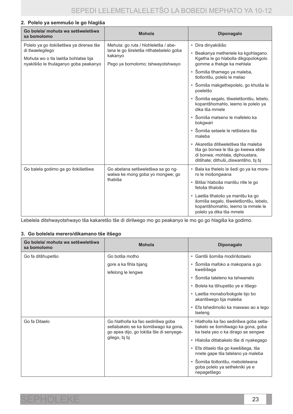| Go bolela/ mohuta wa setšweletšwa<br>sa bomolomo                                                 | <b>Mohola</b>                                                                          | <b>Diponagalo</b>                                                                                                                                    |
|--------------------------------------------------------------------------------------------------|----------------------------------------------------------------------------------------|------------------------------------------------------------------------------------------------------------------------------------------------------|
| Polelo ya go itokišetšwa ya direrwa tše                                                          | Mehuta: go ruta / hlohleletša / abe-                                                   | · Dira dinyakišišo                                                                                                                                   |
| di tlwaelegilego<br>Mohuta wo o tla laetša bohlatse bja<br>nyakišišo le thulaganyo goba peakanyo | lana le go šireletša ntlhatebelelo goba<br>kakanyo<br>Pego ya bomolomo; tshwayotshwayo | • Beakanya metheriele ka kgohlagano.<br>Kgetha le go hlabolla dikgopolokgolo<br>gomme a thekge ka mehlala                                            |
|                                                                                                  |                                                                                        | · Šomiša tlhamego ya maleba,<br>tlotlontšu, polelo le melao                                                                                          |
|                                                                                                  |                                                                                        | · Šomiša makgethepolelo, go khutša le<br>poeletšo                                                                                                    |
|                                                                                                  |                                                                                        | · Šomiša segalo, tšweletšontšu, lebelo,<br>kopantšhomahlo, leemo le polelo ya<br>dika tša mmele                                                      |
|                                                                                                  |                                                                                        | · Šomiša matseno le mafelelo ka<br>bokgwari                                                                                                          |
|                                                                                                  |                                                                                        | · Šomiša setaele le retšistara tša<br>maleba                                                                                                         |
|                                                                                                  |                                                                                        | · Akaretša ditšweletšwa tša maleba<br>tša go bonwa le tša go kwewa ebile<br>di bonwa; mohlala, diphoustara,<br>ditšhate; dithuši,, diswantšho, bj bj |
| Go balela godimo ga go itokišetšwa                                                               | Go abelana setšweletšwa sa go ng-<br>walwa ke mong goba yo mongwe; go                  | · Bala ka thelelo le šedi go ya ka more-<br>ro le mošongwana                                                                                         |
|                                                                                                  | thabiša                                                                                | · Bitša/ hlaboša mantšu ntle le go<br>fetoša tlhalošo                                                                                                |
|                                                                                                  |                                                                                        | · Laetša tlhalošo ya mantšu ka go<br>šomiša segalo, tšweletšontšu, lebelo,<br>kopantšhomahlo, leemo la mmele le<br>polelo ya dika tša mmele          |

## **2. Polelo ya semmušo le go hlagiša**

Lebelela ditshwayotshwayo tša kakaretšo tše di dirilwego mo go peakanyo le mo go go hlagiša ka godimo.

#### **3. Go bolelela merero/dikamano tše itšego**

| Go bolela/ mohuta wa setšweletšwa<br>sa bomolomo | <b>Mohola</b>                                                                                                                          | <b>Diponagalo</b>                                                                                                   |
|--------------------------------------------------|----------------------------------------------------------------------------------------------------------------------------------------|---------------------------------------------------------------------------------------------------------------------|
| Go fa ditšhupetšo                                | Go botša motho                                                                                                                         | • Gantši šomiša modirišotaelo                                                                                       |
|                                                  | gore a ka fihla bjang<br>lefelong le lengwe                                                                                            | · Šomiša mafoko a makopana a go<br>kwešišega                                                                        |
|                                                  |                                                                                                                                        | • Šomiša tateleno ka tshwanelo                                                                                      |
|                                                  |                                                                                                                                        | · Bolela ka tšhupetšo ye e itšego                                                                                   |
|                                                  |                                                                                                                                        | · Laetša monabo/bokgole bjo bo<br>akantšwego bja maleba                                                             |
|                                                  |                                                                                                                                        | Efa tshedimošo ka maswao ao a lego<br>$\bullet$<br>tseleng                                                          |
| Go fa Ditaelo                                    | Go hlatholla ka fao sedirišwa goba<br>setlabakelo se ka šomišwago ka gona,<br>go apea dijo, go lokiša tše di senyege-<br>gilego, bj bj | • Hlatholla ka fao sedirišwa goba setla-<br>bakelo se šomišwago ka gona, goba<br>ka tsela yeo o ka dirago se sengwe |
|                                                  |                                                                                                                                        | · Hlaloša ditlabakelo tše di nyakegago                                                                              |
|                                                  |                                                                                                                                        | • Efa ditaelo tša go kwešišega, tša<br>nnete gape tša tatelano ya maleba                                            |
|                                                  |                                                                                                                                        | · Šomiša tlotlontšu, mebolelwana<br>goba polelo ya sethekniki ye e<br>nepagetšego                                   |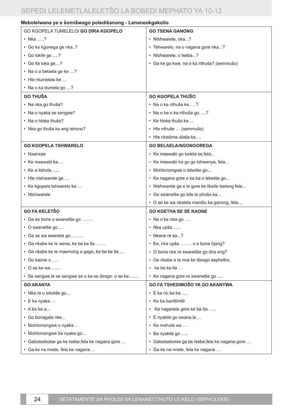#### **Mebolelwana ye e šomišwago poledišanong - Lenaneokgakollo**

| GO KGOPELA TUMELELO/ GO DIRA KGOPELO                | <b>GO TSENA GANONG</b>                           |
|-----------------------------------------------------|--------------------------------------------------|
| • Nka ?                                             | • Ntshwarele, nka?                               |
| · Go ka kgonega ge nka?                             | · Tshwarelo, na o nagana gore nka?               |
| · Go lokile ge ?                                    | · Ntshwarele, o tseba?                           |
| · Go tla loka ge?                                   | · Ga ke go kwe, na o ka nthuša? (semmušo)        |
| • Na o a belaela ge ke ?                            |                                                  |
| • Hie ntumelele ke                                  |                                                  |
| • Na o ka dumela go ?                               |                                                  |
| <b>GO THUŠA</b>                                     | <b>GO KGOPELA THUŠO</b>                          |
| • Na nka go thuša?                                  | · Na o ka nthuša ka?                             |
| • Na o nyaka se sengwe?                             | · Na o be o ka nthuša go?                        |
| · Na o hloka thušo?                                 | • Ke hloka thušo ka                              |
| • Nka go thuša ka eng lehono?                       | · Hle nthuše  (semmušo)                          |
|                                                     | • Hie nkadime diatla ka                          |
| <b>GO KGOPELA TSHWARELO</b>                         | <b>GO BELAELA/NGONGOREGA</b>                     |
| • Nxanxae                                           | • Ke maswabi go bolela se, fela                  |
| • Ke maswabi ka                                     | · Ke maswabi ka go go tshwenya, fela             |
| • Ke a itshola                                      | · Mohlomongwe o lebetše go                       |
| • Hie ntshwarele ge                                 | · Ke nagana gore o ka ba o lebetše go            |
| • Ke kgopela tshwarelo ka                           | · Ntshwarele ge e le gore ke tšwile tseleng fela |
| • Ntshwarele.                                       | · Go swanetše go bile le phošo ka                |
|                                                     | · O se ke wa nkatela mantšu ka ganong, fela      |
| <b>GO FA KELETŠO</b>                                | <b>GO KGETHA SE SE KAONE</b>                     |
| · Ga ke bone o swanetše go                          | • Na o ka rata go                                |
| • O swanetše go                                     | · Nka upša                                       |
| · Ga se wa swanela go                               | • Nkane re sa?                                   |
| · Ge nkabe ke le wena, ke be ke tla                 | • Ee, nka upša  o e bona bjang?                  |
| • Ge nkabe ke le maemong a gago, ke be ke tla       | · O bona nke re swanetše go dira eng?            |
| $\cdot$ Go kaone o                                  | · Ge nkabe e le nna ke tšeago sephetho,          |
| · O se ke wa                                        | $\cdot$ ke be ke tla                             |
| · Se sengwe le se sengwe se o ka se dirago, o se ke | · Ke nagana gore re swanetše go                  |
| <b>GO AKANYA</b>                                    | GO FA TSHEDIMOŠO YA GO AKANYWA                   |
| · Nka re o loketše go                               | $\cdot$ E ka no ba ba                            |
| $\cdot$ E ka nyaka                                  | • Ke ba bantšintši                               |
| $\bullet$ A ka ba a                                 | • Ke naganela gore ke ba ba                      |
| · Go bonagala nke                                   | • E nyakile go swana le                          |
| • Mohlomongwe o nyaka                               | • Ke mohuta wa                                   |
| • Mohlomongwe ba nyaka go                           | • Ba nyakile go                                  |
| · Gabotsebotse ga ke tsebe, fela ke nagana gore     | · Gabotsebotse ga ke tsebe, fela ke nagana gore  |
| · Ga ke na nnete, fela ke nagana                    | · Ga ke na nnete, fela ke nagana                 |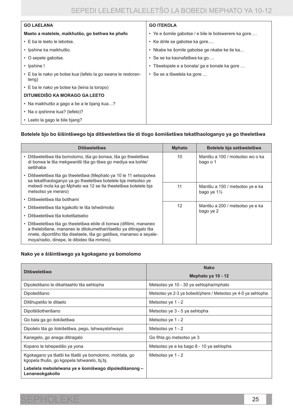| <b>GO LAELANA</b>                                                     | <b>GO ITEKOLA</b>                                    |
|-----------------------------------------------------------------------|------------------------------------------------------|
| Maeto a matelele, maikhutšo, go bethwa ke phefo                       | • Ye e šomile gabotse / e bile le botswerere ka gore |
| $\cdot$ E ba le leeto le lebotse.                                     | • Ke dirile se gabotse ka gore                       |
| • Ipshine ka maikhutšo.                                               | • Nkabe ke šomile gabotse ge nkabe ke ile ka         |
| • O sepele gabotse.                                                   | · Se se ka kaonafatšwa ka go                         |
| • Ipshine!                                                            | · Tšwelopele e a bonala/ ga e bonale ka gore         |
| • E ba le nako ye botse kua (lefelo la go swana le restoran-<br>teng) | · Se se a tšwelela ka gore                           |
| • E ba le nako ye botse ka (leina la toropo)                          |                                                      |
| DITUMEDIŠO KA MORAGO GA LEETO                                         |                                                      |
| · Na maikhutšo a gago a be a le bjang kua?                            |                                                      |
| • Na o ipshinne kua? (lefelo)?                                        |                                                      |
| • Leeto la gago le bile bjang?                                        |                                                      |

## **Botelele bjo bo šišintšwego bja ditšweletšwa tše di tlogo šomišetšwa tekatlhaologanyo ya go theeletšwa**

| <b>Ditšweletšwa</b>                                                                                                                                                                                                                                     | <b>Mphato</b>   | Botelele bja setšweletšwa                                 |
|---------------------------------------------------------------------------------------------------------------------------------------------------------------------------------------------------------------------------------------------------------|-----------------|-----------------------------------------------------------|
| • Ditšweletšwa tša bomolomo, tša go bonwa, tša go theeletšwa<br>di bonwa le tša mekgwantši tša go tšwa go mediya wa bohle/<br>setšhaba                                                                                                                  | 10              | Mantšu a 100 / motsotso wo o ka<br>bago o 1               |
| Ditšweletšwa tša go theeletšwa (Mephato ya 10 le 11 setsopolwa<br>sa tekatlhaologanyo ya go theeletšwa botelele bja metsotso ye                                                                                                                         |                 |                                                           |
| mebedi mola ka go Mphato wa 12 se tla theeletšwa botelele bja<br>metsotso ye meraro)                                                                                                                                                                    | 11              | Mantšu a 150 / metsotso ye e ka<br>bago ye $1\frac{1}{2}$ |
| • Ditšweletšwa tša botlhami                                                                                                                                                                                                                             |                 |                                                           |
| · Ditšweletšwa tša kgakollo le tša tshedimošo                                                                                                                                                                                                           | 12 <sup>2</sup> | Mantšu a 200 / metsotso ye e ka<br>bago ye 2              |
| • Ditšweletšwa tša koketšatsebo                                                                                                                                                                                                                         |                 |                                                           |
| Ditšweletšwa tša go theeletšwa ebile di bonwa (difilimi, mananeo<br>a thelebišene, mananeo le ditokumethari/taetšo ya ditiragalo tša<br>nnete, dipontšho tša diselaete, tša go gatišwa, mananeo a seyale-<br>mova/radio, dinepe, le dibideo tša mmino). |                 |                                                           |

## **Nako ye e šišintšwego ya kgokagano ya bomolomo**

| <b>Ditšweletšwa</b>                                                                                   | <b>Nako</b>                                                   |  |
|-------------------------------------------------------------------------------------------------------|---------------------------------------------------------------|--|
|                                                                                                       | Mephato ya 10 - 12                                            |  |
| Dipoledišano le dikahlaahlo tša sehlopha                                                              | Metsotso ye 10 - 30 ya sehlopha/mphato                        |  |
| Dipoledišano                                                                                          | Metsotso ye 2-3 ya bobedi/phere / Metsotso ye 4-5 ya sehlopha |  |
| Ditšhupetšo le ditaelo                                                                                | Metsotso ye 1 - 2                                             |  |
| Dipotšišotherišano                                                                                    | Metsotso ye 3 - 5 ya sehlopha                                 |  |
| Go bala ga go itokišetšwa                                                                             | Metsotso ye 1 - 2                                             |  |
| Dipolelo tša go itokišetšwa, pego, tshwayatshwayo                                                     | Metsotso ye 1 - 2                                             |  |
| Kanegelo, go anega ditiragalo                                                                         | Go fihla go metsotso ye 3                                     |  |
| Kopano le tshepedišo ya yona                                                                          | Metsotso ye e ka bago 8 - 10 ya sehlopha                      |  |
| Kgokagano ya tšatši ka tšatši ya bomolomo, mohlala, go<br>kgopela thušo, go kgopela tshwarelo, bj.bj. | Metsotso ye 1 - 2                                             |  |
| Lebelela mebolelwana ye e šomišwago dipoledišanong –<br>Lenaneokgakollo                               |                                                               |  |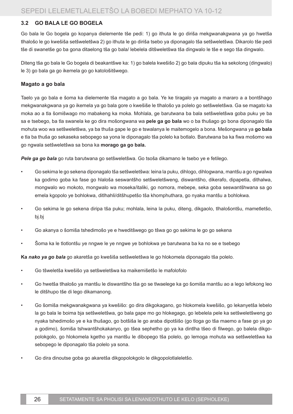## **3.2 GO BALA LE GO BOGELA**

Go bala le Go bogela go kopanya dielemente tše pedi: 1) go ithuta le go diriša mekgwanakgwana ya go hwetša tlhalošo le go kwešiša setšweletšwa 2) go ithuta le go diriša tsebo ya diponagalo tša setšweletšwa. Dikarolo tše pedi tše di swanetše go ba gona ditaelong tša go bala/ lebelela ditšweletšwa tša dingwalo le tše e sego tša dingwalo.

Diteng tša go bala le Go bogela di beakantšwe ka: 1) go balela kwešišo 2) go bala dipuku tša ka sekolong (dingwalo) le 3) go bala ga go ikemela go go katološitšwego.

### **Magato a go bala**

Taelo ya go bala e šoma ka dielemente tša magato a go bala. Ye ke tiragalo ya magato a mararo a a bontšhago mekgwanakgwana ya go ikemela ya go bala gore o kwešiše le tlhalošo ya polelo go setšweletšwa. Ga se magato ka moka ao a tla šomišwago mo mabakeng ka moka. Mohlala, ge barutwana ba bala setšweletšwa goba puku ye ba sa e tsebego, ba tla swanela ke go dira mošongwana wa **pele ga go bala** wo o ba thušago go bona diponagalo tša mohuta woo wa setšweletšwa, ya ba thuša gape le go e tswalanya le maitemogelo a bona. Mešongwana ya **go bala** e tla ba thuša go sekaseka sebopego sa yona le diponagalo tša polelo ka botlalo. Barutwana ba ka fiwa mošomo wa go ngwala setšweletšwa sa bona ka **morago ga go bala.**

*Pele ga go bala* go ruta barutwana go setšweletšwa. Go tsoša dikamano le tsebo ye e fetilego.

- Go sekima le go sekena diponagalo tša setšweletšwa: leina la puku, dihlogo, dihlogwana, mantšu a go ngwalwa ka godimo goba ka fase go hlaloša seswantšho setšweletšweng, diswantšho, dikerafo, dipapetla, dithalwa, mongwalo wo mokoto, mongwalo wa moseka/italiki, go nomora, mebepe, seka goba seswantšhwana sa go emela kgopolo ye bohlokwa, ditlhahli/ditšhupetšo tša khomphuthara, go nyaka mantšu a bohlokwa.
- Go sekima le go sekena diripa tša puku; mohlala, leina la puku, diteng, dikgaolo, tlhalošontšu, mametletšo, bj.bj
- Go akanya o šomiša tshedimošo ye e hweditšwego go tšwa go go sekima le go go sekena
- Šoma ka le tlotlontšu ye nngwe le ye nngwe ye bohlokwa ye barutwana ba ka no se e tsebego

**Ka** *nako ya go bala* go akaretša go kwešiša setšweletšwa le go hlokomela diponagalo tša polelo.

- Go tšweletša kwešišo ya setšweletšwa ka maikemišetšo le mafolofolo
- Go hwetša tlhalošo ya mantšu le diswantšho tša go se tlwaelege ka go šomiša mantšu ao a lego lefokong leo le ditšhupo tše di lego dikamanong.
- Go šomiša mekgwanakgwana ya kwešišo: go dira dikgokagano, go hlokomela kwešišo, go lekanyetša lebelo la go bala le boima bja setšweletšwa, go bala gape mo go hlokegago, go lebelela pele ka setšweletšweng go nyaka tshedimošo ye e ka thušago, go botšiša le go araba dipotšišo (go tloga go tša maemo a fase go ya go a godimo), šomiša tshwantšhokakanyo, go tšea sephetho go ya ka dintlha tšeo di filwego, go balela dikgopolokgolo, go hlokomela kgetho ya mantšu le dibopego tša polelo, go lemoga mohuta wa setšweletšwa ka sebopego le diponagalo tša polelo ya sona.
- Go dira dinoutse goba go akaretša dikgopolokgolo le dikgopolotlaleletšo.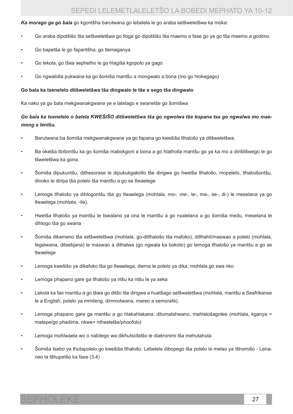## *Ka morago ga go bala* go kgontšha barutwana go lebelela le go araba setšweletšwa ka moka:

- Go araba dipotšišo tša setšweletšwa go tloga go dipotšišo tša maemo a fase go ya go tša maemo a godimo
- Go bapetša le go fapantšha; go tlemaganya
- Go lekola, go tšea sephetho le go hlagiša kgopolo ya gago
- Go ngwalolla pukwana ka go šomiša mantšu a mongwalo a bona (mo go hlokegago)

#### **Go bala ka tsenelelo ditšweletšwa tša dingwalo le tše e sego tša dingwalo**

Ka nako ya go bala mekgwanakgwana ye e latelago e swanetše go šomišwa

## *Go bala ka tsenelelo o balela KWEŠIŠO ditšweletšwa tša go ngwolwa tše kopana tsa go ngwalwa mo maemong a lentšu.*

- Barutwana ba šomiša mekgwanakgwana ya go fapana go kwešiša tlhalošo ya ditšweletšwa.
- Ba oketša tlotlontšu ka go šomiša mabokgoni a bona a go hlatholla mantšu go ya ka mo a dirišitšwego le go tšweletšwa ka gona.
- Šomiša dipukuntšu, dithesorase le dipukukgakollo tše dingwe go hwetša tlhalošo, mopeleto, tlhabošontšu, dinoko le diripa tša polelo tša mantšu a go se tlwaelege
- Lemoga tlhalošo ya dihlogontšu tša go tlwaelega (mohlala, *mo-, me*-, le-, ma-, se-, di-) le meselana ya go tlwaelega (mohlala, -ile).
- Hwetša tlhalošo ya mantšu le tswalano ya ona le mantšu a go nyalelana a go šomiša medu, meselana le dihlogo tša go swana
- Šomiša dikamano tša setšweletšwa (mohlala, go-ditlhalošo tša mafoko), ditlhahli/maswao a polelo (mohlala, fegelwana, ditsebjana) le maswao a dithalwa (go ngwala ka bokoto) go lemoga tlhalošo ya mantšu a go se tlwaelege
- Lemoga kwešišo ya dikafoko tša go tlwaelega, diema le polelo ya dika, mohlala.go swa nko
- Lemoga phapano gare ga tlhalošo ya ntšu ka ntšu le ya seka
- Lekola ka fao mantšu a go tšwa go ditšo tše dingwe a huetšago setšweletšwa (mohlala, mantšu a Seafrikanse le a English, polelo ya mmileng, dimmotwana, mareo a semorafe).
- Lemoga phapano gare ga mantšu a go hlakahlakana: ditumatshwano, mahlalošagotee (mohlala, kganya = matepe/go phadima, nkwe= ntheeletše/phoofolo*)*
- Lemoga mohlwaela wo o nabilego wa dikhutsofatšo le diakronimi tša mehutahuta
- Šomiša tsebo ya thutapolelo go kwešiša tlhalošo. Lebelela dibopego tša polelo le melao ya tšhomišo Lenaneo la tšhupetšo ka fase (3.4)

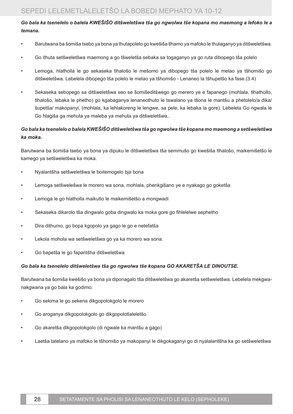*Go bala ka tsenelelo o balela KWEŠIŠO ditšweletšwa tša go ngwolwa tše kopana mo maemong a lefoko le a temana.* 

- Barutwana ba šomiša tsebo ya bona ya thutapolelo go kwešiša tlhamo ya mafoko le thulaganyo ya ditšweletšwa.
- Go ithuta setšweletšwa maemong a go tšweletša sebaka sa togaganyo ya go ruta dibopego tša polelo
- Lemoga, hlatholla le go sekaseka tlhalošo le mešomo ya dibopego tša polelo le melao ya tšhomišo go ditšweletšwa. Lebelela dibopego tša polelo le melao ya tšhomišo - Lenaneo la tšhupetšo ka fase.(3.4)
- Sekaseka sebopego sa ditšweletšwa seo se šomišeditšwego go merero ye e fapanego (mohlala, tlhathollo, tlhalošo, lebaka le phetho) go kgabaganya lenaneothuto le tswalano ya tšona le mantšu a phetolelo/a dika/ šupetša/ makopanyi, (mohlala, ka lehlakoreng le lengwe, sa pele, ka lebaka la gore). Lebelela Go ngwala le Go hlagiša ga mehuta ya maleba ya mehuta ya ditšweletšwa..

## *Go bala ka tsenelelo o balela KWEŠIŠO ditšweletšwa tša go ngwolwa tše kopana mo maemong a setšweletšwa ka moka.*

Barutwana ba šomiša tsebo ya bona ya dipuku le ditšweletšwa tša semmušo go kwešiša tlhalošo, maikemišetšo le kamego ya setšweletšwa ka moka.

- Nyalantšha setšweletšwa le boitemogelo bja bona
- Lemoga setšwelešwa le morero wa sona, mohlala, phenkgišano ye e nyakago go goketša
- Lemoga le go hlatholla maikutlo le maikemišetšo a mongwadi
- Sekaseka dikarolo tša dingwalo goba dingwalo ka moka gore go fihlelelwe sephetho
- Dira dithumo, go bopa kgopolo ya gago le go e netefatša
- Lekola mohola wa setšweletšwa go ya ka morero wa sona.
- Go bapetša le go fapantšha ditšweletšwa

#### *Go bala ka tsenelelo ditšweletšwa tša go ngwolwa tše kopana GO AKARETŠA LE DINOUTSE.*

Barutwana ba šomiša kwešišo ya bona ya diponagalo tša ditšweletšwa go akaretša setšweletšwa. Lebelela mekgwanakgwana ya go bala ka godimo.

- Go sekima le go sekena dikgopolokgolo le morero
- Go aroganya dikgopolokgolo go dikgopolotlaleletšo
- Go akaretša dikgopolokgolo (di ngwale ka mantšu a gago)
- Laetša tatelano ya mafoko le tšhomišo ya makopanyi le dikgokaganyi go di nyalalantšha ka go setšweletšwa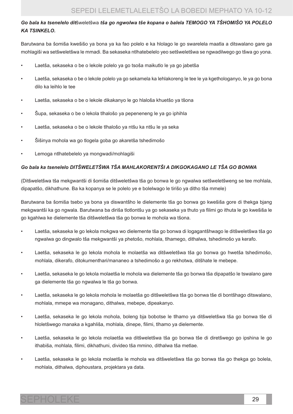## *Go bala ka tsenelelo dit*šweletšwa *tša go ngwolwa tše kopana o balela TEMOGO YA TŠHOMIŠO YA POLELO KA TSINKELO***.**

Barutwana ba šomiša kwešišo ya bona ya ka fao polelo e ka hlolago le go swarelela maatla a ditswalano gare ga mohlagiši wa setšweletšwa le mmadi. Ba sekaseka ntlhatebelelo yeo setšweletšwa se ngwadilwego go tšwa go yona.

- Laetša, sekaseka o be o lekole polelo ya go tsoša maikutlo le ya go jabetša
- Laetša, sekaseka o be o lekole polelo ya go sekamela ka lehlakoreng le tee le ya kgethologanyo, le ya go bona dilo ka leihlo le tee
- Laetša, sekaseka o be o lekole dikakanyo le go hlaloša khuetšo ya tšona
- Šupa, sekaseka o be o lekola tlhalošo ya pepeneneng le ya go iphihla
- Laetša, sekaseka o be o lekole tlhalošo ya ntšu ka ntšu le ya seka
- Šišinya mohola wa go tlogela goba go akaretša tshedimošo
- Lemoga ntlhatebelelo ya mongwadi/mohlagiši

## *Go bala ka tsenelelo DITŠWELETŠWA TŠA MAHLAKORENTŠI A DIKGOKAGANO LE TŠA GO BONWA*

(Ditšweletšwa tša mekgwantši di šomiša ditšweletšwa tša go bonwa le go ngwalwa setšweletšweng se tee mohlala, dipapatšo, dikhathune. Ba ka kopanya se le polelo ye e bolelwago le tirišo ya ditho tša mmele)

Barutwana ba šomiša tsebo ya bona ya diswantšho le dielemente tša go bonwa go kwešiša gore di thekga bjang mekgwantši ka go ngwala. Barutwana ba diriša tlotlontšu ya go sekaseka ya thuto ya filimi go ithuta le go kwešiša le go kgahlwa ke dielemente tša ditšweletšwa tša go bonwa le mohola wa tšona.

- Laetša, sekaseka le go lekola mokgwa wo dielemente tša go bonwa di logagantšhwago le ditšweletšwa tša go ngwalwa go dingwalo tša mekgwantši ya phetošo, mohlala, tlhamego, dithalwa, tshedimošo ya kerafo.
- Laetša, sekaseka le go lekola mohola le molaetša wa ditšweletšwa tša go bonwa go hwetša tshedimošo, mohlala, dikerafo, ditokumenthari/mananeo a tshedimošo a go rekhotwa, ditšhate le mebepe.
- Laetša, sekaseka le go lekola molaetša le mohola wa dielemente tša go bonwa tša dipapatšo le tswalano gare ga dielemente tša go ngwalwa le tša go bonwa.
- Laetša, sekaseka le go lekola mohola le molaetša go ditšweletšwa tša go bonwa tše di bontšhago ditswalano, mohlala, mmepe wa monagano, dithalwa, mebepe, dipeakanyo.
- Laetša, sekaseka le go lekola mohola, boleng bja bobotse le tlhamo ya ditšweletšwa tša go bonwa tše di hloletšwego manaka a kgahliša, mohlala, dinepe, filimi, tlhamo ya dielemente.
- Laetša, sekaseka le go lekola molaetša wa ditšweletšwa tša go bonwa tše di diretšwego go ipshina le go ithabiša, mohlala, filimi, dikhathuni, divideo tša mmino, dithalwa tša metlae.
- Laetša, sekaseka le go lekola molaetša le mohola wa ditšweletšwa tša go bonwa tša go thekga go bolela, mohlala, dithalwa, diphoustara, projektara ya data.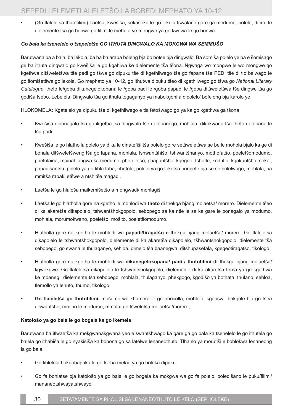• (Go tlaleletša thutofilimi) Laetša**,** kwešiša, sekaseka le go lekola tswalano gare ga medumo, polelo, ditiro, le dielemente tša go bonwa go filimi le mehuta ye mengwe ya go kwewa le go bonwa.

## *Go bala ka tsenelelo o tsepeletše GO ITHUTA DINGWALO KA MOKGWA WA SEMMUŠO*

Barutwana ba a bala, ba lekola, ba ba ba araba boleng bja bo botse bja dingwalo. Ba šomiša polelo ye ba e šomišago ge ba ithuta dingwalo go kwešiša le go kgahlwa ke dielemente tša tšona. Ngwaga wo mongwe le wo mongwe go kgethwa ditšweletšwa tše pedi go tšwa go dipuku tše di kgethilwego tša go fapana tše PEDI tše di tlo balwago le go šomišetšwa go lekola. Go mephato ya 10-12, go ithutwa dipuku tšeo di kgethilwego go tšwa go *National Literary Catalogue*: theto le/goba dikanegelokopana le /goba padi le /goba papadi le /goba ditšweletšwa tše dingwe tša go godiša tsebo. Lebelela 'Dingwalo tša go ithuta togaganyo ya mabokgoni a dipolelo' bofelong bja karolo ye.

HLOKOMELA**:** Kgatelelo ya dipuku tše di kgethilwego e tla fetošwago go ya ka go kgethwa ga tšona

- Kwešiša diponagalo tša go ikgetha tša dingwalo tše di fapanego, mohlala, dikokwana tša theto di fapana le tša padi.
- Kwešiša le go hlatholla polelo ya dika le dinatefiši tša polelo go re setšweletšwa se be le mohola bjalo ka ge di bonala ditšweletšweng tša go fapana, mohlala, tshwantšhišo, tshwantšhanyo, mothofatšo, poeletšomodumo, phetolaina, mainahlangwa ka medumo, pheteletšo, phapantšho, kgegeo, tshotlo, kodutlo, kgakantšho, sekai, papadišantšu, polelo ya go fihla taba, phefolo, polelo ya go fokotša bonnete bja se se bolelwago, mohlala, ba mmitša rabaki etšwe a ntšhitše magadi.
- Laetša le go hlaloša maikemišetšo a mongwadi/ mohlagiši
- Laetša le go hlatholla gore na kgetho le mohlodi wa **theto** di thekga bjang molaetša/ morero. Dielemente tšeo di ka akaretša dikapolelo, tshwantšhokgopolo, sebopego sa ka ntle le sa ka gare le ponagalo ya modumo, mohlala, morumokwano, poeletšo, mošito, poeletšomodumo.
- Hlatholla gore na kgetho le mohlodi wa **papadi/tiragatšo e** thekga bjang molaetša/ morero. Go tlaleletša dikapolelo le tshwantšhokgopolo, dielemente di ka akaretša dikapolelo, tšhwantšhokgopolo, dielemente tša sebopego, go swana le thulaganyo, sehloa, dimelo tša baanegwa, ditšhupasefala, kgegeotiragatšo, tikologo.
- Hlatholla gore na kgetho le mohlodi wa **dikanegelokopana/ padi / thutofilimi di** thekga bjang molaetša/ kgwekgwe. Go tlaleletša dikapolelo le tshwantšhokgopolo, dielemente di ka akaretša tema ya go kgathwa ke moanegi, dielemente tša sebopego, mohlala, thulaganyo, phekgogo, kgodišo ya bothata, thulano, sehloa, tlemollo ya lehuto, thumo, tikologo.
- **• Go tlaleletša go thutofilimi,** mošomo wa khamera le go phošolla, mohlala, kgauswi, bokgole bja go tšea diswantšho, mmino le modumo, mmala**,** go tšweletša molaetša/morero,

#### **Katološo ya go bala le go bogela ka go ikemela**

Barutwana ba itlwaetša ka mekgwanakgwana yeo e swantšhwago ka gare ga go bala ka tsenelelo le go ithutela go balela go ithabiša le go nyakišiša ka bobona go sa latelwe lenaneothuto. Tlhahlo ya morutiši e bohlokwa lenaneong la go bala.

- Go fihlelela bokgobapuku le go tseba melao ya go boloka dipuku
- Go fa bohlatse bja katološo ya go bala le go bogela ka mokgwa wa go fa polelo, poledišano le puku/filimi/ mananeotshwayatshwayo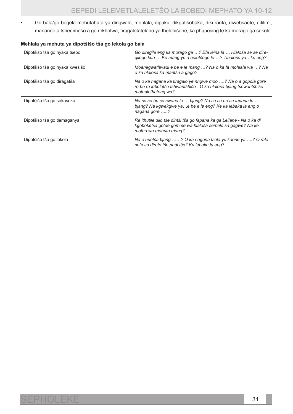• Go bala/go bogela mehutahuta ya dingwalo, mohlala, dipuku, dikgatišobaka, dikuranta, diwebsaete, difilimi, mananeo a tshedimošo a go rekhotwa, tiragalotatelano ya thelebišene, ka phapošing le ka morago ga sekolo.

#### **Mehlala ya mehuta ya dipotšišo tša go lekola go bala**

| Dipotšišo tša go nyaka tsebo   | Go diregile eng ka morago ga ? Efa leina la  Hlaloša se se dire-<br>gilego kua  Ke mang yo a boletšego le ? Tlhalošo yake eng?                            |
|--------------------------------|-----------------------------------------------------------------------------------------------------------------------------------------------------------|
| Dipotšišo tša go nyaka kwešišo | Moanegwathwadi e be e le mang ? Na o ka fa mohlala wa ? Na<br>o ka hlaloša ka mantšu a gago?                                                              |
| Dipotšišo tša go diragatša     | Na o ka nagana ka tiragalo ye nngwe moo ? Na o a gopola gore<br>re be re lebeletše tshwantšhišo - O ka hlaloša bjang tshwantšhišo<br>mothalothetong wo?   |
| Dipotšišo tša go sekaseka      | Na se se be se swana le  bjang? Na se se be se fapana le<br>bjang? Na kgwekgwe yae be e le eng? Ke ka lebaka la eng o<br>nagana gore ?                    |
| Dipotšišo tša go tlemaganya    | Re ithutile dilo tše dintši tša go fapana ka ga Leilane - Na o ka di<br>kgoboketša gotee gomme wa hlaloša semelo sa gagwe? Na ke<br>motho wa mohuta mang? |
| Dipotšišo tša go lekola        | Na e huetša bjang ? O ka nagana tsela ye kaone ya ? O rata<br>sefe sa direto tše pedi tše? Ka lebaka la eng?                                              |

# SEPHOLEKE 31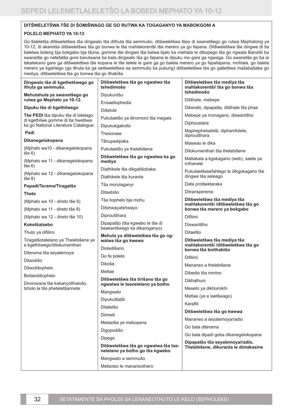### **DITŠWELETŠWA TŠE DI ŠOMIŠWAGO GE GO RUTWA KA TOGAGANYO YA MABOKGONI A**

#### **POLELO MEPHATO YA 10-12**

Go tlaleletša ditšweletšwa tša dingwalo tša dithuta tša semmušo, ditšweletšwa tšeo di swanetšego go rutwa Mephatong ya 10-12, di akaretša ditšweletšwa tša go bonwa le tša mahlakorentši tša merero ya go fapana. Ditšweletšwa tše dingwe di tla balelwa boleng bja bokgabo bja tšona, gomme tše dingwe tša balwa bjalo ka mehlala le dibopego tša go ngwala Barutiši ba swanetše go netefatša gore barutwana ba bala dingwalo tša go fapana le dipuku mo gare ga ngwaga. Go swanetše go ba le tekatekano gare ga ditšweletšwa tše kopana le tše telele le gare ga go balela merero ya go fapafapana, mohlala. go balela merero ya kgahlego (go ithuta ka ga setšweletšwa sa semmušo ka pukung) ditšweletšwa tša go gašetšwa mašabašaba go mediya, ditšweletšwa tša go bonwa tša go ithabiša

| Dingwalo tše di kgethetšwego go<br>ithuta ga semmušo.                    | Ditšweletšwa tša go ngwalwa tša<br>tshedimošo                           | Ditšweletšwa tša mediya tša<br>mahlakorentši/ tša go bonwa tša<br>tshedimošo |  |
|--------------------------------------------------------------------------|-------------------------------------------------------------------------|------------------------------------------------------------------------------|--|
| Mehutahuta ye swanetšego go                                              | Dipukuntšu                                                              |                                                                              |  |
| rutwa go Mephato ya 10-12.                                               | Ensaetlophedia                                                          | Ditšhate, mebepe                                                             |  |
| Dipuku tše di kgethilwego                                                | <b>Dišetule</b>                                                         | Dikerafo, dipapetla, ditšhate tša phae                                       |  |
| Tše PEDI tša dipuku tše di latelago<br>di kgethilwe gomme di tla hwetšwa | Pukutaetšo ya dinomoro tša megala                                       | Mebepe ya monagano, diswantšho                                               |  |
| ka go National Literature Catalogue:                                     | Dipukukgakollo                                                          | Diphoustara                                                                  |  |
| Padi                                                                     | Thesorase                                                               | Maphephetsebiši, diphamfolete,<br>diproutšhara                               |  |
| Dikanegelokopana                                                         | Tšhupadipaka                                                            | Maswao le dika                                                               |  |
| (Mphato wa10 - dikanegelokopana<br>tše $6)$                              | Pukutaetšo ya thelebišene                                               | Ditokumenthari tša thelebišene                                               |  |
| (Mphato wa 11 - dikanegelokopana<br>$t\$ {se}6                           | Ditšweletšwa tša go ngwalwa ka go<br>mediya                             | Matlakala a kgokagano (web), saete ya<br>inthanete                           |  |
|                                                                          | Diathikele tša dikgatišobaka                                            | Pukutaetšasefahlego le dikgokagano tše                                       |  |
| (Mphato wa 12 - dikanegelokopana<br>$t\$ {se}8                           | Diathikele tša kuranta                                                  | dingwe tša seleago                                                           |  |
| Papadi/Terama/Tiragatšo                                                  | Tša morulaganyi                                                         | Data protšektaraka                                                           |  |
| Theto                                                                    | Ditsebišo                                                               | Ditransperensi                                                               |  |
| (Mphato wa 10 - direto tše 6)                                            | Tša bophelo bja mohu                                                    | Ditšweletšwa tša mediya tša<br>mahlakorentši /ditšweletšwa tša go            |  |
| (Mphato wa 11 - direto tše 8)                                            | Ditshwayatshwayo                                                        | bonwa tša merero ya bokgabo                                                  |  |
| (Mphato wa 12 - direto tše 10)                                           | Diproutšhara                                                            | Difilimi                                                                     |  |
| Koketšatsebo                                                             | Dipapatšo (tša kgwebo le tše di                                         | Diswantšho                                                                   |  |
| Thuto ya difilimi                                                        | beakantšwego ka dikaroganyo)                                            | Ditaetšo                                                                     |  |
| Tiragatšotatelano ya Thelebišene ye<br>e kgethilwego/ditokumenthari      | Mehuta ya ditšweletšwa tša go ng-<br>walwa tša go kwewa                 | Ditšweletšwa tša mediya tša<br>mahlakorentši /ditšweletšwa tša go            |  |
|                                                                          | Dioledišano                                                             | bonwa tša boithabišo                                                         |  |
| Diterama tša seyalemoya<br>Ditaodišo                                     | Go fa polelo                                                            | Difilimi                                                                     |  |
|                                                                          | Dikoša                                                                  | Mananeo a thelebišene                                                        |  |
| Ditaodišophelo                                                           | Metlae                                                                  | Dibedio tša mmino                                                            |  |
| Boitaodišophelo                                                          | Ditšweletšwa tša tirišano tša go                                        | Dikhathuni                                                                   |  |
| Dinonwane tša kakanyotlhalošo,<br>tsholo le tša pheteletšannete          | ngwalwa le tsenelelano ya botho                                         | Meseto ya dikhomikhi                                                         |  |
|                                                                          | Mangwalo                                                                | Metlae (ye e laetšwago)                                                      |  |
|                                                                          | Dipukutšatši                                                            | Kerafiti                                                                     |  |
|                                                                          | Ditaletšo                                                               | Ditšweletšwa tša go kwewa                                                    |  |
|                                                                          | <b>Diimeili</b>                                                         | Mananeo a seyalemoya/radio                                                   |  |
|                                                                          | Melaetša ye mekopana                                                    | Go bala diterama                                                             |  |
|                                                                          | Digopodišo                                                              | Go bala dipadi goba dikanegelokopana                                         |  |
|                                                                          | Dipego                                                                  | Dipapatšo tša seyalemoya/radio,<br>Thelebišene, dikuranta le dimakasine      |  |
|                                                                          | Ditšweletšwa tša go ngwalwa tša tse-<br>nelelano ya botho go tša kgwebo |                                                                              |  |
|                                                                          | Mangwalo a semmušo                                                      |                                                                              |  |
|                                                                          | Metsotso le mananeothero                                                |                                                                              |  |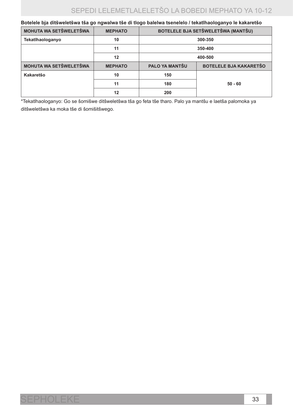**Botelele bja ditšweletšwa tša go ngwalwa tše di tlogo balelwa tsenelelo / tekatlhaologanyo le kakaretšo**

| <b>MOHUTA WA SETŠWELETŠWA</b> | <b>MEPHATO</b> | BOTELELE BJA SETŠWELETŠWA (MANTŠU)              |           |  |
|-------------------------------|----------------|-------------------------------------------------|-----------|--|
| Tekatlhaologanyo              | 10             | 300-350                                         |           |  |
|                               | 11             | 350-400                                         |           |  |
|                               | 12             | 400-500                                         |           |  |
| <b>MOHUTA WA SETŠWELETŠWA</b> | <b>MEPHATO</b> | <b>BOTELELE BJA KAKARETŠO</b><br>PALO YA MANTŠU |           |  |
| Kakaretšo                     | 10             | 150                                             |           |  |
|                               | 11             | 180                                             | $50 - 60$ |  |
|                               | 12             | 200                                             |           |  |

\*Tekatlhaologanyo: Go se šomišwe ditšweletšwa tša go feta tše tharo. Palo ya mantšu e laetša palomoka ya ditšweletšwa ka moka tše di šomišitšwego.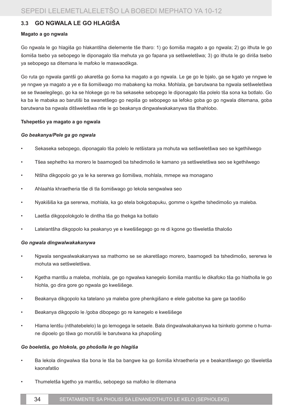#### $3.3$ **3.3 GO NGWALA LE GO HLAGIŠA**

#### **Magato a go ngwala**

Go ngwala le go hlagiša go hlakantšha dielemente tše tharo: 1) go šomiša magato a go ngwala; 2) go ithuta le go šomiša tsebo ya sebopego le diponagalo tša mehuta ya go fapana ya setšweletšwa; 3) go ithuta le go diriša tsebo ya sebopego sa ditemana le mafoko le maswaodikga.

Go ruta go ngwala gantši go akaretša go šoma ka magato a go ngwala. Le ge go le bjalo, ga se kgato ye nngwe le ye nngwe ya magato a ye e tla šomišwago mo mabakeng ka moka. Mohlala, ge barutwana ba ngwala setšweletšwa se se tlwaelegilego, go ka se hlokege go re ba sekaseke sebopego le diponagalo tša polelo tša sona ka botlalo. Go ka ba le mabaka ao barutiši ba swanetšego go nepiša go sebopego sa lefoko goba go go ngwala ditemana, goba barutwana ba ngwala ditšweletšwa ntle le go beakanya dingwalwakakanywa tša tlhahlobo.

#### **Tshepetšo ya magato a go ngwala**

### *Go beakanya/Pele ga go ngwala*

- Sekaseka sebopego, diponagalo tša polelo le retšistara ya mohuta wa setšweletšwa seo se kgethilwego
- Tšea sephetho ka morero le baamogedi ba tshedimošo le kamano ya setšweletšwa seo se kgethilwego
- Ntšha dikgopolo go ya le ka sererwa go šomišwa, mohlala, mmepe wa monagano
- Ahlaahla khraetheria tše di tla šomišwago go lekola sengwalwa seo
- Nyakišiša ka ga sererwa, mohlala, ka go etela bokgobapuku, gomme o kgethe tshedimošo ya maleba.
- Laetša dikgopolokgolo le dintlha tša go thekga ka botlalo
- Latelantšha dikgopolo ka peakanyo ye e kwešišegago go re di kgone go tšweletša tlhalošo

#### *Go ngwala dingwalwakakanywa*

- Ngwala sengwalwakakanywa sa mathomo se se akaretšago morero, baamogedi ba tshedimošo, sererwa le mohuta wa setšweletšwa.
- Kgetha mantšu a maleba, mohlala, ge go ngwalwa kanegelo šomiša mantšu le dikafoko tša go hlatholla le go hlohla, go dira gore go ngwala go kwešišege.
- Beakanya dikgopolo ka tatelano ya maleba gore phenkgišano e elele gabotse ka gare ga taodišo
- Beakanya dikgopolo le /goba dibopego go re kanegelo e kwešišege
- Hlama lentšu (ntlhatebelelo) la go lemogega le setaele. Bala dingwalwakakanywa ka tsinkelo gomme o humane dipoelo go tšwa go morutiši le barutwana ka phapošing

#### *Go boeletša, go hlokola, go phošolla le go hlagiša*

- Ba lekola dingwalwa tša bona le tša ba bangwe ka go šomiša khraetheria ye e beakantšwego go tšweletša kaonafatšo
- Thumeletša kgetho ya mantšu, sebopego sa mafoko le ditemana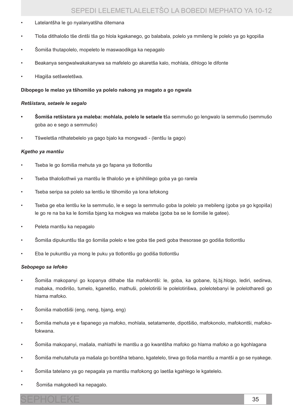- Latelantšha le go nyalanyatšha ditemana
- Tloša ditlhalošo tše dintši tša go hlola kgakanego, go balabala, polelo ya mmileng le polelo ya go kgopiša
- Šomiša thutapolelo, mopeleto le maswaodikga ka nepagalo
- Beakanya sengwalwakakanywa sa mafelelo go akaretša kalo, mohlala, dihlogo le difonte
- Hlagiša setšweletšwa.

#### **Dibopego le melao ya tšhomišo ya polelo nakong ya magato a go ngwala**

#### *Retšistara, setaele le segalo*

- **• Šomiša retšistara ya maleba: mohlala, polelo le setaele t**ša semmušo go lengwalo la semmušo (semmušo goba ao e sego a semmušo)
- Tšweletša ntlhatebelelo ya gago bjalo ka mongwadi (lentšu la gago)

### *Kgetho ya mantšu*

- Tseba le go šomiša mehuta ya go fapana ya tlotlontšu
- Tseba tlhalošothwii ya mantšu le tlhalošo ye e iphihlilego goba ya go rarela
- Tseba seripa sa polelo sa lentšu le tšhomišo ya lona lefokong
- Tseba ge eba lentšu ke la semmušo, le e sego la semmušo goba la polelo ya mebileng (goba ya go kgopiša) le go re na ba ka le šomiša bjang ka mokgwa wa maleba (goba ba se le šomiše le gatee).
- Peleta mantšu ka nepagalo
- Šomiša dipukuntšu tša go šomiša polelo e tee goba tše pedi goba thesorase go godiša tlotlontšu
- Eba le pukuntšu ya mong le puku ya tlotlontšu go godiša tlotlontšu

#### *Sebopego sa lefoko*

- Šomiša makopanyi go kopanya dithabe tša mafokontši: le, goba, ka gobane, bj.bj.hlogo, lediri, sedirwa, mabaka, modirišo, tumelo, kganetšo, mathuši, polelotiriši le polelotirišwa, polelotebanyi le polelotharedi go hlama mafoko.
- Šomiša mabotšiši (eng, neng, bjang, eng)
- Šomiša mehuta ye e fapanego ya mafoko, mohlala, setatamente, dipotšišo, mafokonolo, mafokontši, mafokofokwana.
- Šomiša makopanyi, mašala, mahlathi le mantšu a go kwantšha mafoko go hlama mafoko a go kgohlagana
- Šomiša mehutahuta ya mašala go bontšha tebano, kgatelelo, tirwa go tloša mantšu a mantši a go se nyakege.
- Šomiša tatelano ya go nepagala ya mantšu mafokong go laetša kgahlego le kgatelelo.
- Šomiša makgokedi ka nepagalo.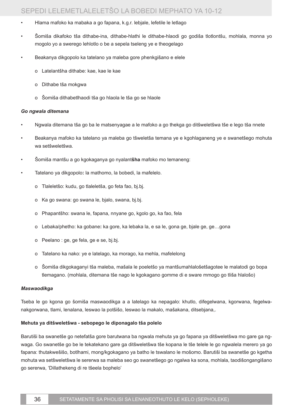- $\bullet$ • Hlama mafoko ka mabaka a go fapana, k.g.r. lebjale, lefetile le letlago
- Šomiša dikafoko tša dithabe-ina, dithabe-hlathi le dithabe-hlaodi go godiša tlotlontšu, mohlala, monna yo mogolo yo a swerego lehlotlo o be a sepela tseleng ye e theogelago
- Beakanya dikgopolo ka tatelano ya maleba gore phenkgišano e elele
	- o Latelantšha dithabe: kae, kae le kae
	- o Dithabe tša mokgwa
	- o Šomiša dithabetlhaodi tša go hlaola le tša go se hlaole

#### *Go ngwala ditemana*

- Ngwala ditemana tša go ba le matsenyagae a le mafoko a go thekga go ditšweletšwa tše e lego tša nnete
- Beakanya mafoko ka tatelano ya maleba go tšweletša temana ye e kgohlaganeng ye e swanetšego mohuta wa setšweletšwa.
- Šomiša mantšu a go kgokaganya go nyalant**šha** mafoko mo temaneng:
- Tatelano ya dikgopolo**:** la mathomo, la bobedi, la mafelelo.
	- o Tlaleletšo: kudu, go tlaleletša, go feta fao, bj.bj.
	- o Ka go swana: go swana le, bjalo, swana, bj.bj.
	- o Phapantšho: swana le, fapana, nnyane go, kgolo go, ka fao, fela
	- o Lebaka/phetho: ka gobane**:** ka gore, ka lebaka la, e sa le, gona ge, bjale ge, ge…gona
	- o Peelano : ge, ge fela, ge e se, bj.bj.
	- o Tatelano ka nako: ye e latelago, ka morago, ka mehla, mafelelong
	- o Šomiša dikgokaganyi tša maleba, mašala le poeletšo ya mantšumahlalošetšagotee le malatodi go bopa tlemagano. (mohlala, ditemana tše nago le kgokagano gomme di e sware mmogo go tliša hlalošo)

#### *Maswaodikga*

Tseba le go kgona go šomiša maswaodikga a a latelago ka nepagalo: khutlo, difegelwana, kgorwana, fegelwanakgorwana, tlami, lenalana, leswao la potšišo, leswao la makalo, mašakana, ditsebjana,.

### **Mehuta ya ditšweletšwa - sebopego le diponagalo tša polelo**

Barutiši ba swanetše go netefatša gore barutwana ba ngwala mehuta ya go fapana ya ditšweletšwa mo gare ga ngwaga. Go swanetše go be le tekatekano gare ga ditšweletšwa tše kopana le tše telele le go ngwalela merero ya go fapana: thutakwešišo, botlhami, mong/kgokagano ya batho le tswalano le mošomo. Barutiši ba swanetše go kgetha mohuta wa setšweletšwa le sererwa sa maleba seo go swanetšego go ngalwa ka sona, mohlala, taodišongangišano go sererwa, 'Dillathekeng di re tšeela bophelo'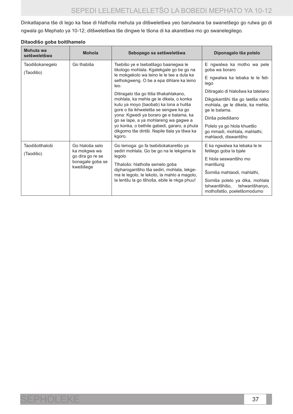Dinkatlapana tše di lego ka fase di hlatholla mehuta ya ditšweletšwa yeo barutwana ba swanetšego go rutwa go di ngwala go Mephato ya 10-12; ditšweletšwa tše dingwe le tšona di ka akaretšwa mo go swanelegilego.

### **Ditaodišo goba boitlhamelo**

| Mohuta wa<br>setšweletšwa    | <b>Mohola</b>                    | Sebopego sa setšweletšwa                                                                                                  | Diponagalo tša polelo                                                                        |
|------------------------------|----------------------------------|---------------------------------------------------------------------------------------------------------------------------|----------------------------------------------------------------------------------------------|
| Taodišokanegelo<br>(Taodišo) | Go thabiša                       | Tsebišo ye e tsebatšago baanegwa le<br>tikologo mohlala. Kgalekgale go be go na                                           | E ngwalwa ka motho wa pele<br>goba wa boraro                                                 |
|                              |                                  | le mokgekolo wa leino le le tee a dula ka<br>sethokgweng. O be a epa dihlare ka leino<br>leo.                             | E ngwalwa ka lebaka le le feti-<br>lego                                                      |
|                              |                                  | Ditiragalo tša go tliša tlhakahlakano,                                                                                    | Ditiragalo di hlalošwa ka tatelano                                                           |
|                              |                                  | mohlala, ka mehla ge le dikela, o konka<br>kutu ya moyo (baobab) ka lona a hutša<br>gore o tla ikhweletša se sengwe ka go | Dikgokantšhi tša go laetša nako<br>mohlala, ge le dikela, ka mehla,<br>ge le balama.         |
|                              |                                  | yona: Kgwedi ya boraro ge e balama, ka<br>go se lape, a ya mohlareng wa gagwe a                                           | Diriša poledišano                                                                            |
|                              |                                  | yo konka, o bethile gabedi, gararo, a phula<br>dikgomo tše dintši. Napile tlala ya tšwa ka<br>kgoro.                      | Polelo ya go hlola khuetšo<br>go mmadi, mohlala, mahlathi,<br>mahlaodi, diswantšho           |
| Taodišotlhaloši              | Go hlaloša selo                  | Go lemoga: go fa tsebišokakaretšo ya                                                                                      | E ka ngwalwa ka lebaka le le                                                                 |
| (Taodišo)                    | ka mokgwa wa<br>go dira go re se | sediri mohlala. Go be go na le lekgema le<br>legolo                                                                       | fetilego goba la bjale                                                                       |
|                              | bonagale goba se<br>kwešišege    | Tlhalošo: hlatholla semelo goba                                                                                           | E hlola seswantšho mo<br>mantšung                                                            |
|                              |                                  | dipharogantšho tša sediri, mohlala, lekge-<br>ma le legolo, le lekoto, la mahlo a magolo,                                 | Šomiša mahlaodi, mahlathi,                                                                   |
|                              |                                  | la lentšu la go tšhoša, ebile le nkga phuu!                                                                               | Somiša polelo ya dika, mohlala<br>tshwantšhišo, tshwantšhanyo,<br>mothofatšo, poeletšomodumo |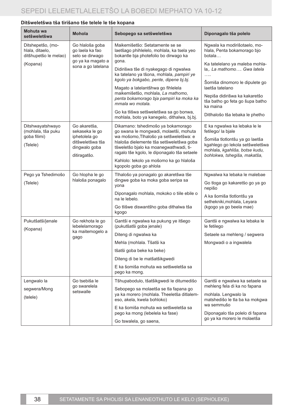### **Ditšweletšwa tša tirišano tše telele le tše kopana**

| <b>Mohuta</b> wa<br>setšweletšwa                              | <b>Mohola</b>                                                      | Sebopego sa setšweletšwa                                                                                                                                                    | Diponagalo tša polelo                                                                                                               |
|---------------------------------------------------------------|--------------------------------------------------------------------|-----------------------------------------------------------------------------------------------------------------------------------------------------------------------------|-------------------------------------------------------------------------------------------------------------------------------------|
| Ditshepetšo, (mo-<br>hlala, ditaelo,<br>ditšhupetšo le melao) | Go hlaloša goba<br>go laela ka fao<br>selo se dirwago              | Maikemišetšo: Setatamente se se<br>laetšago phihlelelo, mohlala, ka tsela yeo<br>bokantle bja photefolio bo dirwago ka                                                      | Ngwala ka modirišotaelo, mo-<br>hlala, Penta bokamorago bjo<br>botala                                                               |
| (Kopana)                                                      | go ya ka magato a<br>sona a go latelana                            | gona.<br>Didirišwa tše di nyakegago di ngwalwa<br>ka tatelano ya tšona, mohlala, pampiri ye                                                                                 | Ka tatelelano ya maleba mohla-<br>la,. La mathomo Gwa latela<br>$\cdots$                                                            |
|                                                               |                                                                    | kgolo ya bokgabo, pente, dipene bj.bj.<br>Magato a latelantšhwa go fihlelela                                                                                                | Šomiša dinomoro le dipulete go<br>laetša tatelano                                                                                   |
|                                                               |                                                                    | maikemišetšo, mohlala, La mathomo,<br>penta bokamorago bja pampiri ka moka ka<br>mmala wo motala.                                                                           | Nepiša didirišwa ka kakaretšo<br>tša batho go feta go šupa batho<br>ka maina                                                        |
|                                                               |                                                                    | Go ka tlišwa setšweletšwa sa go bonwa,<br>mohlala, boto ya kanegelo, dithalwa, bj.bj.                                                                                       | Ditlhalošo tša lebaka le phetho                                                                                                     |
| Ditshwayatshwayo<br>(mohlala, tša puku                        | Go akaretša,<br>sekaseka le go                                     | Dikamano: tshedimošo ya bokamorago<br>go swana le mongwadi, molaetši, mohuta                                                                                                | E ka ngwalwa ka lebaka le le<br>fetilego/ la bjale                                                                                  |
| goba filimi)<br>(Telele)                                      | iphetolela go<br>ditšweletšwa tša<br>dingwalo goba<br>ditiragatšo. | wa mošomo, Tlhalošo ya setšweletšwa: e<br>hlaloša dielemente tša setšweletšwa goba<br>tšweletšo bjalo ka moanegwathwadi, ti-<br>ragalo tše kgolo, le diponagalo tša setaele | Šomiša tlotlontšu ya go laetša<br>kgahlego go lekola setšweletšwa<br>mohlala, kgahliša, botse kudu,<br>bohlokwa, tshegiša, makatša, |
|                                                               |                                                                    | Kahlolo: tekolo ya mošomo ka go hlaloša<br>kgopolo goba go ahlola                                                                                                           |                                                                                                                                     |
| Pego ya Tshedimošo                                            | Go hlopha le go                                                    | Tlhalošo ya ponagalo go akaretšwa tše                                                                                                                                       | Ngwalwa ka lebaka le malebae                                                                                                        |
| (Telele)                                                      | hlaloša ponagalo                                                   | dingwe goba ka moka goba seripa sa<br>yona                                                                                                                                  | Go tloga go kakaretšo go ya go<br>nepišo                                                                                            |
|                                                               |                                                                    | Diponagalo mohlala, mokoko o tiile ebile o<br>na le lebelo.                                                                                                                 | A ka šomiša tlotlontšu ya<br>sethekniki, mohlala, Leyara                                                                            |
|                                                               |                                                                    | Go tlišwe diswantšho goba dithalwa tša<br>kgogo                                                                                                                             | (kgogo ya go beela mae)                                                                                                             |
| Pukutšatši/jenale<br>(Kopana)                                 | Go rekhota le go<br>lebelelamorago                                 | Gantši e ngwalwa ka pukung ye itšego<br>(pukutšatši goba jenale)                                                                                                            | Gantši e ngwalwa ka lebaka le<br>le fetilego                                                                                        |
|                                                               | ka maitemogelo a<br>gago                                           | Diteng di ngwalwa ka                                                                                                                                                        | Setaele sa mehleng / segwera                                                                                                        |
|                                                               |                                                                    | Mehla (mohlala. Tšatši ka                                                                                                                                                   | Mongwadi o a ingwalela                                                                                                              |
|                                                               |                                                                    | tšatši goba beke ka beke)                                                                                                                                                   |                                                                                                                                     |
|                                                               |                                                                    | Diteng di be le matšatšikgwedi                                                                                                                                              |                                                                                                                                     |
|                                                               |                                                                    | E ka šomiša mohuta wa setšweletša sa<br>pego ka mong.                                                                                                                       |                                                                                                                                     |
| Lengwalo la                                                   | Go tsebiša le                                                      | Tšhupabodulo, tšatšikgwedi le ditumedišo                                                                                                                                    | Gantši e ngwalwa ka setaele sa                                                                                                      |
| segwera/Mong<br>(telele)                                      | go swarelela<br>setswalle                                          | Sebopego sa molaetša se tla fapana go<br>ya ka morero (mohlala. Theeletša ditlalem-                                                                                         | mehleng fela di ka no fapana<br>mohlala. Lengwalo la                                                                                |
|                                                               |                                                                    | eso, akela, kwela bohloko)                                                                                                                                                  | matshedišo le tla ba ka mokgwa<br>wa semmušo                                                                                        |
|                                                               |                                                                    | E ka šomiša mohuta wa setšweletša sa<br>pego ka mong (lebelela ka fase)                                                                                                     | Diponagalo tša polelo di fapana<br>go ya ka morero le molaetša                                                                      |
|                                                               |                                                                    | Go tswalela, go saena,                                                                                                                                                      |                                                                                                                                     |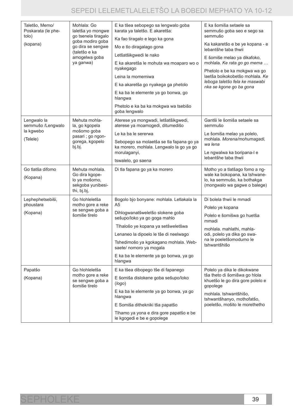| Taletšo, Memo/<br>Poskarata (le phe- | Mohlala: Go<br>laletša yo mongwe<br>go tsenela tiragalo<br>goba modiro goba<br>go dira se sengwe | E ka tšea sebopego sa lengwalo goba<br>karata ya taletšo. E akaretša:                | E ka šomiša setaele sa<br>semmušo goba seo e sego sa                          |  |
|--------------------------------------|--------------------------------------------------------------------------------------------------|--------------------------------------------------------------------------------------|-------------------------------------------------------------------------------|--|
| tolo)<br>(kopana)                    |                                                                                                  | Ka fao tiragalo e lego ka gona                                                       | semmušo                                                                       |  |
|                                      |                                                                                                  | Mo e tlo diragalago gona                                                             | Ka kakaretšo e be ye kopana - e<br>lebantšhe taba thwii                       |  |
|                                      | (taletšo e ka<br>amogelwa goba                                                                   | Letšatšikgwedi le nako                                                               |                                                                               |  |
|                                      | ya ganwa)                                                                                        | E ka akaretša le mohuta wa moaparo wo o<br>nyakegago                                 | E šomiše melao ya dikafoko,<br>mohlala. Ke rata go go mema                    |  |
|                                      |                                                                                                  | Leina la momemiwa                                                                    | Phetolo e be ka mokgwa wa go<br>laetša boikokobetšo mohlala. Ke               |  |
|                                      |                                                                                                  | E ka akaretša go nyakega ga phetolo                                                  | leboga taletšo fela ke maswabi                                                |  |
|                                      |                                                                                                  | E ka ba le elemente ya go bonwa, go                                                  | nka se kgone go ba gona                                                       |  |
|                                      |                                                                                                  | hlangwa                                                                              |                                                                               |  |
|                                      |                                                                                                  | Phetolo e ka ba ka mokgwa wa tsebišo<br>goba lengwalo                                |                                                                               |  |
| Lengwalo la<br>semmušo /Lengwalo     | Mehuta mohla-<br>la, go kgopela                                                                  | Aterese ya mongwadi, letšatšikgwedi,<br>aterese ya moamogedi, ditumedišo             | Gantši le šomiša setaele sa<br>semmušo                                        |  |
| la kgwebo                            | mošomo goba<br>pasari ; go ngon-                                                                 | Le ka ba le sererwa                                                                  | Le šomiša melao ya polelo,                                                    |  |
| (Telele)                             | gorega, kgopelo<br>bj.bj.                                                                        | Sebopego sa molaetša se tla fapana go ya<br>ka morero, mohlala. Lengwalo la go ya go | mohlala. Morena/mohumagadi,<br>wa lena                                        |  |
|                                      |                                                                                                  | morulaganyi,                                                                         | Le ngwalwa ka boripana-l e                                                    |  |
|                                      |                                                                                                  | tswalelo, go saena                                                                   | lebantšhe taba thwii                                                          |  |
| Go tlatša difomo                     | Mehuta mohlala.                                                                                  | Di tla fapana go ya ka morero                                                        | Motho yo a tlatšago fomo a ng-                                                |  |
| (Kopana)                             | Go dira kgope-<br>lo ya mošomo,                                                                  |                                                                                      | wale ka bokopana, ka tshwane-<br>lo, ka semmušo, ka bothakga                  |  |
|                                      | sekgoba yunibesi-                                                                                |                                                                                      | (mongwalo wa gagwe o balege)                                                  |  |
|                                      | thi, bj.bj,                                                                                      |                                                                                      |                                                                               |  |
| Lephephetsebiši,<br>phoustara        | Go hlohleletša<br>motho gore a reke                                                              | Bogolo bjo bonyane: mohlala. Letlakala la<br>A <sub>5</sub>                          | Di bolela thwii le mmadi                                                      |  |
| (Kopana)                             | se sengwe goba a<br>šomiše tirelo                                                                | Dihlogwanatšweletšo slokene goba                                                     | Polelo ye kopana                                                              |  |
|                                      |                                                                                                  | sešupo/loko ya go goga mahlo                                                         | Polelo e šomišwa go huetša<br>mmadi                                           |  |
|                                      |                                                                                                  | Tlhalošo ye kopana ya setšweletšwa                                                   | mohlala. mahlathi, mahla-                                                     |  |
|                                      |                                                                                                  | Lenaneo la dipoelo le tše di neelwago                                                | odi, polelo ya dika go swa-<br>na le poeletšomodumo le                        |  |
|                                      |                                                                                                  | Tshedimošo ya kgokagano mohlala. Web-<br>saete/ nomoro ya mogala                     | tshwantšhišo                                                                  |  |
|                                      |                                                                                                  | E ka ba le elemente ya go bonwa, ya go<br>hlangwa                                    |                                                                               |  |
| Papatšo                              | Go hlohleletša                                                                                   | E ka tšea dibopego tše di fapanego                                                   | Polelo ya dika le dikokwane                                                   |  |
| (Kopana)                             | motho gore a reke<br>se sengwe goba a<br>šomiše tirelo                                           | E šomiša dislokene goba sešupo/loko<br>(logo)                                        | tša theto di šomišwa go hlola<br>khuetšo le go dira gore polelo e<br>gopolege |  |
|                                      |                                                                                                  | E ka ba le elemente ya go bonwa, ya go<br>hlangwa                                    | mohlala. tshwantšhišo,<br>tshwantšhanyo, mothofatšo,                          |  |
|                                      |                                                                                                  | E Somiša dithekniki tša papatšo                                                      | poeletšo, mošito le morethetho                                                |  |
|                                      |                                                                                                  | Tlhamo ya yona e dira gore papatšo e be<br>le kgogedi e be e gopolege                |                                                                               |  |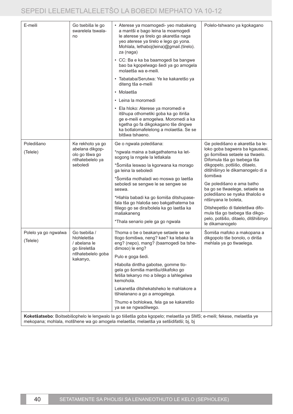| E-meili                                                                                                                                                                                                      | Go tsebiša le go<br>swarelela tswala-<br>no                                                   | • Aterese ya moamogedi- yeo mabakeng<br>a mantši e bago leina la moamogedi<br>le aterese ya tirelo go akaretša naga<br>yeo aterese ya tirelo e lego go yona.<br>Mohlala, lethaboj(leina)@gmail.(tirelo).<br>za (naga)<br>• CC: Ba e ka ba baamogedi ba bangwe<br>bao ba kgopelwago šedi ya go amogela<br>molaetša wa e-meili.<br>· Tabataba/Serutwa: Ye ke kakaretšo ya<br>diteng tša e-meili<br>• Molaetša<br>• Leina la moromedi<br>· Ela hloko: Aterese ya moromedi e<br>itšhupa othometiki goba ka go itiriša<br>ge e-meili e amogelwa. Moromedi a ka<br>kgetha go fa dikgokagano tše dingwe<br>ka botlalomafelelong a molaetša. Se se<br>bitšwa tshaeno. | Polelo-tshwano ya kgokagano                                                                                                                                                                                                                                                                                                                                                                                                                                                |  |
|--------------------------------------------------------------------------------------------------------------------------------------------------------------------------------------------------------------|-----------------------------------------------------------------------------------------------|---------------------------------------------------------------------------------------------------------------------------------------------------------------------------------------------------------------------------------------------------------------------------------------------------------------------------------------------------------------------------------------------------------------------------------------------------------------------------------------------------------------------------------------------------------------------------------------------------------------------------------------------------------------|----------------------------------------------------------------------------------------------------------------------------------------------------------------------------------------------------------------------------------------------------------------------------------------------------------------------------------------------------------------------------------------------------------------------------------------------------------------------------|--|
| Poledišano<br>(Telele)                                                                                                                                                                                       | Ke rekhoto ya go<br>abelana dikgop-<br>olo go tšwa go<br>ntlhatebelelo ya<br>seboledi         | Ge o ngwala poledišana:<br>*ngwala maina a bakgathatema ka let-<br>sogong la nngele la letlakala<br>*Šomiša leswao la kgorwana ka morago<br>ga leina la seboledi<br>*Šomiša mothaladi wo moswa go laetša<br>seboledi se sengwe le se sengwe se<br>seswa.<br>*Hlahla babadi ka go šomiša ditshupase-<br>fala tša go hlaloša seo bakgathatema ba<br>tlilego go se dira/bolela ka go laetša ka<br>mašakaneng<br>*Thala senario pele ga go ngwala                                                                                                                                                                                                                 | Ge poledišano e akaretša ba le-<br>loko goba bagwera ba kgauswai,<br>go šomišwa setaele sa tlwaelo.<br>Difomula tša go tsebega tša<br>dikgopelo, potšišo, ditaelo,<br>ditšhišinyo le dikamanogelo di a<br>šomišwa<br>Ge poledišano e ama batho<br>ba go se tlwaelege, setaele sa<br>poledišano se nyaka tlhalošo e<br>ntšinyana le boleta,<br>Ditshepetšo di tlaleletšwa difo-<br>mula tša go tsebega tša dikgo-<br>pelo, potšišo, ditaelo, ditšhišinyo<br>le dikamanogelo |  |
| Polelo ya go ngwalwa<br>(Telele)                                                                                                                                                                             | Go tsebiša /<br>hlohleletša<br>/ abelana le<br>go šireletša<br>ntlhatebelelo goba<br>kakanyo, | Thoma o be o beakanye setaele se se<br>tlogo šomišwa, neng? kae? ka lebaka la<br>eng? (nepo), mang? (baamogedi ba tshe-<br>dimoso) le eng?<br>Pulo e goga šedi.<br>Hlabolla dintlha gabotse, gomme tlo-<br>gela go šomiša mantšu/dikafoko go<br>fetiša tekanyo mo a bilego a lahlegelwa<br>kemohola.<br>Lekanetša ditshekatsheko le mahlakore a<br>tšhielanano a go a amogelega.<br>Thumo e bohlokwa, fela ga se kakaretšo<br>ya se se ngwadilwego.                                                                                                                                                                                                           | Šomiša mafoko a makopana a<br>dikgopolo tše bonolo, o diriša<br>mehlala ya go tlwaelega.                                                                                                                                                                                                                                                                                                                                                                                   |  |
| Koketšatsebo: Boitsebišophelo le lengwalo la go tiišetša goba kgopelo; melaetša ya SMS; e-meili; fekese, melaetša ye<br>mekopana; mohlala, motšhene wa go amogela melaetša; melaetša ya setšidifatši; bj, bj |                                                                                               |                                                                                                                                                                                                                                                                                                                                                                                                                                                                                                                                                                                                                                                               |                                                                                                                                                                                                                                                                                                                                                                                                                                                                            |  |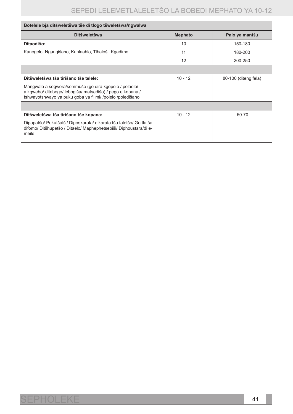| Botelele bja ditšweletšwa tše di tlogo tšweletšwa/ngwalwa                                                                                                                        |                |                      |  |  |
|----------------------------------------------------------------------------------------------------------------------------------------------------------------------------------|----------------|----------------------|--|--|
| <b>Ditšweletšwa</b>                                                                                                                                                              | <b>Mephato</b> | Palo ya mantšu       |  |  |
| Ditaodišo:                                                                                                                                                                       | 10             | 150-180              |  |  |
| Kanegelo, Ngangišano, Kahlaahlo, Tlhaloši, Kgadimo                                                                                                                               | 11             | 180-200              |  |  |
|                                                                                                                                                                                  | 12             | 200-250              |  |  |
|                                                                                                                                                                                  |                |                      |  |  |
| Ditšweletšwa tša tirišano tše telele:                                                                                                                                            | $10 - 12$      | 80-100 (diteng fela) |  |  |
| Mangwalo a segwera/semmušo (go dira kgopelo / pelaelo/<br>a kgwebo/ ditebogo/ lebogiša/ matsedišo) / pego e kopana /<br>tshwayotshwayo ya puku goba ya filimi//polelo/poledišano |                |                      |  |  |
|                                                                                                                                                                                  |                |                      |  |  |
| Ditšweletšwa tša tirišano tše kopana:                                                                                                                                            | $10 - 12$      | 50-70                |  |  |
| Dipapatšo/ Pukutšatši/ Diposkarata/ dikarata tša taletšo/ Go tlatša<br>difomo/Ditšhupetšo / Ditaelo/Maphephetsebiši/Diphoustara/die-<br>meile                                    |                |                      |  |  |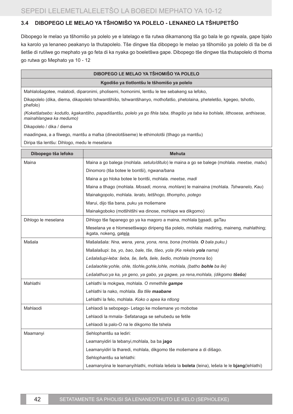#### $3.4$ **3.4 DIBOPEGO LE MELAO YA TŠHOMIŠO YA POLELO - LENANEO LA TŠHUPETŠO**

Dibopego le melao ya tšhomišo ya polelo ye e latelago e tla rutwa dikamanong tša go bala le go ngwala, gape bjalo ka karolo ya lenaneo peakanyo la thutapolelo. Tše dingwe tša dibopego le melao ya tšhomišo ya polelo di tla be di šetše di rutilwe go mephato ya go feta di ka nyaka go boeletšwa gape. Dibopego tše dingwe tša thutapolelo di thoma go rutwa go Mephato ya 10 - 12

#### **DIBOPEGO LE MELAO YA TŠHOMIŠO YA POLELO**

#### **Kgodišo ya tlotlontšu le tšhomišo ya polelo**

Mahlalošagotee, malatodi, diparonimi, pholisemi, homonimi, lentšu le tee sebakeng sa lefoko,

Dikapolelo (dika, diema, dikapolelo tshwantšhišo, tshwantšhanyo, mothofatšo, phetolaina, pheteletšo, kgegeo, tshotlo, phefolo)

*(Koketšatsebo: kodutlo, kgakantšho, papadišantšu, polelo ya go fihla taba, tlhagišo ya taba ka bohlale, lithosese, anthisese, mainahlangwa ka medumo)*

Dikapolelo / dika / diema

maadingwa, a a filwego, mantšu a mafsa (dineolotšiseme) le ethimolotši (tlhago ya mantšu)

Diripa tša lentšu: Dihlogo, medu le meselana

| Dibopego tša lefoko | <b>Mehuta</b>                                                                                                      |
|---------------------|--------------------------------------------------------------------------------------------------------------------|
| Maina               | Maina a go balega (mohlala. setulo/ditulo) le maina a go se balege (mohlala. meetse, mabu)                         |
|                     | Dinomoro (tša botee le bontši), ngwana/bana                                                                        |
|                     | Maina a go hloka botee le bontši, mohlala. meetse, madi                                                            |
|                     | Maina a tlhago (mohlala. Mosadi, monna, mohlare) le mainaina (mohlala. Tshwanelo, Kau)                             |
|                     | Mainakgopolo, mohlala. lerato, letšhogo, tlhompho, potego                                                          |
|                     | Marui, dijo tša bana, puku ya mošemane                                                                             |
|                     | Mainakgoboko (motšhitšhi wa dinose, mohlape wa dikgomo)                                                            |
| Dihlogo le meselana | Dihlogo tše fapanego go ya ka magoro a maina, mohlala basadi, gaTau                                                |
|                     | Meselana ye e hlomesetšwago diripeng tša polelo, mohlala: madiring, maineng, mahlathing;<br>ikgata, nokeng, gatela |
| Mašala              | Mašalašala: Nna, wena, yena, yona, rena, bona (mohlala. O bala puku.)                                              |
|                     | Mašalašupi: ba, yo, bao, bale, tše, tšeo, yola (Ke rekela yola nama)                                               |
|                     | Lešalašupi-leba: šeba, še, šefa, šele, šedio, mohlala (monna šo)                                                   |
|                     | Lešalaohle: yohle, ohle, tšohle, gohle, lohle, mohlala, (batho bohle ba ile)                                       |
|                     | Lešalathuo: ya ka, ya geno, ya gabo, ya gagwe, ya rena, mohlala, (dikgomo tšešo)                                   |
| Mahlathi            | Lehlathi la mokgwa, mohlala. O mmethile gampe                                                                      |
|                     | Lehlathi la nako, mohlala. Ba tlile maabane                                                                        |
|                     | Lehlathi la felo, mohlala. Koko o apea ka ntlong                                                                   |
| Mahlaodi            | Lehlaodi la sebopego- Letago ke mošemane yo mobotse                                                                |
|                     | Lehlaodi la mmala- Sefatanaga se sehubedu se fetile                                                                |
|                     | Lehlaodi la palo-O na le dikgomo tše tshela                                                                        |
| Maamanyi            | Sehlophantšu sa lediri:                                                                                            |
|                     | Leamanyidiri la tebanyi, mohlala, ba ba jago                                                                       |
|                     | Leamanyidiri la tharedi, mohlala, dikgomo tše mošemane a di dišago.                                                |
|                     | Sehlophantšu sa lehlathi:                                                                                          |
|                     | Leamanyiina le leamanyihlathi, mohlala lešela la boleta (leina), lešela le le bjang(lehlathi)                      |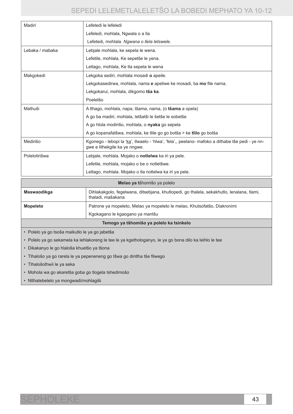| Madiri          | Lefetedi le lefeledi                                                                                                              |
|-----------------|-----------------------------------------------------------------------------------------------------------------------------------|
|                 | Lefeledi, mohlala, Ngwala o a lla                                                                                                 |
|                 | Lefetedi, mohlala. Ngwana o Ilela letswele.                                                                                       |
| Lebaka / mabaka | Lebjale mohlala, ke sepela le wena.                                                                                               |
|                 | Lefetile, mohlala, Ke sepetše le yena.                                                                                            |
|                 | Letlago, mohlala, Ke tla sepela le wena                                                                                           |
| Makgokedi       | Lekgoka sediri, mohlala mosadi o apeile.                                                                                          |
|                 | Lekgokasedirwa, mohlala, nama e apeliwe ke mosadi, ba mo file nama.                                                               |
|                 | Lekgokarui, mohlala, dikgomo tša ka.                                                                                              |
|                 | Poeletšo                                                                                                                          |
| Mathuši         | A tlhago, mohlala, napa, tšama, nama, (o tšama a opela)                                                                           |
|                 | A go ba madiri, mohlala, letšatši le šetše le sobetše                                                                             |
|                 | A go hlola modirišo, mohlala, o nyaka go sepela                                                                                   |
|                 | A go kopanafatšwa, mohlala, ke tlile go go botša > ke tlilo go botša                                                              |
| Medirišo        | Kgonego - lebopi la 'ka', tlwaelo - 'hlwa', 'fela',, peelano- mafoko a dithabe tše pedi - ye nn-<br>gwe e lithekgile ka ye nngwe. |
| Polelotirišwa   | Lebjale, mohlala. Mojako o notlelwa ka iri ya pele.                                                                               |
|                 | Lefetile, mohlala, mojako o be o notletšwe.                                                                                       |
|                 | Letlago, mohlala. Mojako o tla notlelwa ka iri ya pele.                                                                           |
|                 |                                                                                                                                   |

| Melao va tšhomišo va polelo              |                                                                                                                |  |  |
|------------------------------------------|----------------------------------------------------------------------------------------------------------------|--|--|
| Maswaodikga                              | Dihlakakgolo, fegelwana, ditsebjana, khutlopedi, go thalela, sekakhutlo, lenalana, tlami,<br>thaladi, mašakana |  |  |
| <b>Mopeleto</b>                          | Patrone ya mopeleto, Melao ya mopeleto le melao, Khutsofatšo, Diakronimi                                       |  |  |
| Kgokagano le kgaogano ya mantšu          |                                                                                                                |  |  |
| Temogo ya tšhomišo ya polelo ka tsinkelo |                                                                                                                |  |  |

• Polelo ya go tsoša maikutlo le ya go jabetša

• Polelo ya go sekamela ka lehlakoreng le tee le ya kgethologanyo, le ya go bona dilo ka leihlo le tee

• Dikakanyo le go hlaloša khuetšo ya tšona

• Tlhalošo ya go rarela le ya pepeneneng go tšwa go dintlha tše filwego

• Tlhalošothwii le ya seka

• Mohola wa go akaretša goba go tlogela tshedimošo

• Ntlhatebelelo ya mongwadi/mohlagiši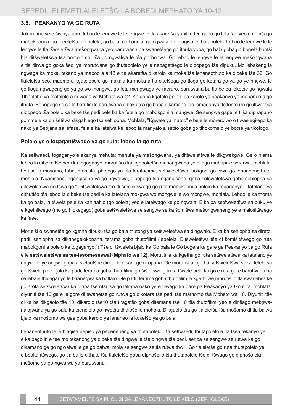### **3.5. PEAKANYO YA GO RUTA**

Tokomane ye e šišinya gore leboo le lengwe le le lengwe le tla akaretša yuniti e tee goba go feta fao yeo e nepišago mabokgoni a: go theeletša, go bolela, go bala, go bogela, go ngwala, go hlagiša le thutapolelo. Leboo le lengwe le le lengwe le tla tšweletšwa mešongwana yeo barutwana ba swanetšego go ithuta yona, go bala goba go bogela bontši bja ditšweletšwa tša bomolomo, tša go ngwalwa le tša go bonwa. Go leboo le lengwe le le lengwe mešongwana e tla dirwa go goka šedi ya morutwana go thutapolelo ye e nepagetšego le dibopego tša dipuku. Mo lebakeng la ngwaga ka moka, tekano ya maboo a a 18 e tla akaretša dikarolo ka moka tša lenaneothuto ka dibeke tše 36. Go tlaleletša seo, maemo a kgatelopele go makala ka moka a tla oketšega go tloga go kotara go ya go ye nngwe, le go tloga ngwageng go ya go wo mongwe, go feta mengwaga ye meraro, barutwana ba tla be ba loketše go ngwala Tlhahlobo ya mafelelo a ngwaga ya Mphato wa 12. Ka gona kgatelo pele e ba karolo ya peakanyo ya mananeo a go ithuta. Sebopego se se fa barutiši le barutwana dibaka tša go bopa dikamano, go lomaganya tlotlontšu le go itlwaetša dibopego tša polelo ka beke tše pedi pele ba ka fetela go mabokgoni a mangwe. Se sengwe gape, e tliša diphapano gomme e ka dirišetšwa dikgahlego tša sehlopha. Mohlala, "Kgwele ya maoto" e be e le morero wo o tlwaelegilego ka nako ya Sebjana sa lefase, fela e ka latelwa ke leboo la manyalo a setšo goba go tlhokomelo ye botse ya tikologo.

#### **Polelo ye e logagantšwego ya go ruta: leboo la go ruta**

Ka setlwaedi, togaganyo e akanya mehuta: mehuta ya mešongwana, ya ditšweletšwa le dikgwekgwe. Ge o hlama leboo la dibeke tše pedi ka togaganyo, morutiši a ka kgoboketša mešongwana ye e lego mabapi le sererwa, mohlala. Lefase la mošomo, taba, mohlala, phetogo ya tša leratadima, setšweletšwa, bokgoni go tšwa go lenaneongthuto, mohlala. Ngagišano, ngangišano ya go ngwalwa, dibopego tša ngangišano, goba setšweletšwa goba sehlopha sa ditšweletšwa go tšwa go " Ditšweletšwa tše di šomišitšwego go ruta mabokgoni a polelo ka togaganyo". Tatelano ya dithutišo tša leboo la dibeke tše pedi e ka latelana mokgwa wo mongwe le wo mongwe, mohlala. Leboo le ka thoma ka go bala, la tšwela pele ka kahlaahlo (go bolela) yeo e latelwago ke go ngwala. E ka ba setšweletšwa sa puku ye e kgethilwego (mo go hlokegago) goba setšweletšwa se sengwe se ka šomišwa mešongwaneng ye e hlalošitšwego ka fase.

Morutiši o swanetše go kgetha dipuku tša go bala thutong ya setšweletšwa sa dingwalo. E ka ba sehlopha sa direto, padi, sehlopha sa dikanegelokopana, terama goba thutofilimi (lebelela "Ditšweletšwa tše di šomišitšwego go ruta mabokgoni a polelo ka togaganyo.") Tše di tšwelela bjalo ka Go bala le Go bogela ka gare ga Peakanyo ya go Ruta e le **setšweletšwa sa tee-lesomeseswai (Mphato wa 12)**. Morutiši a ka kgetha go ruta setšweletšwa ka tatelano ye nngwe le ye nngwe goba a šielantšhe direto le dikanegelokopana**.** Ge morutiši a kgetha setšweletšwa se se telele sa go tšwele pele bjalo ka padi, terama goba thutofilimi go šišintšwe gore a tšwele pele ka go e ruta gore barutwana ba se lebale thulaganyo le baanegwa ka botlalo. Ge padi, terama goba thutofilimi e kgethilwe,morutiši o tla swanelwa ke go arola setšweletšwa ka diripa tše ntši tša go lekana nako ye e filwego ka gare ga Peakanyo ya Go ruta, mohlala, diyuniti tše 10 ge e le gore di swanetše go rutwa go dikotara tše pedi tša mathomo tša Mphato wa 10. Diyuniti tše di ka ba dikgaolo tše 10, dikarolo tše10 tša tiragatšo goba ditemana tše 10 tša thutofilimi yeo e dirišago mekgwanakgwana ya go bala ka tsenelelo go hwetša tlhalošo le mohola. Dikgaolo tša go tlaleletša tša mošomo di tla balwa bjalo ka mošomo wa gae goba karolo ya lenaneo la koketšo ya go bala.

Lenaneothuto le le hlagiša nepišo ya pepeneneng ya thutapolelo. Ka setlwaedi, thutapolelo e tla tšea tekanyo ye e ka bago iri e tee mo tekanong ya dibeke tše dingwe le tše dingwe tše pedi, seripa se sengwe se rutwa ka go dikamano ge go ngwalwa le ge go balwa, mola se sengwe se tla rutwa thwii. Go tlaleletša go ruta thutapolelo ye e beakantšwego, go tla ba le dithuto tša tlaleletšo goba diphošollo tša thutapolelo tše di tšwago go diphošo tša mešomo ya go ngwalwa ya barutwana.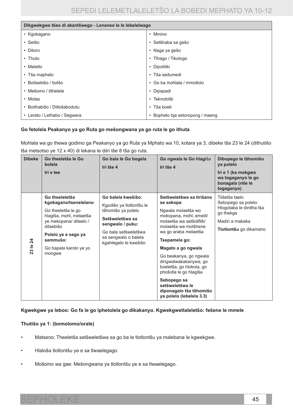| Dikgwekgwe tšeo di akantšwego - Lenaneo le le lebelelwago |                                     |  |  |
|-----------------------------------------------------------|-------------------------------------|--|--|
| • Kgokagano                                               | • Mmino                             |  |  |
| • Setšo                                                   | · Setšhaba sa gešo                  |  |  |
| • Ditoro                                                  | • Naga ya gešo                      |  |  |
| $\cdot$ Thuto                                             | • Tlhago / Tikologo                 |  |  |
| • Meletlo                                                 | • Dipolitiki                        |  |  |
| • Tša maphelo                                             | • Tša sedumedi                      |  |  |
| · Boitsebišo / botšo                                      | • Go ba mohlala / mmotlolo          |  |  |
| • Mešomo / tšhelete                                       | • Dipapadi                          |  |  |
| • Molao                                                   | • Teknolotši                        |  |  |
| · Boithabišo / Ditlošabodutu                              | • Tša boeti                         |  |  |
| • Lerato / Lethabo / Segwera                              | Bophelo bja setoropong / maeng<br>٠ |  |  |

### **Go fetolela Peakanyo ya go Ruta go mešongwana ya go ruta le go ithuta**

Mohlala wa go thewa godimo ga Peakanyo ya go Ruta ya Mphato wa 10, kotara ya 3, dibeke tša 23 le 24 (dithutišo tša metsotso ye 12 x 40) di lekana le diiri tše 8 tša go ruta.

| <b>Dibeke</b>           | Go theeletša le Go<br>bolela<br>Iri e tee                                                                                                                                                               | Go bala le Go bogela<br>Iri tše 4                                                                                                                                                    | Go ngwala le Go hlagiša<br>Iri tše 4                                                                                                                                                                                                                                                                                                                                                                         | Dibopego le tšhomišo<br>ya polelo<br>Iri e 1 (ka mokgwa<br>wa togaganyo le go<br>bonagala (ntle le<br>togaganyo)            |
|-------------------------|---------------------------------------------------------------------------------------------------------------------------------------------------------------------------------------------------------|--------------------------------------------------------------------------------------------------------------------------------------------------------------------------------------|--------------------------------------------------------------------------------------------------------------------------------------------------------------------------------------------------------------------------------------------------------------------------------------------------------------------------------------------------------------------------------------------------------------|-----------------------------------------------------------------------------------------------------------------------------|
| $\overline{a}$<br>23 le | Go theeleletša<br>kgokagano/tsenelelano:<br>Go theeletša le go<br>hlagiša, mohl, melaetša<br>ye mekopana/ ditaelo /<br>ditsebišo<br>Polelo ye e sego ya<br>semmušo:<br>Go bapala karolo ya yo<br>mongwe | Go balela kwešišo:<br>Kgodišo ya tlotlontšu le<br>tšhomišo ya polelo<br>Setšweletšwa sa<br>sengwalo / puku:<br>Go bala setšweletšwa<br>sa sengwalo o balela<br>kgahlegelo le kwešišo | Setšweletšwa sa tirišano<br>se sekopa:<br>Ngwala molaetša wo<br>mokopana, mohl, emeili/<br>molaetša wa setšidiftši/<br>molaetša wa motšhene<br>wa go araba melaetša<br>Tsepamela go:<br>Magato a go ngwala<br>Go beakanya, go ngwala<br>dingwalwakakanywa, go<br>boeletša, go hlokola, go<br>phošolla le go hlagiša<br>Sebopego sa<br>setšweletšwa le<br>diponagalo tša tšhomišo<br>ya polelo (lebelela 3.3) | Tiišetša taelo<br>Sebopego sa polelo:<br>Hlogotaba le dintlha tša<br>go thekga<br>Madiri a mabaka<br>Tlotlontšu go dikamano |

**Kgwekgwe ya leboo: Go fa le go iphetolela go dikakanyo. Kgwekgwetlaleletšo: fešene le mmele**

#### **Thutišo ya 1: (bomolomo/orale)**

- Matseno: Theeletša setšweletšwa sa go ba le tlotlontšu ya malebana le kgwekgwe.
- Hlaloša tlotlontšu ye e sa tlwaelegago.
- Mošomo wa gae: Mešongwana ya tlotlontšu ye e sa tlwaelegago.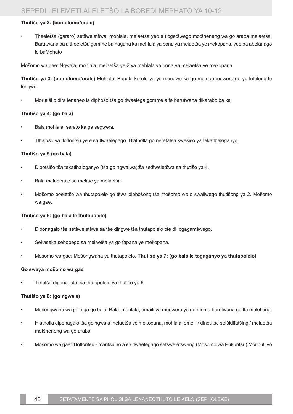### **Thutišo ya 2: (bomolomo/orale)**

• Theeletša (gararo) setšweletšwa, mohlala, melaetša yeo e tlogetšwego motšheneng wa go araba melaetša, Barutwana ba a theeletša gomme ba nagana ka mehlala ya bona ya melaetša ye mekopana, yeo ba abelanago le baMphato

Mošomo wa gae: Ngwala, mohlala, melaetša ye 2 ya mehlala ya bona ya melaetša ye mekopana

**Thutišo ya 3: (bomolomo/orale)** Mohlala, Bapala karolo ya yo mongwe ka go mema mogwera go ya lefelong le lengwe.

• Morutiši o dira lenaneo la diphošo tša go tlwaelega gomme a fe barutwana dikarabo ba ka

### **Thutišo ya 4: (go bala)**

- Bala mohlala, sereto ka ga segwera.
- Tlhalošo ya tlotlontšu ye e sa tlwaelegago. Hlatholla go netefatša kwešišo ya tekatlhaloganyo.

### **Thutišo ya 5 (go bala)**

- Dipotšišo tša tekatlhaloganyo (tša go ngwalwa)tša setšweletšwa sa thutišo ya 4.
- Bala melaetša e se mekae ya melaetša.
- Mošomo poeletšo wa thutapolelo go tšwa diphošong tša mošomo wo o swailwego thutišong ya 2. Mošomo wa gae.

#### **Thutišo ya 6: (go bala le thutapolelo)**

- Diponagalo tša setšweletšwa sa tše dingwe tša thutapolelo tše di logagantšwego.
- Sekaseka sebopego sa melaetša ya go fapana ye mekopana.
- Mošomo wa gae: Mešongwana ya thutapolelo. **Thutišo ya 7: (go bala le togaganyo ya thutapolelo)**

#### **Go swaya mošomo wa gae**

• Tiišetša diponagalo tša thutapolelo ya thutišo ya 6.

#### **Thutišo ya 8: (go ngwala)**

- Mošongwana wa pele ga go bala: Bala, mohlala, emaili ya mogwera ya go mema barutwana go tla moletlong,
- Hlatholla diponagalo tša go ngwala melaetša ye mekopana, mohlala, emeili / dinoutse setšidifatšing / melaetša motšheneng wa go araba.
- Mošomo wa gae: Tlotlontšu mantšu ao a sa tlwaelegago setšweletšweng (Mošomo wa Pukuntšu) Moithuti yo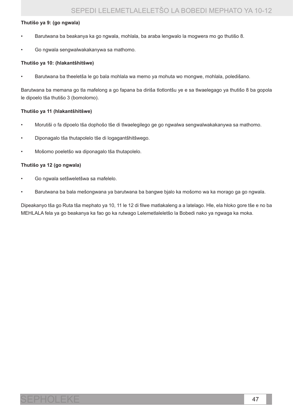### **Thutišo ya 9: (go ngwala)**

- Barutwana ba beakanya ka go ngwala, mohlala, ba araba lengwalo la mogwera mo go thutišo 8.
- Go ngwala sengwalwakakanywa sa mathomo.

#### **Thutišo ya 10: (hlakantšhitšwe)**

• Barutwana ba theeletša le go bala mohlala wa memo ya mohuta wo mongwe, mohlala, poledišano.

Barutwana ba memana go tla mafelong a go fapana ba diriša tlotlontšu ye e sa tlwaelegago ya thutišo 8 ba gopola le dipoelo tša thutišo 3 (bomolomo).

### **Thutišo ya 11 (hlakantšhitšwe)**

- Morutiši o fa dipoelo tša dophošo tše di tlwaelegilego ge go ngwalwa sengwalwakakanywa sa mathomo.
- Diponagalo tša thutapolelo tše di logagantšhitšwego.
- Mošomo poeletšo wa diponagalo tša thutapolelo.

### **Thutišo ya 12 (go ngwala)**

- Go ngwala setšweletšwa sa mafelelo.
- Barutwana ba bala mešongwana ya barutwana ba bangwe bjalo ka mošomo wa ka morago ga go ngwala.

Dipeakanyo tša go Ruta tša mephato ya 10, 11 le 12 di filwe matlakaleng a a latelago. Hle, ela hloko gore tše e no ba MEHLALA fela ya go beakanya ka fao go ka rutwago Lelemetlaleletšo la Bobedi nako ya ngwaga ka moka.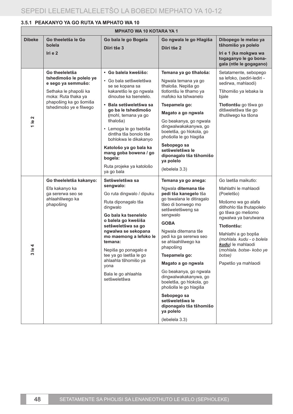### **3.5.1 PEAKANYO YA GO RUTA YA MPHATO WA 10**

|                    | <b>MPHATO WA 10 KOTARA YA 1</b>                                                                                                                                      |                                                                                                                                                                                                                                                                                                                                                                                                 |                                                                                                                                                                                                                                                                                                                                                                                                                                                                                                         |                                                                                                                                                                                                                                                                                                                |  |
|--------------------|----------------------------------------------------------------------------------------------------------------------------------------------------------------------|-------------------------------------------------------------------------------------------------------------------------------------------------------------------------------------------------------------------------------------------------------------------------------------------------------------------------------------------------------------------------------------------------|---------------------------------------------------------------------------------------------------------------------------------------------------------------------------------------------------------------------------------------------------------------------------------------------------------------------------------------------------------------------------------------------------------------------------------------------------------------------------------------------------------|----------------------------------------------------------------------------------------------------------------------------------------------------------------------------------------------------------------------------------------------------------------------------------------------------------------|--|
| <b>Dibeke</b>      | Go theeletša le Go<br>bolela<br>Iri e 2                                                                                                                              | Go bala le go Bogela<br>Diiri tše 3                                                                                                                                                                                                                                                                                                                                                             | Go ngwala le go Hlagiša<br>Diiri tše 2                                                                                                                                                                                                                                                                                                                                                                                                                                                                  | Dibopego le melao ya<br>tšhomišo ya polelo<br>Iri e 1 (ka mokgwa wa<br>togaganyo le go bona-<br>gala (ntle le gogagano)                                                                                                                                                                                        |  |
| $1$ le $2$         | Go theeleletša<br>tshedimošo le polelo ye<br>e sego ya semmušo:<br>Sethaka le phapoši ka<br>moka: Ruta thaka ya<br>phapošing ka go šomiša<br>tshedimošo ye e filwego | · Go balela kwešišo:<br>· Go bala setšweletšwa<br>se se kopana sa<br>kakaretšo le go ngwala<br>dinoutse ka tsenelelo.<br>· Bala setšweletšwa sa<br>go ba le tshedimošo<br>(mohl, temana ya go<br>tlhaloša)<br>· Lemoga le go tsebiša<br>dintlha tša bonolo tše<br>bohlokwa le dikakanyo<br>Katološo ya go bala ka<br>mang goba bowena / go<br>bogela:<br>Ruta projeke ya katološo<br>ya go bala | Temana ya go tlhaloša:<br>Ngwala temana ya go<br>tlhaloša. Nepiša go<br>tlotlontšu le tlhamo ya<br>mafoko ka tshwanelo<br>Tsepamela go:<br>Magato a go ngwala<br>Go beakanya, go ngwala<br>dingwalwakakanywa, go<br>boeletša, go hlokola, go<br>phošolla le go hlagiša<br>Sebopego sa<br>setšweletšwa le<br>diponagalo tša tšhomišo<br>ya polelo<br>(lebelela 3.3)                                                                                                                                      | Setatamente, sebopego<br>sa lefoko, (sediri-lediri -<br>sedirwa, mahlaodi)<br>Tšhomišo ya lebaka la<br>bjale<br>Tlotlontšu go tšwa go<br>ditšweletšwa tše go<br>ithutilwego ka tšona                                                                                                                           |  |
| 4<br>$\frac{1}{3}$ | Go theeleletša kakanyo:<br>Efa kakanyo ka<br>ga sererwa seo se<br>ahlaahlilwego ka<br>phapošing                                                                      | Setšweletšwa sa<br>sengwalo:<br>Go ruta dingwalo / dipuku<br>Ruta diponagalo tša<br>dingwalo<br>Go bala ka tsenelelo<br>o balela go kwešiša<br>setšweletšwa sa go<br>ngwalwa se sekopana<br>mo maemong a lefoko le<br>temana:<br>Nepiša go ponagalo e<br>tee ya go laetša le go<br>ahlaahla tšhomišo ya<br>yona<br>Bala le go ahlaahla<br>setšweletšwa                                          | Temana ya go anega:<br>Ngwala ditemana tše<br>pedi tša kanegelo tša<br>go tswalana le ditiragalo<br>tšeo di bonwego mo<br>setšweletšweng sa<br>sengwalo<br><b>GOBA</b><br>Ngwala ditemana tše<br>pedi ka ga sererwa seo<br>se ahlaahlilwego ka<br>phapošing<br>Tsepamela go:<br>Magato a go ngwala<br>Go beakanya, go ngwala<br>dingwalwakakanywa, go<br>boeletša, go hlokola, go<br>phošolla le go hlagiša<br>Sebopego sa<br>setšweletšwa le<br>diponagalo tša tšhomišo<br>ya polelo<br>(lebelela 3.3) | Go laetša maikutlo:<br>Mahlathi le mahlaodi<br>(Poeletšo)<br>Mošomo wa go alafa<br>ditlhohlo tša thutapolelo<br>go tšwa go mešomo<br>ngwalwa ya barutwana<br>Tlotlontšu:<br>Mahlathi a go bopša<br>(mohlala. kudu - o bolela<br>kudu) le mahlaodi<br>(mohlala. botse- kobo ye<br>botse)<br>Papetšo ya mahlaodi |  |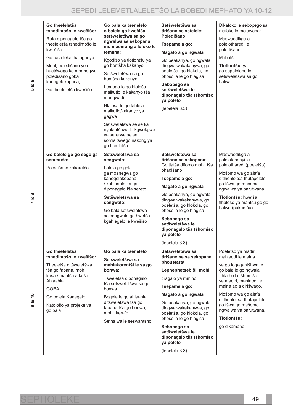| 5 le 6      | Go theeleletša<br>tshedimošo le kwešišo:<br>Ruta diponagalo tša go<br>theeleletša tshedimošo le<br>kwešišo<br>Go bala tekatlhaloganyo<br>Mohl, poledišano ye e<br>huetšwago ke moanegwa,<br>poledišano goba<br>kanegelokopana,<br>Go theeleletša kwešišo. | Go bala ka tsenelelo<br>o balela go kwešiša<br>setšweletšwa sa go<br>ngwalwa se sekopana<br>mo maemong a lefoko le<br>temana:<br>Kgodišo ya tlotlontšu ya<br>go bontšha kakanyo<br>Setšweletšwa sa go<br>bontšha kakanyo<br>Lemoga le go hlaloša<br>maikutlo le kakanyo tša<br>mongwadi.<br>Hlaloša le go fahlela<br>maikutlo/kakanyo ya<br>gagwe<br>Setšweletšwa se se ka<br>nyalantšhwa le kgwekgwe<br>ya sererwa se se<br>šomišitšwego nakong ya<br>go theeletša | Setšweletšwa sa<br>tirišano se setelele:<br>Poledišano<br>Tsepamela go:<br>Magato a go ngwala<br>Go beakanya, go ngwala<br>dingwalwakakanywa, go<br>boeletša, go hlokola, go<br>phošolla le go hlagiša<br>Sebopego sa<br>setšweletšwa le<br>diponagalo tša tšhomišo<br>ya polelo<br>(lebelela 3.3)                                                   | Dikafoko le sebopego sa<br>mafoko le melawana:<br>Maswaodikga a<br>polelotharedi le<br>poledišano<br>Mabotši<br>Tlotlontšu: ya<br>go sepelelana le<br>setšweletšwa sa go<br>balwa                                                                                                                   |  |
|-------------|-----------------------------------------------------------------------------------------------------------------------------------------------------------------------------------------------------------------------------------------------------------|---------------------------------------------------------------------------------------------------------------------------------------------------------------------------------------------------------------------------------------------------------------------------------------------------------------------------------------------------------------------------------------------------------------------------------------------------------------------|------------------------------------------------------------------------------------------------------------------------------------------------------------------------------------------------------------------------------------------------------------------------------------------------------------------------------------------------------|-----------------------------------------------------------------------------------------------------------------------------------------------------------------------------------------------------------------------------------------------------------------------------------------------------|--|
| 7le 8       | Go bolele go go sego ga<br>semmušo:<br>Poledišano kakaretšo                                                                                                                                                                                               | Setšweletšwa sa<br>sengwalo:<br>Latela go gola<br>ga moanegwa go<br>kanegelokopana<br>/ kahlaahlo ka ga<br>diponagalo tša sereto<br>Setšweletšwa sa<br>sengwalo:<br>Go bala setšweletšwa<br>sa sengwalo go hwetša<br>kgahlegelo le kwešišo                                                                                                                                                                                                                          | Setšweletšwa sa<br>tirišano se sekopana:<br>Go tlatša difomo mohl, tša<br>phadišano<br>Tsepamela go:<br>Magato a go ngwala<br>Go beakanya, go ngwala<br>dingwalwakakanywa, go<br>boeletša, go hlokola, go<br>phošolla le go hlagiša<br>Sebopego sa<br>setšweletšwa le<br>diponagalo tša tšhomišo<br>ya polelo<br>(lebelela 3.3)                      | Maswaodikga a<br>polelotebanyi le<br>polelotharedi (poeletšo)<br>Mošomo wa go alafa<br>ditlhohlo tša thutapolelo<br>go tšwa go mešomo<br>ngwalwa ya barutwana<br>Tlotlontšu: hwetša<br>tlhalošo ya mantšu ge go<br>balwa (pukuntšu)                                                                 |  |
| $9$ le $10$ | Go theeleletša<br>tshedimošo le kwešišo:<br>Theeletša ditšweletšwa<br>tša go fapana, mohl,<br>koša / mantšu a koša:.<br>Ahlaahla.<br><b>GOBA</b><br>Go bolela Kanegelo:<br>Katološo ya projeke ya<br>go bala                                              | Go bala ka tsenelelo<br>Setšweletšwa sa<br>mahlakorentši le sa go<br>bonwa:<br>Tšweletša diponagalo<br>tša setšweletšwa sa go<br>bonwa<br>Bogela le go ahlaahla<br>ditšweletšwa tša go<br>fapana tša go bonwa,<br>mohl, kerafo.<br>Sethalwa le seswantšho.                                                                                                                                                                                                          | Setšweletšwa sa<br>tirišano se se sekopana<br>phoustara/<br>Lephephetsebiši, mohl,<br>tiragalo ya mmino.<br>Tsepamela go:<br>Magato a go ngwala<br>Go beakanya, go ngwala<br>dingwalwakakanywa, go<br>boeletša, go hlokola, go<br>phošolla le go hlagiša<br>Sebopego sa<br>setšweletšwa le<br>diponagalo tša tšhomišo<br>ya polelo<br>(lebelela 3.3) | Poeletšo ya madiri,<br>mahlaodi le maina<br>ya go logagantšhwa le<br>go bala le go ngwala<br>- hlatholla tšhomišo<br>ya madiri, mahlaodi le<br>maina ao a dirišwago.<br>Mošomo wa go alafa<br>ditlhohlo tša thutapolelo<br>go tšwa go mešomo<br>ngwalwa ya barutwana.<br>Tlotlontšu:<br>go dikamano |  |
| 49          |                                                                                                                                                                                                                                                           |                                                                                                                                                                                                                                                                                                                                                                                                                                                                     |                                                                                                                                                                                                                                                                                                                                                      |                                                                                                                                                                                                                                                                                                     |  |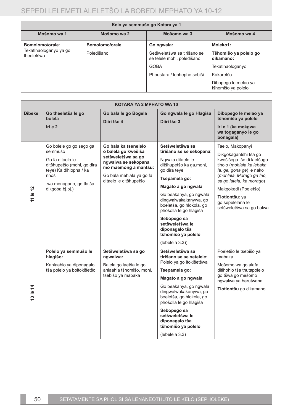| Kelo ya semmušo go Kotara ya 1       |                |                                                           |                                            |  |
|--------------------------------------|----------------|-----------------------------------------------------------|--------------------------------------------|--|
| Mošomo wa 1                          | Mošomo wa 2    | Mošomo wa 3                                               | Mošomo wa 4                                |  |
| Bomolomo/orale:                      | Bomolomo/orale | Go ngwala:                                                | Moleko1:                                   |  |
| Tekatlhaologanyo ya go<br>theeletšwa | Poledišano     | Setšweletšwa sa tirišano se<br>se telele mohl, poledišano | Tšhomišo ya polelo go<br>dikamano:         |  |
|                                      |                | <b>GOBA</b>                                               | Tekatlhaologanyo                           |  |
|                                      |                | Phoustara / lephephetsebiši                               | Kakaretšo                                  |  |
|                                      |                |                                                           | Dibopego le melao ya<br>tšhomišo ya polelo |  |

|               | <b>KOTARA YA 2 MPHATO WA 10</b>                                                                                                                                      |                                                                                                                                                                        |                                                                                                                                                                                                                                                                                                                                                          |                                                                                                                                                                                                                                                                                   |  |
|---------------|----------------------------------------------------------------------------------------------------------------------------------------------------------------------|------------------------------------------------------------------------------------------------------------------------------------------------------------------------|----------------------------------------------------------------------------------------------------------------------------------------------------------------------------------------------------------------------------------------------------------------------------------------------------------------------------------------------------------|-----------------------------------------------------------------------------------------------------------------------------------------------------------------------------------------------------------------------------------------------------------------------------------|--|
| <b>Dibeke</b> | Go theeletša le go<br>bolela                                                                                                                                         | Go bala le go Bogela<br>Diiri tše 4                                                                                                                                    | Go ngwala le go Hlagiša<br>Diiri tše 3                                                                                                                                                                                                                                                                                                                   | Dibopego le melao ya<br>tšhomišo ya polelo                                                                                                                                                                                                                                        |  |
|               | Iri e 2                                                                                                                                                              |                                                                                                                                                                        |                                                                                                                                                                                                                                                                                                                                                          | Iri e 1 (ka mokgwa<br>wa togaganyo le go<br>bonagala)                                                                                                                                                                                                                             |  |
| 11 le 12      | Go bolele go go sego ga<br>semmušo<br>Go fa ditaelo le<br>ditšhupetšo (mohl, go dira<br>teye) Ka dihlopha / ka<br>nnoši<br>wa monagano, go tlatša<br>dikgoba bj.bj.) | Go bala ka tsenelelo<br>o balela go kwešiša<br>setšweletšwa sa go<br>ngwalwa se sekopana<br>mo maemong a mantšu:<br>Go bala mehlala ya go fa<br>ditaelo le ditšhupetšo | Setšweletšwa sa<br>tirišano se se sekopana:<br>Ngwala ditaelo le<br>ditšhupetšo ka ga, mohl,<br>go dira teye<br>Tsepamela go:<br>Magato a go ngwala<br>Go beakanya, go ngwala<br>dingwalwakakanywa, go<br>boeletša, go hlokola, go<br>phošolla le go hlagiša<br>Sebopego sa<br>setšweletšwa le<br>diponagalo tša<br>tšhomišo ya polelo<br>(lebelela 3.3) | Taelo, Makopanyi<br>Dikgokagantšhi tša go<br>kwešišega tše di laetšago<br>tlholo (mohlala ka lebaka<br>la, ge, gona ge) le nako<br>(mohlala. Morago ga fao,<br>sa go latela, ka morago)<br>Makgokedi (Poeletšo)<br>Tlotlontšu: ya<br>go sepelelana le<br>setšweletšwa sa go balwa |  |
| 13 le 14      | Polelo ya semmušo le<br>hlagišo:<br>Kahlaahlo ya diponagalo<br>tša polelo ya boitokišetšo                                                                            | Setšweletšwa sa go<br>ngwalwa:<br>Balela go laetša le go<br>ahlaahla tšhomišo, mohl,<br>tsebišo ya mabaka                                                              | Setšweletšwa sa<br>tirišano se se setelele:<br>Polelo ya go itokišetšwa<br>Tsepamela go:<br>Magato a go ngwala<br>Go beakanya, go ngwala<br>dingwalwakakanywa, go<br>boeletša, go hlokola, go<br>phošolla le go hlagiša<br>Sebopego sa<br>setšweletšwa le<br>diponagalo tša<br>tšhomišo ya polelo<br>(lebelela 3.3)                                      | Poeletšo le tsebišo ya<br>mabaka<br>Mošomo wa go alafa<br>ditlhohlo tša thutapolelo<br>go tšwa go mešomo<br>ngwalwa ya barutwana.<br>Tlotlontšu go dikamano                                                                                                                       |  |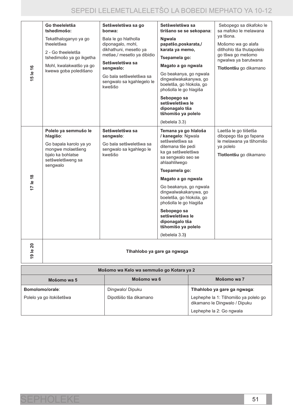| 15 le 16                                             | Go theeleletša<br>tshedimošo:<br>Tekatlhaloganyo ya go<br>theeletšwa<br>2 - Go theeleletša<br>tshedimošo ya go ikgetha<br>Mohl, kwalakwatšo ya go<br>kwewa goba poledišano | Setšweletšwa sa go<br>bonwa:<br>Bala le go hlatholla<br>diponagalo, mohl,<br>dikhathuni, mesetlo ya<br>metlae,/ mesetlo ya dibidio<br>Setšweletšwa sa<br>sengwalo:<br>Go bala setšweletšwa sa<br>sengwalo sa kgahlegelo le<br>kwešišo | Setšweletšwa sa<br>tirišano se se sekopana:<br><b>Ngwala</b><br>papatšo, poskarata,/<br>karata ya memo,<br>Tsepamela go:<br>Magato a go ngwala<br>Go beakanya, go ngwala<br>dingwalwakakanywa, go<br>boeletša, go hlokola, go<br>phošolla le go hlagiša |  | Sebopego sa dikafoko le<br>sa mafoko le melawana<br>ya tšona.<br>Mošomo wa go alafa<br>ditlhohlo tša thutapolelo<br>go tšwa go mešomo<br>ngwalwa ya barutwana<br>Tlotlontšu go dikamano |  |
|------------------------------------------------------|----------------------------------------------------------------------------------------------------------------------------------------------------------------------------|---------------------------------------------------------------------------------------------------------------------------------------------------------------------------------------------------------------------------------------|---------------------------------------------------------------------------------------------------------------------------------------------------------------------------------------------------------------------------------------------------------|--|-----------------------------------------------------------------------------------------------------------------------------------------------------------------------------------------|--|
|                                                      |                                                                                                                                                                            |                                                                                                                                                                                                                                       | Sebopego sa<br>setšweletšwa le<br>diponagalo tša<br>tšhomišo ya polelo<br>(lebelela 3.3)                                                                                                                                                                |  |                                                                                                                                                                                         |  |
|                                                      | Polelo ya semmušo le<br>hlagišo:<br>Go bapala karolo ya yo<br>mongwe molaetšeng<br>bjalo ka bohlatse<br>setšweletšweng sa<br>sengwalo                                      | Setšweletšwa sa<br>sengwalo:<br>Go bala setšweletšwa sa<br>sengwalo sa kgahlego le<br>kwešišo                                                                                                                                         | Temana ya go hlaloša<br>/ kanegelo: Ngwala<br>setšweletšwa sa<br>ditemana tše pedi<br>ka ga setšweletšwa<br>sa sengwalo seo se<br>ahlaahlilwego                                                                                                         |  | Laetša le go tiišetša<br>dibopego tša go fapana<br>le melawana ya tšhomišo<br>ya polelo<br>Tlotlontšu go dikamano                                                                       |  |
| 17 le 18                                             |                                                                                                                                                                            |                                                                                                                                                                                                                                       | Tsepamela go:<br>Magato a go ngwala<br>Go beakanya, go ngwala<br>dingwalwakakanywa, go<br>boeletša, go hlokola, go<br>phošolla le go hlagiša                                                                                                            |  |                                                                                                                                                                                         |  |
|                                                      |                                                                                                                                                                            |                                                                                                                                                                                                                                       | Sebopego sa<br>setšweletšwa le<br>diponagalo tša<br>tšhomišo ya polelo<br>(lebelela 3.3)                                                                                                                                                                |  |                                                                                                                                                                                         |  |
| $\overline{20}$<br>$\overline{\bullet}$<br><u>စု</u> |                                                                                                                                                                            | Tihahlobo ya gare ga ngwaga                                                                                                                                                                                                           |                                                                                                                                                                                                                                                         |  |                                                                                                                                                                                         |  |
|                                                      |                                                                                                                                                                            | Mošomo wa Kelo wa semmušo go Kotara ya 2                                                                                                                                                                                              |                                                                                                                                                                                                                                                         |  |                                                                                                                                                                                         |  |
|                                                      | Mošomo wa 5                                                                                                                                                                | Mošomo wa 6                                                                                                                                                                                                                           |                                                                                                                                                                                                                                                         |  | Mošomo wa 7                                                                                                                                                                             |  |
| Bomolomo/orale:<br>Polelo ya go itokišetšwa          |                                                                                                                                                                            | Dingwalo/Dipuku<br>Dipotšišo tša dikamano                                                                                                                                                                                             | Tihahlobo ya gare ga ngwaga:<br>Lephephe la 1: Tšhomišo ya polelo go<br>dikamano le Dingwalo / Dipuku<br>Lephephe la 2: Go ngwala                                                                                                                       |  |                                                                                                                                                                                         |  |
| 51                                                   |                                                                                                                                                                            |                                                                                                                                                                                                                                       |                                                                                                                                                                                                                                                         |  |                                                                                                                                                                                         |  |
|                                                      |                                                                                                                                                                            |                                                                                                                                                                                                                                       |                                                                                                                                                                                                                                                         |  |                                                                                                                                                                                         |  |

| <b>INUSURIU WA REIU WA SERRIULUSU YA KULAFA YA Z</b> |                        |                                                                       |  |
|------------------------------------------------------|------------------------|-----------------------------------------------------------------------|--|
| Mošomo wa 5                                          | Mošomo wa 6            | Mošomo wa 7                                                           |  |
| Bomolomo/orale:                                      | Dingwalo/Dipuku        | Tihahlobo ya gare ga ngwaga:                                          |  |
| Polelo ya go itokišetšwa                             | Dipotšišo tša dikamano | Lephephe la 1: Tšhomišo ya polelo go<br>dikamano le Dingwalo / Dipuku |  |
|                                                      |                        | Lephephe la 2: Go ngwala                                              |  |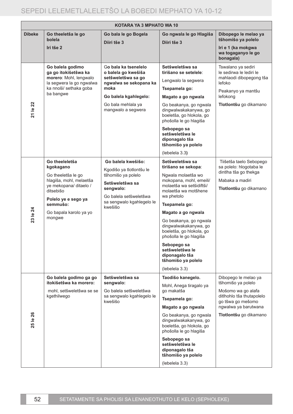|               |                                                                                                                                                                                            | <b>KOTARA YA 3 MPHATO WA 10</b>                                                                                                                                          |                                                                                                                                                                                                                                                                                                                                                                                                       |                                                                                                                                                                      |  |  |
|---------------|--------------------------------------------------------------------------------------------------------------------------------------------------------------------------------------------|--------------------------------------------------------------------------------------------------------------------------------------------------------------------------|-------------------------------------------------------------------------------------------------------------------------------------------------------------------------------------------------------------------------------------------------------------------------------------------------------------------------------------------------------------------------------------------------------|----------------------------------------------------------------------------------------------------------------------------------------------------------------------|--|--|
| <b>Dibeke</b> | Go theeletša le go<br>bolela                                                                                                                                                               | Go bala le go Bogela<br>Diiri tše 3                                                                                                                                      | Go ngwala le go Hlagiša<br>Diiri tše 3                                                                                                                                                                                                                                                                                                                                                                | Dibopego le melao ya<br>tšhomišo ya polelo                                                                                                                           |  |  |
|               | Iri tše 2                                                                                                                                                                                  |                                                                                                                                                                          |                                                                                                                                                                                                                                                                                                                                                                                                       | Iri e 1 (ka mokgwa<br>wa togaganyo le go<br>bonagala)                                                                                                                |  |  |
| 21 le 22      | Go balela godimo<br>ga go itokišetšwa ka<br>morero: Mohl, lengwalo<br>la segwera la go ngwalwa<br>ka nnoši/ sethaka goba<br>ba bangwe                                                      | Go bala ka tsenelelo<br>o balela go kwešiša<br>setšweletšwa sa go<br>ngwalwa se sekopana ka<br>moka<br>Go balela kgahlegelo:<br>Go bala mehlala ya<br>mangwalo a segwera | Setšweletšwa sa<br>tirišano se setelele:<br>Lengwalo la segwera<br>Tsepamela go:<br>Magato a go ngwala<br>Go beakanya, go ngwala<br>dingwalwakakanywa, go<br>boeletša, go hlokola, go<br>phošolla le go hlagiša<br>Sebopego sa<br>setšweletšwa le<br>diponagalo tša<br>tšhomišo ya polelo<br>(lebelela 3.3)                                                                                           | Tswalano ya sediri<br>le sedirwa le lediri le<br>mahlaodi dibopegong tša<br>lefoko<br>Peakanyo ya mantšu<br>lefokong<br>Tlotlontšu go dikamano                       |  |  |
| 23 le 24      | Go theeleletša<br>kgokagano<br>Go theeletša le go<br>hlagiša, mohl, melaetša<br>ye mekopana/ ditaelo /<br>ditsebišo<br>Polelo ye e sego ya<br>semmušo:<br>Go bapala karolo ya yo<br>mongwe | Go balela kwešišo:<br>Kgodišo ya tlotlontšu le<br>tšhomišo ya polelo<br>Setšweletšwa sa<br>sengwalo:<br>Go balela setšweletšwa<br>sa sengwalo kgahlegelo le<br>kwešišo   | Setšweletšwa sa<br>tirišano se sekopa:<br>Ngwala molaetša wo<br>mokopana, mohl, emeili/<br>molaetša wa setšidiftši/<br>molaetša wa motšhene<br>wa phetolo<br>Tsepamela go:<br>Magato a go ngwala<br>Go beakanya, go ngwala<br>dingwalwakakanywa, go<br>boeletša, go hlokola, go<br>phošolla le go hlagiša<br>Sebopego sa<br>setšweletšwa le<br>diponagalo tša<br>tšhomišo ya polelo<br>(lebelela 3.3) | Tiišetša taelo Sebopego<br>sa polelo: hlogotaba le<br>dintlha tša go thekga<br>Mabaka a madiri<br>Tlotlontšu go dikamano                                             |  |  |
| 25 le 26      | Go balela godimo ga go<br>itokišetšwa ka morero:<br>mohl, setšweletšwa se se<br>kgethilwego                                                                                                | Setšweletšwa sa<br>sengwalo:<br>Go balela setšweletšwa<br>sa sengwalo kgahlegelo le<br>kwešišo                                                                           | Taodišo kanegelo.<br>Mohl, Anega tiragalo ya<br>go makatša<br>Tsepamela go:<br>Magato a go ngwala<br>Go beakanya, go ngwala<br>dingwalwakakanywa, go<br>boeletša, go hlokola, go<br>phošolla le go hlagiša<br>Sebopego sa<br>setšweletšwa le<br>diponagalo tša<br>tšhomišo ya polelo<br>(lebelela 3.3)                                                                                                | Dibopego le melao ya<br>tšhomišo ya polelo<br>Mošomo wa go alafa<br>ditlhohlo tša thutapolelo<br>go tšwa go mešomo<br>ngwalwa ya barutwana<br>Tlotlontšu go dikamano |  |  |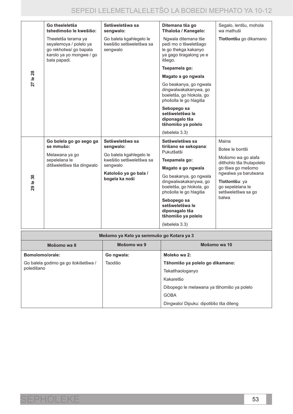| 27 le 28                                                                                                                                                                                                                                                                                  | Go theeleletša<br>tshedimošo le kwešišo:<br>Theeletša terama ya<br>seyalemoya / polelo ya<br>go rekhotwa/ go bapala<br>karolo ya yo mongwe / go<br>bala papadi. | Setšweletšwa sa<br>sengwalo:<br>Go balela kgahlegelo le<br>kwešišo setšweletšwa sa<br>sengwalo                                            | Ditemana tša go<br>Tlhaloša / Kanegelo:<br>Ngwala ditemana tše<br>pedi mo o tšweletšago<br>le go thekga kakanyo<br>ya gago tiragalong ye e<br>itšego.<br>Tsepamela go:<br>Magato a go ngwala<br>Go beakanya, go ngwala<br>dingwalwakakanywa, go<br>boeletša, go hlokola, go<br>phošolla le go hlagiša<br>Sebopego sa<br>setšweletšwa le<br>diponagalo tša<br>tšhomišo ya polelo<br>(lebelela 3.3) | Segalo, lentšu, mohola<br>wa mathuši<br>Tlotlontšu go dikamano                                                                                                                                |  |
|-------------------------------------------------------------------------------------------------------------------------------------------------------------------------------------------------------------------------------------------------------------------------------------------|-----------------------------------------------------------------------------------------------------------------------------------------------------------------|-------------------------------------------------------------------------------------------------------------------------------------------|---------------------------------------------------------------------------------------------------------------------------------------------------------------------------------------------------------------------------------------------------------------------------------------------------------------------------------------------------------------------------------------------------|-----------------------------------------------------------------------------------------------------------------------------------------------------------------------------------------------|--|
| 29 le 30                                                                                                                                                                                                                                                                                  | Go bolela go go sego ga<br>se mmušo:<br>Melawana ya go<br>sepelelana le<br>ditšweletšwa tša dingwalo                                                            | Setšweletšwa sa<br>sengwalo:<br>Go balela kgahlegelo le<br>kwešišo setšweletšwa sa<br>sengwalo<br>Katološo ya go bala /<br>bogela ka noši | Setšweletšwa sa<br>tirišano se sekopana:<br>Pukutšatši<br>Tsepamela go:<br>Magato a go ngwala<br>Go beakanya, go ngwala<br>dingwalwakakanywa, go<br>boeletša, go hlokola, go<br>phošolla le go hlagiša<br>Sebopego sa<br>setšweletšwa le<br>diponagalo tša<br>tšhomišo ya polelo<br>(lebelela 3.3)                                                                                                | Maina<br>Botee le bontši<br>Mošomo wa go alafa<br>ditlhohlo tša thutapolelo<br>go tšwa go mešomo<br>ngwalwa ya barutwana<br>Tlotlontšu: ya<br>go sepelelana le<br>setšweletšwa sa go<br>balwa |  |
|                                                                                                                                                                                                                                                                                           |                                                                                                                                                                 | Mešomo ya Kelo ya semmušo go Kotara ya 3                                                                                                  |                                                                                                                                                                                                                                                                                                                                                                                                   |                                                                                                                                                                                               |  |
|                                                                                                                                                                                                                                                                                           | Mošomo wa 8                                                                                                                                                     | Mošomo wa 9                                                                                                                               | Mošomo wa 10                                                                                                                                                                                                                                                                                                                                                                                      |                                                                                                                                                                                               |  |
| Bomolomo/orale:<br>Moleko wa 2:<br>Go ngwala:<br>Go balela godimo ga go itokišetšwa /<br>Taodišo<br>Tšhomišo ya polelo go dikamano:<br>poledišano<br>Tekatlhaologanyo<br>Kakaretšo<br>Dibopego le melawana ya tšhomišo ya polelo<br><b>GOBA</b><br>Dingwalo/ Dipuku: dipotšišo tša diteng |                                                                                                                                                                 |                                                                                                                                           |                                                                                                                                                                                                                                                                                                                                                                                                   |                                                                                                                                                                                               |  |
|                                                                                                                                                                                                                                                                                           |                                                                                                                                                                 |                                                                                                                                           |                                                                                                                                                                                                                                                                                                                                                                                                   |                                                                                                                                                                                               |  |

| Mešomo ya Kelo ya semmušo go Kotara ya 3 |             |                                            |  |
|------------------------------------------|-------------|--------------------------------------------|--|
| Mošomo wa 8                              | Mošomo wa 9 | Mošomo wa 10                               |  |
| Bomolomo/orale:                          | Go ngwala:  | Moleko wa 2:                               |  |
| Go balela godimo ga go itokišetšwa /     | Taodišo     | Tšhomišo ya polelo go dikamano:            |  |
| poledišano                               |             | Tekatlhaologanyo                           |  |
|                                          |             | Kakaretšo                                  |  |
|                                          |             | Dibopego le melawana ya tšhomišo ya polelo |  |
|                                          |             | <b>GOBA</b>                                |  |
|                                          |             | Dingwalo/Dipuku: dipotšišo tša diteng      |  |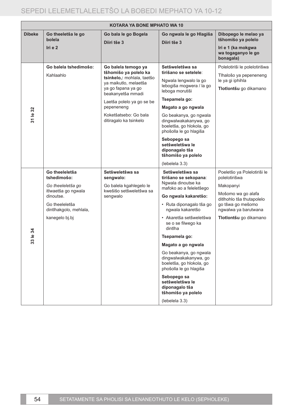| <b>KOTARA YA BONE MPHATO WA 10</b> |                                                                                                                                                      |                                                                                                                                                                                                                                              |                                                                                                                                                                                                                                                                                                                                                                                                                                                                                             |                                                                                                                                                                                     |
|------------------------------------|------------------------------------------------------------------------------------------------------------------------------------------------------|----------------------------------------------------------------------------------------------------------------------------------------------------------------------------------------------------------------------------------------------|---------------------------------------------------------------------------------------------------------------------------------------------------------------------------------------------------------------------------------------------------------------------------------------------------------------------------------------------------------------------------------------------------------------------------------------------------------------------------------------------|-------------------------------------------------------------------------------------------------------------------------------------------------------------------------------------|
| <b>Dibeke</b>                      | Go theeletša le go<br>bolela                                                                                                                         | Go bala le go Bogela<br>Diiri tše 3                                                                                                                                                                                                          | Go ngwala le go Hlagiša<br>Diiri tše 3                                                                                                                                                                                                                                                                                                                                                                                                                                                      | Dibopego le melao ya<br>tšhomišo ya polelo                                                                                                                                          |
|                                    | Iri e 2                                                                                                                                              |                                                                                                                                                                                                                                              |                                                                                                                                                                                                                                                                                                                                                                                                                                                                                             | Iri e 1 (ka mokgwa<br>wa togaganyo le go<br>bonagala)                                                                                                                               |
| 31 le 32                           | Go balela tshedimošo:<br>Kahlaahlo                                                                                                                   | Go balela temogo ya<br>tšhomišo ya polelo ka<br>tsinkelo,: mohlala, taetšo<br>ya maikutlo, melaetša<br>ya go fapana ya go<br>beakanyetša mmadi<br>Laetša polelo ya go se be<br>pepeneneng<br>Koketšatsebo: Go bala<br>ditiragalo ka tsinkelo | Setšweletšwa sa<br>tirišano se setelele:<br>Ngwala lengwalo la go<br>lebogiša mogwera / la go<br>leboga morutiši<br>Tsepamela go:<br>Magato a go ngwala<br>Go beakanya, go ngwala<br>dingwalwakakanywa, go<br>boeletša, go hlokola, go<br>phošolla le go hlagiša<br>Sebopego sa<br>setšweletšwa le<br>diponagalo tša<br>tšhomišo ya polelo                                                                                                                                                  | Polelotiriši le polelotirišwa<br>Tlhalošo ya pepeneneng<br>le ya gi iphihla<br>Tlotlontšu go dikamano                                                                               |
| le 34<br>33                        | Go theeleletša<br>tshedimošo:<br>Go theeleletša go<br>itlwaetša go ngwala<br>dinoutse.<br>Go theeleletša<br>dintlhakgolo, mehlala,<br>kanegelo bj.bj | Setšweletšwa sa<br>sengwalo:<br>Go balela kgahlegelo le<br>kwešišo setšweletšwa sa<br>sengwalo                                                                                                                                               | (lebelela 3.3)<br>Setšweletšwa sa<br>tirišano se sekopana:<br>Ngwala dinoutse ka<br>mafoko ao a feleletšego<br>Go ngwala kakaretšo:<br>• Ruta diponagalo tša go<br>ngwala kakaretšo<br>· Akaretša setšweletšwa<br>se o se filwego ka<br>dintlha<br>Tsepamela go:<br>Magato a go ngwala<br>Go beakanya, go ngwala<br>dingwalwakakanywa, go<br>boeletša, go hlokola, go<br>phošolla le go hlagiša<br>Sebopego sa<br>setšweletšwa le<br>diponagalo tša<br>tšhomišo ya polelo<br>(lebelela 3.3) | Poeletšo ya Polelotiriši le<br>polelotirišwa<br>Makopanyi<br>Mošomo wa go alafa<br>ditlhohlo tša thutapolelo<br>go tšwa go mešomo<br>ngwalwa ya barutwana<br>Tlotlontšu go dikamano |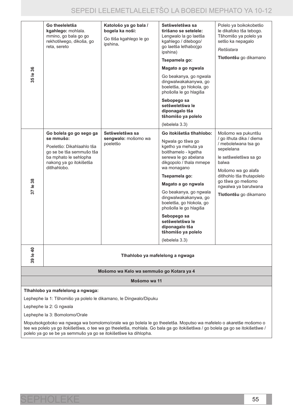| Setšweletšwa sa<br>Go itokišetša tlhahlobo:<br>Mošomo wa pukuntšu<br>Go bolela go go sego ga<br>se mmušo:<br>sengwalo: mošomo wa<br>/ go ithuta dika / diema<br>Ngwala go tšwa go<br>poeletšo<br>/ mebolelwana tsa go<br>Poeletšo: Dikahlaahlo tša<br>kgetho ya mehuta ya<br>sepelelana<br>go se be tša semmušo tša<br>boitlhamelo - kgetha<br>serewa le go abelana<br>ba mphato le sehlopha<br>le setšweletšwa sa go<br>nakong ya go itokišetša<br>dikgopolo / thala mmepe<br>balwa<br>ditlhahlobo.<br>wa monagano<br>Mošomo wa go alafa<br>ditlhohlo tša thutapolelo<br>Tsepamela go:<br>37 le 38<br>go tšwa go mešomo<br>Magato a go ngwala<br>ngwalwa ya barutwana<br>Go beakanya, go ngwala<br>Tlotlontšu go dikamano<br>dingwalwakakanywa, go<br>boeletša, go hlokola, go<br>phošolla le go hlagiša<br>Sebopego sa<br>setšweletšwa le<br>diponagalo tša<br>tšhomišo ya polelo<br>(lebelela 3.3)<br>39 le 40<br>Tihahlobo ya mafelelong a ngwaga<br>Mošomo wa Kelo wa semmušo go Kotara ya 4<br>Mošomo wa 11<br>Tlhahlobo ya mafelelong a ngwaga:<br>Lephephe la 1: Tšhomišo ya polelo le dikamano, le Dingwalo/Dipuku<br>Lephephe la 2: G ngwala<br>Lephephe la 3: Bomolomo/Orale<br>Moputsokgoboko wa ngwaga wa bomolomo/orale wa go bolela le go theeletša. Moputso wa mafelelo o akaretše mošomo o<br>tee wa polelo ya go itokišetšwa, o tee wa go theeletša, mohlala. Go bala ga go itokišetšwa / go bolela ga go se itokišetšwe /<br>polelo ya go se be ya semmušo ya go se itokišetšwe ka dihlopha.<br>55 | 35 le 36 | Go theeleletša<br>kgahlego: mohlala.<br>mmino, go bala go go<br>rekhotilwego, dikoša, go<br>reta, sereto | Katološo ya go bala /<br>bogela ka noši:<br>Go tliša kgahlego le go<br>ipshina. | Setšweletšwa sa<br>tirišano se setelele:<br>Lengwalo la go laetša<br>kgahlego / ditebogo/<br>go laetša lethabo(go<br>ipshina)<br>Tsepamela go:<br>Magato a go ngwala<br>Go beakanya, go ngwala<br>dingwalwakakanywa, go<br>boeletša, go hlokola, go<br>phošolla le go hlagiša<br>Sebopego sa<br>setšweletšwa le<br>diponagalo tša<br>tšhomišo ya polelo<br>(lebelela 3.3) | Polelo ya boikokobetšo<br>le dikafoko tša tebogo.<br>Tšhomišo ya polelo ya<br>setšo ka nepagalo<br>Retšistara<br>Tlotlontšu go dikamano |  |
|-----------------------------------------------------------------------------------------------------------------------------------------------------------------------------------------------------------------------------------------------------------------------------------------------------------------------------------------------------------------------------------------------------------------------------------------------------------------------------------------------------------------------------------------------------------------------------------------------------------------------------------------------------------------------------------------------------------------------------------------------------------------------------------------------------------------------------------------------------------------------------------------------------------------------------------------------------------------------------------------------------------------------------------------------------------------------------------------------------------------------------------------------------------------------------------------------------------------------------------------------------------------------------------------------------------------------------------------------------------------------------------------------------------------------------------------------------------------------------------------------------------------------|----------|----------------------------------------------------------------------------------------------------------|---------------------------------------------------------------------------------|---------------------------------------------------------------------------------------------------------------------------------------------------------------------------------------------------------------------------------------------------------------------------------------------------------------------------------------------------------------------------|-----------------------------------------------------------------------------------------------------------------------------------------|--|
|                                                                                                                                                                                                                                                                                                                                                                                                                                                                                                                                                                                                                                                                                                                                                                                                                                                                                                                                                                                                                                                                                                                                                                                                                                                                                                                                                                                                                                                                                                                       |          |                                                                                                          |                                                                                 |                                                                                                                                                                                                                                                                                                                                                                           |                                                                                                                                         |  |
|                                                                                                                                                                                                                                                                                                                                                                                                                                                                                                                                                                                                                                                                                                                                                                                                                                                                                                                                                                                                                                                                                                                                                                                                                                                                                                                                                                                                                                                                                                                       |          |                                                                                                          |                                                                                 |                                                                                                                                                                                                                                                                                                                                                                           |                                                                                                                                         |  |
|                                                                                                                                                                                                                                                                                                                                                                                                                                                                                                                                                                                                                                                                                                                                                                                                                                                                                                                                                                                                                                                                                                                                                                                                                                                                                                                                                                                                                                                                                                                       |          |                                                                                                          |                                                                                 |                                                                                                                                                                                                                                                                                                                                                                           |                                                                                                                                         |  |
|                                                                                                                                                                                                                                                                                                                                                                                                                                                                                                                                                                                                                                                                                                                                                                                                                                                                                                                                                                                                                                                                                                                                                                                                                                                                                                                                                                                                                                                                                                                       |          |                                                                                                          |                                                                                 |                                                                                                                                                                                                                                                                                                                                                                           |                                                                                                                                         |  |
|                                                                                                                                                                                                                                                                                                                                                                                                                                                                                                                                                                                                                                                                                                                                                                                                                                                                                                                                                                                                                                                                                                                                                                                                                                                                                                                                                                                                                                                                                                                       |          |                                                                                                          |                                                                                 |                                                                                                                                                                                                                                                                                                                                                                           |                                                                                                                                         |  |
|                                                                                                                                                                                                                                                                                                                                                                                                                                                                                                                                                                                                                                                                                                                                                                                                                                                                                                                                                                                                                                                                                                                                                                                                                                                                                                                                                                                                                                                                                                                       |          |                                                                                                          |                                                                                 |                                                                                                                                                                                                                                                                                                                                                                           |                                                                                                                                         |  |

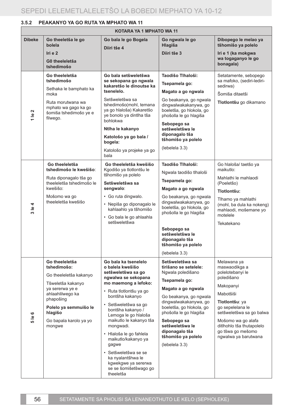#### $3.5.2$ **3.5.2 PEAKANYO YA GO RUTA YA MPHATO WA 11**

|               | <b>KOTARA YA 1 MPHATO WA 11</b>                                                                                                                                                                          |                                                                                                                                                                                                                                                                                                                                                                                                                                               |                                                                                                                                                                                                                                                                                                           |                                                                                                                                                                                                                                                            |
|---------------|----------------------------------------------------------------------------------------------------------------------------------------------------------------------------------------------------------|-----------------------------------------------------------------------------------------------------------------------------------------------------------------------------------------------------------------------------------------------------------------------------------------------------------------------------------------------------------------------------------------------------------------------------------------------|-----------------------------------------------------------------------------------------------------------------------------------------------------------------------------------------------------------------------------------------------------------------------------------------------------------|------------------------------------------------------------------------------------------------------------------------------------------------------------------------------------------------------------------------------------------------------------|
| <b>Dibeke</b> | Go theeletša le go<br>bolela<br>Iri e 2<br>G0 theeleletša<br>tshedimošo                                                                                                                                  | Go bala le go Bogela<br>Diiri tše 4                                                                                                                                                                                                                                                                                                                                                                                                           | Go ngwala le go<br><b>Hlagiša</b><br>Diiri tše 3                                                                                                                                                                                                                                                          | Dibopego le melao ya<br>tšhomišo ya polelo<br>Iri e 1 (ka mokgwa<br>wa togaganyo le go<br>bonagala)                                                                                                                                                        |
| $1$ le $2$    | Go theeleletša<br>tshedimošo<br>Sethaka le bamphato ka<br>moka<br>Ruta morutwana wa<br>mphato wa gago ka go<br>šomiša tshedimošo ye e<br>filwego.                                                        | Go bala setšweletšwa<br>se sekopana go ngwala<br>kakaretšo le dinoutse ka<br>tsenelelo.<br>Setšweletšwa sa<br>tshedimošo(mohl, temana<br>ya go hlaloša) Kakaretšo<br>ye bonolo ya dintlha tša<br>bohlokwa<br>Ntlha le kakanyo<br>Katološo ya go bala /<br>bogela:<br>Katološo ya projeke ya go<br>bala                                                                                                                                        | Taodišo Tlhaloši:<br>Tsepamela go:<br>Magato a go ngwala<br>Go beakanya, go ngwala<br>dingwalwakakanywa, go<br>boeletša, go hlokola, go<br>phošolla le go hlagiša<br>Sebopego sa<br>setšweletšwa le<br>diponagalo tša<br>tšhomišo ya polelo<br>(lebelela 3.3)                                             | Setatamente, sebopego<br>sa mafoko, (sediri-lediri-<br>sedirwa)<br>Šomiša ditaetši<br>Tlotlontšu go dikamano                                                                                                                                               |
| $3 \leq 4$    | Go theeleletša<br>tshedimošo le kwešišo:<br>Ruta diponagalo tša go<br>theeleletša tshedimošo le<br>kwešišo:<br>Mošomo wa go<br>theeleletša kwešišo                                                       | Go theeleletša kwešišo<br>Kgodišo ya tlotlontšu le<br>tšhomišo ya polelo<br>Setšweletšwa sa<br>sengwalo:<br>· Go ruta dingwalo.<br>· Nepiša go diponagalo le<br>kahlaahlo ya tšhomišo<br>· Go bala le go ahlaahla<br>setšweletšwa                                                                                                                                                                                                             | Taodišo Tlhaloši:<br>Ngwala taodišo tlhaloši<br>Tsepamela go:<br>Magato a go ngwala<br>Go beakanya, go ngwala<br>dingwalwakakanywa, go<br>boeletša, go hlokola, go<br>phošolla le go hlagiša<br>Sebopego sa<br>setšweletšwa le<br>diponagalo tša<br>tšhomišo ya polelo<br>(lebelela 3.3)                  | Go hlaloša/ taetšo ya<br>maikutlo:<br>Mahlathi le mahlaodi<br>(Poeletšo)<br>Tlotlontšu:<br>Tlhamo ya mahlathi<br>(mohl, ba dula ka nokeng)<br>mahlaodi, mošemane yo<br>motelele<br>Tekatekano                                                              |
| 5 le 6        | Go theeleletša<br>tshedimošo:<br>Go theeleletša kakanyo<br>Tšweletša kakanyo<br>ya sererwa ye e<br>ahlaahlilwego ka<br>phapošing<br>Polelo ya semmuišo le<br>hlagišo<br>Go bapala karolo ya yo<br>mongwe | Go bala ka tsenelelo<br>o balela kwešišo<br>setšweletšwa sa go<br>ngwalwa se sekopana<br>mo maemong a lefoko:<br>· Ruta tlotlontšu ya go<br>bontšha kakanyo<br>· Setšweletšwa sa go<br>bontšha kakanyo /<br>Lemoga le go hlaloša<br>maikutlo le kakanyo tša<br>mongwadi.<br>· Hlaloša le go fahlela<br>maikutlo/kakanyo ya<br>gagwe<br>· Setšweletšwa se se<br>ka nyalantšhwa le<br>kgwekgwe ya sererwa<br>se se šomišetšwago go<br>theeletša | Setšweletšwa sa<br>tirišano se setelele:<br>Ngwala poledišano<br>Tsepamela go:<br>Magato a go ngwala<br>Go beakanya, go ngwala<br>dingwalwakakanywa, go<br>boeletša, go hlokola, go<br>phošolla le go hlagiša<br>Sebopego sa<br>setšweletšwa le<br>diponagalo tša<br>tšhomišo ya polelo<br>(lebelela 3.3) | Melawana ya<br>maswaodikga a<br>polelotebanyi le<br>poledišano<br>Makopanyi<br>Mabotšiši<br>Tlotlontšu: ya<br>go sepelelana le<br>setšweletšwa sa go balwa<br>Mošomo wa go alafa<br>ditlhohlo tša thutapolelo<br>go tšwa go mešomo<br>ngwalwa ya barutwana |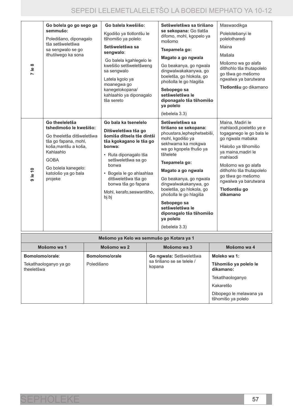| $7 \text{ le } 8$                                                     | Go bolela go go sego ga<br>semmušo:<br>Poledišano, diponagalo<br>tša setšweletšwa<br>sa sengwalo se go<br>ithutilwego ka sona                                                                              |                | Go balela kwešišo:<br>Kgodišo ya tlotlontšu le<br>tšhomišo ya polelo:<br>Setšweletšwa sa<br>sengwalo:<br>Go balela kgahlegelo le<br>kwešišo setšweletšweng<br>sa sengwalo<br>Latela kgolo ya<br>moanegwa go<br>kanegelokopana/<br>kahlaahlo ya diponagalo<br>tša sereto               |                                                       | Setšweletšwa sa tirišano<br>se sekopana: Go tlatša<br>difomo, mohl, kgopelo ya<br>mošomo<br>Tsepamela go:<br>Magato a go ngwala<br>Go beakanya, go ngwala<br>dingwalwakakanywa, go<br>boeletša, go hlokola, go<br>phošolla le go hlagiša<br>Sebopego sa<br>setšweletšwa le<br>diponagalo tša tšhomišo<br>ya polelo<br>(lebelela 3.3)                                                                |                                                                                                                                      | Maswaodikga<br>Polelotebanyi le<br>polelotharedi<br>Maina<br>Mašala<br>Mošomo wa go alafa<br>ditlhohlo tša thutapolelo<br>go tšwa go mešomo<br>ngwalwa ya barutwana<br>Tlotlontšu go dikamano                                                                                      |    |  |
|-----------------------------------------------------------------------|------------------------------------------------------------------------------------------------------------------------------------------------------------------------------------------------------------|----------------|---------------------------------------------------------------------------------------------------------------------------------------------------------------------------------------------------------------------------------------------------------------------------------------|-------------------------------------------------------|-----------------------------------------------------------------------------------------------------------------------------------------------------------------------------------------------------------------------------------------------------------------------------------------------------------------------------------------------------------------------------------------------------|--------------------------------------------------------------------------------------------------------------------------------------|------------------------------------------------------------------------------------------------------------------------------------------------------------------------------------------------------------------------------------------------------------------------------------|----|--|
| 9 le 10                                                               | Go theeleletša<br>tshedimošo le kwešišo:<br>Go theeletša ditšweletšwa<br>tša go fapana, mohl,<br>koša, mantšu a koša,<br>Kahlaahlo<br><b>GOBA</b><br>Go bolela kanegelo:<br>katološo ya go bala<br>projeke |                | Go bala ka tsenelelo<br>Ditšweletšwa tša go<br>šomiša ditsela tše dintši<br>tša kgokagano le tša go<br>bonwa:<br>· Ruta diponagalo tša<br>setšweletšwa sa go<br>bonwa<br>· Bogela le go ahlaahlaa<br>ditšweletšwa tša go<br>bonwa tša go fapana<br>Mohl, kerafo, seswantšho,<br>bj.bj |                                                       | Setšweletšwa sa<br>tirišano se sekopana:<br>phoustara, lephephetsebiši,<br>mohl, kgodišo ya<br>sekhwama ka mokgwa<br>wa go kgopela thušo ya<br>tšhelete<br>Tsepamela go:<br>Magato a go ngwala<br>Go beakanya, go ngwala<br>dingwalwakakanywa, go<br>boeletša, go hlokola, go<br>phošolla le go hlagiša<br>Sebopego sa<br>setšweletšwa le<br>diponagalo tša tšhomišo<br>ya polelo<br>(lebelela 3.3) |                                                                                                                                      | Maina, Madiri le<br>mahlaodi, poeletšo ye e<br>togaganego le go bala le<br>go ngwala mabaka<br>Hlalošo ya tšhomišo<br>ya maina, madiri le<br>mahlaodi<br>Mošomo wa go alafa<br>ditlhohlo tša thutapolelo<br>go tšwa go mešomo<br>ngwalwa ya barutwana<br>Tlotlontšu go<br>dikamano |    |  |
|                                                                       |                                                                                                                                                                                                            |                | Mešomo ya Kelo wa semmušo go Kotara ya 1                                                                                                                                                                                                                                              |                                                       |                                                                                                                                                                                                                                                                                                                                                                                                     |                                                                                                                                      |                                                                                                                                                                                                                                                                                    |    |  |
|                                                                       | Mošomo wa 1                                                                                                                                                                                                |                | Mošomo wa 2                                                                                                                                                                                                                                                                           |                                                       | Mošomo wa 3                                                                                                                                                                                                                                                                                                                                                                                         |                                                                                                                                      | Mošomo wa 4                                                                                                                                                                                                                                                                        |    |  |
| Bomolomo/orale:<br>Tekatlhaologanyo ya go<br>Poledišano<br>theeletšwa |                                                                                                                                                                                                            | Bomolomo/orale | kopana                                                                                                                                                                                                                                                                                | Go ngwala: Setšweletšwa<br>sa tirišano se se telele / |                                                                                                                                                                                                                                                                                                                                                                                                     | Moleko wa 1:<br>Tšhomišo ya polelo le<br>dikamano:<br>Tekatlhaologanyo<br>Kakaretšo<br>Dibopego le melawana ya<br>tšhomišo ya polelo |                                                                                                                                                                                                                                                                                    |    |  |
|                                                                       |                                                                                                                                                                                                            |                |                                                                                                                                                                                                                                                                                       |                                                       |                                                                                                                                                                                                                                                                                                                                                                                                     |                                                                                                                                      |                                                                                                                                                                                                                                                                                    |    |  |
|                                                                       |                                                                                                                                                                                                            |                |                                                                                                                                                                                                                                                                                       |                                                       |                                                                                                                                                                                                                                                                                                                                                                                                     |                                                                                                                                      |                                                                                                                                                                                                                                                                                    | 57 |  |

| Mešomo ya Kelo wa semmušo go Kotara ya 1 |                |                                      |                                               |  |  |  |
|------------------------------------------|----------------|--------------------------------------|-----------------------------------------------|--|--|--|
| Mošomo wa 1                              | Mošomo wa 2    | Mošomo wa 3                          | Mošomo wa 4                                   |  |  |  |
| Bomolomo/orale:                          | Bomolomo/orale | Go ngwala: Setšweletšwa              | Moleko wa 1:                                  |  |  |  |
| Tekatlhaologanyo ya go<br>theeletšwa     | Poledišano     | sa tirišano se se telele /<br>kopana | Tšhomišo ya polelo le<br>dikamano:            |  |  |  |
|                                          |                |                                      | Tekatlhaologanyo                              |  |  |  |
|                                          |                |                                      | Kakaretšo                                     |  |  |  |
|                                          |                |                                      | Dibopego le melawana ya<br>tšhomišo ya polelo |  |  |  |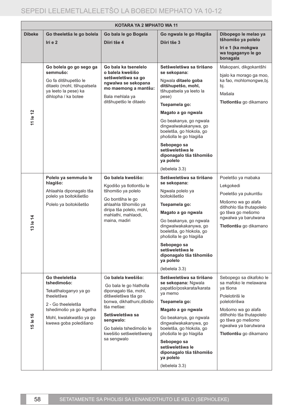| <b>KOTARA YA 2 MPHATO WA 11</b> |                                                                                                                                                                            |                                                                                                                                                                                                                                                |                                                                                                                                                                                                                                                                                                                                                                       |                                                                                                                                                                                                                            |  |  |
|---------------------------------|----------------------------------------------------------------------------------------------------------------------------------------------------------------------------|------------------------------------------------------------------------------------------------------------------------------------------------------------------------------------------------------------------------------------------------|-----------------------------------------------------------------------------------------------------------------------------------------------------------------------------------------------------------------------------------------------------------------------------------------------------------------------------------------------------------------------|----------------------------------------------------------------------------------------------------------------------------------------------------------------------------------------------------------------------------|--|--|
| <b>Dibeke</b>                   | Go theeletša le go bolela<br>Iri e 2                                                                                                                                       | Go bala le go Bogela<br>Diiri tše 4                                                                                                                                                                                                            | Go ngwala le go Hlagiša<br>Diiri tše 3                                                                                                                                                                                                                                                                                                                                | Dibopego le melao ya<br>tšhomišo ya polelo                                                                                                                                                                                 |  |  |
|                                 |                                                                                                                                                                            |                                                                                                                                                                                                                                                |                                                                                                                                                                                                                                                                                                                                                                       | Iri e 1 (ka mokgwa<br>wa togaganyo le go<br>bonagala                                                                                                                                                                       |  |  |
| 11 le 12                        | Go bolela go go sego ga<br>semmušo:<br>Go fa ditšhupetšo le<br>ditaelo (mohl, tšhupatsela<br>ya leeto la pese) ka<br>dihlopha / ka botee                                   | Go bala ka tsenelelo<br>o balela kwešišo<br>setšweletšwa sa go<br>ngwalwa se sekopana<br>mo maemong a mantšu:<br>Bala mehlala ya<br>ditšhupetšo le ditaelo                                                                                     | Setšweletšwa sa tirišano<br>se sekopana:<br>Ngwala ditaelo goba<br>ditšhupetšo, mohl,<br>tšhupatsela ya leeto la<br>pese)<br>Tsepamela go:<br>Magato a go ngwala<br>Go beakanya, go ngwala<br>dingwalwakakanywa, go<br>boeletša, go hlokola, go<br>phošolla le go hlagiša<br>Sebopego sa<br>setšweletšwa le<br>diponagalo tša tšhomišo<br>ya polelo<br>(lebelela 3.3) | Makopani, dikgokantšhi<br>bjalo ka morago ga moo,<br>ka fao, mohlomongwe,bj.<br>bj.<br>Mašala<br>Tlotlontšu go dikamano                                                                                                    |  |  |
| 13 le 14                        | Polelo ya semmušo le<br>hlagišo:<br>Ahlaahla diponagalo tša<br>polelo ya boitokišetšo<br>Polelo ya boitokišetšo                                                            | Go balela kwešišo:<br>Kgodišo ya tlotlontšu le<br>tšhomišo ya polelo<br>Go bontšha le go<br>ahlaahla tšhomišo ya<br>diripa tša polelo, mohl,<br>mahlathi, mahlaodi,<br>maina, madiri                                                           | Setšweletšwa sa tirišano<br>se sekopana:<br>Ngwala polelo ya<br>boitokišetšo<br>Tsepamela go:<br>Magato a go ngwala<br>Go beakanya, go ngwala<br>dingwalwakakanywa, go<br>boeletša, go hlokola, go<br>phošolla le go hlagiša<br>Sebopego sa<br>setšweletšwa le<br>diponagalo tša tšhomišo<br>ya polelo<br>(lebelela 3.3)                                              | Poeletšo ya mabaka<br>Lekgokedi<br>Poeletšo ya pukuntšu<br>Mošomo wa go alafa<br>ditlhohlo tša thutapolelo<br>go tšwa go mešomo<br>ngwalwa ya barutwana<br>Tlotlontšu go dikamano                                          |  |  |
| 15 le 16                        | Go theeleletša<br>tshedimošo:<br>Tekatlhaloganyo ya go<br>theeletšwa<br>2 - Go theeleletša<br>tshedimošo ya go ikgetha<br>Mohl, kwalakwatšo ya go<br>kwewa goba poledišano | Go balela kwešišo:<br>Go bala le go hiatholla<br>diponagalo tša, mohl,<br>ditšweletšwa tša go<br>bonwa, dikhathuni, dibidio<br>tša metlae:<br>Setšweletšwa sa<br>sengwalo:<br>Go balela tshedimošo le<br>kwešišo setšweletšweng<br>sa sengwalo | Setšweletšwa sa tirišano<br>se sekopana: Ngwala<br>papatšo/poskarata/karata<br>ya memo<br>Tsepamela go:<br>Magato a go ngwala<br>Go beakanya, go ngwala<br>dingwalwakakanywa, go<br>boeletša, go hlokola, go<br>phošolla le go hlagiša<br>Sebopego sa<br>setšweletšwa le<br>diponagalo tša tšhomišo<br>ya polelo<br>(lebelela 3.3)                                    | Sebopego sa dikafoko le<br>sa mafoko le melawana<br>ya tšona<br>Polelotiriši le<br>polelotirišwa<br>Mošomo wa go alafa<br>ditlhohlo tša thutapolelo<br>go tšwa go mešomo<br>ngwalwa ya barutwana<br>Tlotlontšu go dikamano |  |  |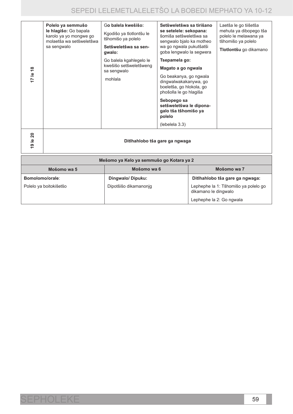| 17 le 18        | Polelo ya semmušo<br>le hlagišo: Go bapala<br>karolo ya yo mongwe go<br>molaetša wa setšweletšwa<br>sa sengwalo | Go balela kwešišo:<br>Kgodišo ya tlotlontšu le<br>tšhomišo ya polelo<br>Setšweletšwa sa sen-<br>gwalo:<br>Go balela kgahlegelo le<br>kwešišo setšweletšweng<br>sa sengwalo<br>mohlala | Setšweletšwa sa tirišano<br>se setelele: sekopana:<br>šomiša setšweletšwa sa<br>sengwalo bjalo ka motheo<br>wa go ngwala pukutšatši<br>goba lengwalo la segwera<br>Tsepamela go:<br>Magato a go ngwala<br>Go beakanya, go ngwala<br>dingwalwakakanywa, go<br>boeletša, go hlokola, go<br>phošolla le go hlagiša<br>Sebopego sa<br>setšweletšwa le dipona-<br>galo tša tšhomišo ya<br>polelo<br>(lebelela 3.3) |                                 | Laetša le go tiišetša<br>mehuta ya dibopego tša<br>polelo le melawana ya<br>tšhomišo ya polelo<br>Tlotlontšu go dikamano |    |
|-----------------|-----------------------------------------------------------------------------------------------------------------|---------------------------------------------------------------------------------------------------------------------------------------------------------------------------------------|---------------------------------------------------------------------------------------------------------------------------------------------------------------------------------------------------------------------------------------------------------------------------------------------------------------------------------------------------------------------------------------------------------------|---------------------------------|--------------------------------------------------------------------------------------------------------------------------|----|
| 19 le 20        |                                                                                                                 | Ditlhahlobo tša gare ga ngwaga                                                                                                                                                        |                                                                                                                                                                                                                                                                                                                                                                                                               |                                 |                                                                                                                          |    |
|                 |                                                                                                                 | Mešomo ya Kelo ya semmušo go Kotara ya 2                                                                                                                                              |                                                                                                                                                                                                                                                                                                                                                                                                               |                                 |                                                                                                                          |    |
|                 | Mošomo wa 5                                                                                                     | Mošomo wa 6                                                                                                                                                                           |                                                                                                                                                                                                                                                                                                                                                                                                               |                                 | Mošomo wa 7                                                                                                              |    |
| Bomolomo/orale: |                                                                                                                 | Dingwalo/Dipuku:                                                                                                                                                                      |                                                                                                                                                                                                                                                                                                                                                                                                               | Ditlhahlobo tša gare ga ngwaga: |                                                                                                                          |    |
|                 | Polelo ya boitokišetšo                                                                                          | Dipotšišo dikamanonjg                                                                                                                                                                 |                                                                                                                                                                                                                                                                                                                                                                                                               | dikamano le dingwalo            | Lephephe la 1: Tšhomišo ya polelo go                                                                                     |    |
|                 |                                                                                                                 |                                                                                                                                                                                       |                                                                                                                                                                                                                                                                                                                                                                                                               |                                 | Lephephe la 2: Go ngwala                                                                                                 |    |
|                 |                                                                                                                 |                                                                                                                                                                                       |                                                                                                                                                                                                                                                                                                                                                                                                               |                                 |                                                                                                                          |    |
|                 | SEPHOLEKE                                                                                                       |                                                                                                                                                                                       |                                                                                                                                                                                                                                                                                                                                                                                                               |                                 |                                                                                                                          | 59 |

| Mešomo ya Kelo ya semmušo go Kotara ya 2  |                       |                                                              |  |  |  |
|-------------------------------------------|-----------------------|--------------------------------------------------------------|--|--|--|
| Mošomo wa 6<br>Mošomo wa 7<br>Mošomo wa 5 |                       |                                                              |  |  |  |
| Bomolomo/orale:                           | Dingwalo/Dipuku:      | Ditlhahlobo tša gare ga ngwaga:                              |  |  |  |
| Polelo ya boitokišetšo                    | Dipotšišo dikamanonig | Lephephe la 1: Tšhomišo ya polelo go<br>dikamano le dingwalo |  |  |  |
|                                           |                       | Lephephe la 2: Go ngwala                                     |  |  |  |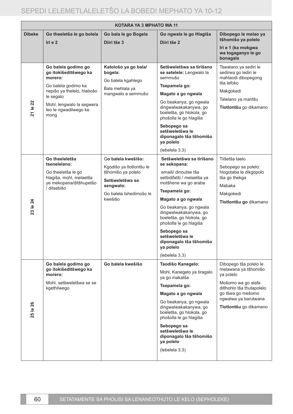|               | <b>KOTARA YA 3 MPHATO WA 11</b>                                                                                                                                                         |                                                                                                                                            |                                                                                                                                                                                                                                                                                                                                                                    |                                                                                                                                                                                       |  |  |
|---------------|-----------------------------------------------------------------------------------------------------------------------------------------------------------------------------------------|--------------------------------------------------------------------------------------------------------------------------------------------|--------------------------------------------------------------------------------------------------------------------------------------------------------------------------------------------------------------------------------------------------------------------------------------------------------------------------------------------------------------------|---------------------------------------------------------------------------------------------------------------------------------------------------------------------------------------|--|--|
| <b>Dibeke</b> | Go theeletša le go bolela<br>Iri e 2                                                                                                                                                    | Go bala le go Bogela<br>Diiri tše 3                                                                                                        | Go ngwala le go Hlagiša<br>Diiri tše 2                                                                                                                                                                                                                                                                                                                             | Dibopego le melao ya<br>tšhomišo ya polelo                                                                                                                                            |  |  |
|               |                                                                                                                                                                                         |                                                                                                                                            |                                                                                                                                                                                                                                                                                                                                                                    | Iri e 1 (ka mokgwa<br>wa togaganyo le go<br>bonagala                                                                                                                                  |  |  |
| 21 le 22      | Go balela godimo go<br>go itokišeditšwego ka<br>morero:<br>Go balela godimo ka<br>nepišo ya thelelo, hlabošo<br>le segalo<br>Mohl, lengwalo la segwera<br>leo le ngwadilwego ke<br>mong | Katološo ya go bala/<br>bogela:<br>Go balela kgahlego<br>Bala mehlala ya<br>mangwalo a semmušo                                             | Setšweletšwa sa tirišano<br>se setelele: Lengwalo la<br>semmušo<br>Tsepamela go:<br>Magato a go ngwala<br>Go beakanya, go ngwala<br>dingwalwakakanywa, go<br>boeletša, go hlokola, go<br>phošolla le go hlagiša<br>Sebopego sa<br>setšweletšwa le<br>diponagalo tša tšhomišo<br>ya polelo<br>(lebelela 3.3)                                                        | Tswalano ya sediri le<br>sedirwa go lediri le<br>mahlaodi dibopegong<br>tša lefoko<br>Makgokedi<br>Tatelano ya mantšu<br>Tlotlontšu go dikamano                                       |  |  |
| 23 le 24      | Go theeleletša<br>tsenelelano:<br>Go theeletša le go<br>hlagiša, mohl, melaetša<br>ye mekopana/ditšhupetšo<br>/ ditsebišo                                                               | Go balela kwešišo:<br>Kgodišo ya tlotlontšu le<br>tšhomišo ya polelo<br>Setšweletšwa sa<br>sengwalo:<br>Go balela tshedimošo le<br>kwešišo | Setšweletšwa sa tirišano<br>se sekopana:<br>emaili/ dinoutse tša<br>setšidifatši / melaetša ya<br>motšhene wa go araba<br>Tsepamela go:<br>Magato a go ngwala<br>Go beakanya, go ngwala<br>dingwalwakakanywa, go<br>boeletša, go hlokola, go<br>phošolla le go hlagiša<br>Sebopego sa<br>setšweletšwa le<br>diponagalo tša tšhomišo<br>ya polelo<br>(lebelela 3.3) | Tiišetša taelo<br>Sebopego sa polelo:<br>hlogotaba le dikgopolo<br>tša go thekga<br>Mabaka<br>Makgokedi<br>Tlotlontšu go dikamano                                                     |  |  |
| 25 le 26      | Go balela godimo go<br>go itokišeditšwego ka<br>morero:<br>Mohl, setšweletšwa se se<br>kgethilwego                                                                                      | Go balela kwešišo                                                                                                                          | Taodišo Kanegelo:<br>Mohl, Kanegelo ya tiragalo<br>ya go makatša<br>Tsepamela go:<br>Magato a go ngwala<br>Go beakanya, go ngwala<br>dingwalwakakanywa, go<br>boeletša, go hlokola, go<br>phošolla le go hlagiša<br>Sebopego sa<br>setšweletšwa le<br>diponagalo tša tšhomišo<br>ya polelo<br>(lebelela 3.3)                                                       | Dibopego tša polelo le<br>melawana ya tšhomišo<br>ya polelo<br>Mošomo wa go alafa<br>ditlhohlo tša thutapolelo<br>go tšwa go mešomo<br>ngwalwa ya barutwana<br>Tlotlontšu go dikamano |  |  |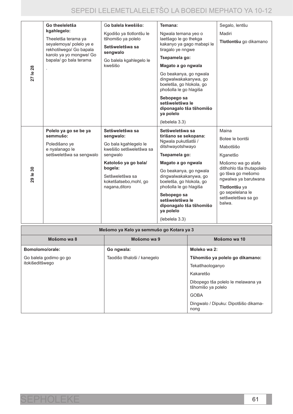| 27 le 28                                                     | Go theeleletša<br>kgahlegelo:<br>Theeletša terama ya<br>seyalemoya/ polelo ye e<br>rekhotilwego/ Go bapala<br>karolo ya yo mongwe/ Go<br>bapala/ go bala terama | Go balela kwešišo:<br>Kgodišo ya tlotlontšu le<br>tšhomišo ya polelo<br>Setšweletšwa sa<br>sengwalo<br>Go balela kgahlegelo le<br>kwešišo                                                      | Temana:<br>Ngwala temana yeo o<br>laetšago le go thekga<br>kakanyo ya gago mabapi le<br>tiragalo ye nngwe<br>Tsepamela go:<br>Magato a go ngwala<br>Go beakanya, go ngwala<br>dingwalwakakanywa, go<br>boeletša, go hlokola, go<br>phošolla le go hlagiša<br>Sebopego sa<br>setšweletšwa le<br>diponagalo tša tšhomišo<br>ya polelo<br>(lebelela 3.3) |  | Segalo, lentšu<br>Madiri<br>Tlotlontšu go dikamano                                                                                                                                                                     |    |
|--------------------------------------------------------------|-----------------------------------------------------------------------------------------------------------------------------------------------------------------|------------------------------------------------------------------------------------------------------------------------------------------------------------------------------------------------|-------------------------------------------------------------------------------------------------------------------------------------------------------------------------------------------------------------------------------------------------------------------------------------------------------------------------------------------------------|--|------------------------------------------------------------------------------------------------------------------------------------------------------------------------------------------------------------------------|----|
| 29 le 30                                                     | Polelo ya go se be ya<br>semmušo:<br>Poledišano ye<br>e nyalanago le<br>setšweletšwa sa sengwalo                                                                | Setšweletšwa sa<br>sengwalo:<br>Go bala kgahlegelo le<br>kwešišo setšweletšwa sa<br>sengwalo<br>Katološo ya go bala/<br>bogela:<br>Setšweletšwa sa<br>koketšatsebo, mohl, go<br>nagana, ditoro | Setšweletšwa sa<br>tirišano se sekopana:<br>Ngwala pukutšatši /<br>ditshwayotshwayo<br>Tsepamela go:<br>Magato a go ngwala<br>Go beakanya, go ngwala<br>dingwalwakakanywa, go<br>boeletša, go hlokola, go<br>phošolla le go hlagiša<br>Sebopego sa<br>setšweletšwa le<br>diponagalo tša tšhomišo<br>ya polelo<br>(lebelela 3.3)                       |  | Maina<br>Botee le bontši<br>Mabotšišo<br>Kganetšo<br>Mošomo wa go alafa<br>ditlhohlo tša thutapolelo<br>go tšwa go mešomo<br>ngwalwa ya barutwana<br>Tlotlontšu ya<br>go sepelelana le<br>setšweletšwa sa go<br>balwa. |    |
|                                                              |                                                                                                                                                                 | Mešomo ya Kelo ya semmušo go Kotara ya 3                                                                                                                                                       |                                                                                                                                                                                                                                                                                                                                                       |  |                                                                                                                                                                                                                        |    |
|                                                              | Mošomo wa 8                                                                                                                                                     | Mošomo wa 9                                                                                                                                                                                    |                                                                                                                                                                                                                                                                                                                                                       |  | Mošomo wa 10                                                                                                                                                                                                           |    |
| Bomolomo/orale:<br>Go balela godimo go go<br>itokišeditšwego |                                                                                                                                                                 | Go ngwala:<br>Taodišo tlhaloši / kanegelo                                                                                                                                                      | Moleko wa 2:<br>Tšhomišo ya polelo go dikamano:<br>Tekatlhaologanyo<br>Kakaretšo<br>Dibopego tša polelo le melawana ya<br>tšhomišo ya polelo<br><b>GOBA</b><br>Dingwalo / Dipuku: Dipotšišo dikama-<br>nong                                                                                                                                           |  |                                                                                                                                                                                                                        |    |
|                                                              |                                                                                                                                                                 |                                                                                                                                                                                                |                                                                                                                                                                                                                                                                                                                                                       |  |                                                                                                                                                                                                                        | 61 |

| Mešomo ya Kelo ya semmušo go Kotara ya 3 |                             |                                                          |  |  |  |
|------------------------------------------|-----------------------------|----------------------------------------------------------|--|--|--|
| Mošomo wa 8                              | Mošomo wa 9                 | Mošomo wa 10                                             |  |  |  |
| Bomolomo/orale:                          | Go ngwala:                  | Moleko wa 2:                                             |  |  |  |
| Go balela godimo go go                   | Taodišo tlhaloši / kanegelo | Tšhomišo ya polelo go dikamano:                          |  |  |  |
| itokišeditšwego                          |                             | Tekatlhaologanyo                                         |  |  |  |
|                                          |                             | Kakaretšo                                                |  |  |  |
|                                          |                             | Dibopego tša polelo le melawana ya<br>tšhomišo va polelo |  |  |  |
|                                          |                             | <b>GOBA</b>                                              |  |  |  |
|                                          |                             | Dingwalo / Dipuku: Dipotšišo dikama-<br>nong             |  |  |  |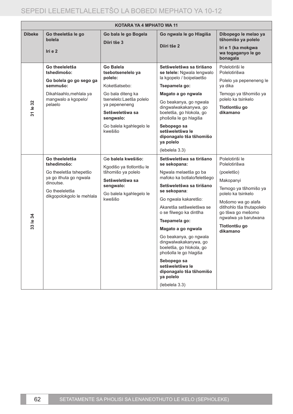| <b>KOTARA YA 4 MPHATO WA 11</b> |                                                                                                                                               |                                                                                                                                                                                                   |                                                                                                                                                                                                                                                                                                                                                                                                                                                                         |                                                                                                                                                                                                                                         |  |  |
|---------------------------------|-----------------------------------------------------------------------------------------------------------------------------------------------|---------------------------------------------------------------------------------------------------------------------------------------------------------------------------------------------------|-------------------------------------------------------------------------------------------------------------------------------------------------------------------------------------------------------------------------------------------------------------------------------------------------------------------------------------------------------------------------------------------------------------------------------------------------------------------------|-----------------------------------------------------------------------------------------------------------------------------------------------------------------------------------------------------------------------------------------|--|--|
| <b>Dibeke</b>                   | Go theeletša le go<br>bolela                                                                                                                  | Go bala le go Bogela<br>Diiri tše 3                                                                                                                                                               | Go ngwala le go Hlagiša                                                                                                                                                                                                                                                                                                                                                                                                                                                 | Dibopego le melao ya<br>tšhomišo ya polelo                                                                                                                                                                                              |  |  |
|                                 | Iri e 2                                                                                                                                       |                                                                                                                                                                                                   | Diiri tše 2                                                                                                                                                                                                                                                                                                                                                                                                                                                             | Iri e 1 (ka mokgwa<br>wa togaganyo le go<br>bonagala                                                                                                                                                                                    |  |  |
| 31 le 32                        | Go theeleletša<br>tshedimošo:<br>Go bolela go go sego ga<br>semmušo:<br>Dikahlaahlo, mehlala ya<br>mangwalo a kgopelo/<br>pelaelo             | Go Balela<br>tsebotsenelelo ya<br>polelo:<br>Koketšatsebo:<br>Go bala diteng ka<br>tsenelelo:Laetša polelo<br>ya pepeneneng<br>Setšweletšwa sa<br>sengwalo:<br>Go balela kgahlegelo le<br>kwešišo | Setšweletšwa sa tirišano<br>se telele: Ngwala lengwalo<br>la kgopelo / boipelaetšo<br>Tsepamela go:<br>Magato a go ngwala<br>Go beakanya, go ngwala<br>dingwalwakakanywa, go<br>boeletša, go hlokola, go<br>phošolla le go hlagiša<br>Sebopego sa<br>setšweletšwa le<br>diponagalo tša tšhomišo<br>ya polelo<br>(lebelela 3.3)                                                                                                                                          | Polelotiriši le<br>Polelotirišwa<br>Polelo ya pepeneneng le<br>ya dika<br>Temogo ya tšhomišo ya<br>polelo ka tsinkelo<br>Tlotlontšu go<br>dikamano                                                                                      |  |  |
| 33 le 34                        | Go theeleletša<br>tshedimošo:<br>Go theeletša tshepetšo<br>ya go ithuta go ngwala<br>dinoutse.<br>Go theeleletša<br>dikgopolokgolo le mehlala | Go balela kwešišo:<br>Kgodišo ya tlotlontšu le<br>tšhomišo ya polelo<br>Setšweletšwa sa<br>sengwalo:<br>Go balela kgahlegelo le<br>kwešišo                                                        | Setšweletšwa sa tirišano<br>se sekopana:<br>Ngwala melaetša go ba<br>mafoko ka botlalo/feletšego<br>Setšweletšwa sa tirišano<br>se sekopana:<br>Go ngwala kakaretšo:<br>Akaretša setšweletšwa se<br>o se filwego ka dintlha<br>Tsepamela go:<br>Magato a go ngwala<br>Go beakanya, go ngwala<br>dingwalwakakanywa, go<br>boeletša, go hlokola, go<br>phošolla le go hlagiša<br>Sebopego sa<br>setšweletšwa le<br>diponagalo tša tšhomišo<br>ya polelo<br>(lebelela 3.3) | Polelotiriši le<br>Polelotirišwa<br>(poeletšo)<br>Makopanyi<br>Temogo ya tšhomišo ya<br>polelo ka tsinkelo<br>Mošomo wa go alafa<br>ditlhohlo tša thutapolelo<br>go tšwa go mešomo<br>ngwalwa ya barutwana<br>Tlotlontšu go<br>dikamano |  |  |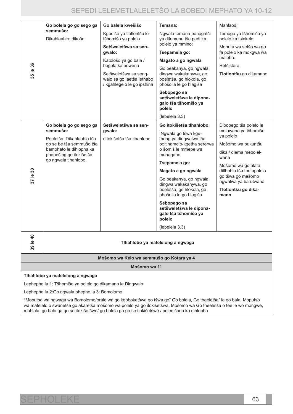|                                                                                                                                                                                                                                                                                                                                        | Go bolela go go sego ga<br>semmušo:                                                          | Go balela kwešišo                                                                | Temana:                                                                                                 | Mahlaodi                                                                          |    |
|----------------------------------------------------------------------------------------------------------------------------------------------------------------------------------------------------------------------------------------------------------------------------------------------------------------------------------------|----------------------------------------------------------------------------------------------|----------------------------------------------------------------------------------|---------------------------------------------------------------------------------------------------------|-----------------------------------------------------------------------------------|----|
|                                                                                                                                                                                                                                                                                                                                        | Dikahlaahlo: dikoša                                                                          | Kgodišo ya tlotlontšu le<br>tšhomišo ya polelo                                   | Ngwala temana ponagatši<br>ya ditemana tše pedi ka                                                      | Temogo ya tšhomišo ya<br>polelo ka tsinkelo                                       |    |
|                                                                                                                                                                                                                                                                                                                                        |                                                                                              | polelo ya mmino:<br>Setšweletšwa sa sen-<br>gwalo:<br>Tsepamela go:              |                                                                                                         | Mohuta wa setšo wa go<br>fa polelo ka mokgwa wa                                   |    |
|                                                                                                                                                                                                                                                                                                                                        |                                                                                              | Katološo ya go bala /                                                            | Magato a go ngwala                                                                                      | maleba.                                                                           |    |
|                                                                                                                                                                                                                                                                                                                                        |                                                                                              | bogela ka bowena                                                                 | Go beakanya, go ngwala                                                                                  | Retšistara                                                                        |    |
| 35 le 36                                                                                                                                                                                                                                                                                                                               |                                                                                              | Setšweletšwa sa seng-<br>walo sa go laetša lethabo<br>/ kgahlegelo le go ipshina | dingwalwakakanywa, go<br>boeletša, go hlokola, go<br>phošolla le go hlagiša                             | Tlotlontšu go dikamano                                                            |    |
|                                                                                                                                                                                                                                                                                                                                        |                                                                                              |                                                                                  | Sebopego sa<br>setšweletšwa le dipona-<br>galo tša tšhomišo ya<br>polelo                                |                                                                                   |    |
|                                                                                                                                                                                                                                                                                                                                        |                                                                                              |                                                                                  | (lebelela 3.3)                                                                                          |                                                                                   |    |
|                                                                                                                                                                                                                                                                                                                                        | Go bolela go go sego ga<br>semmušo:<br>Poeletšo: Dikahlaahlo tša<br>go se be tša semmušo tša | Setšweletšwa sa sen-<br>gwalo:<br>ditokišetšo tša tlhahlobo                      | Go itokišetša tlhahlobo.<br>Ngwala go tšwa kge-<br>thong ya dingwalwa tša<br>boitlhamelo-kgetha sererwa | Dibopego tša polelo le<br>melawana ya tšhomišo<br>ya polelo<br>Mošomo wa pukuntšu |    |
|                                                                                                                                                                                                                                                                                                                                        | bamphato le dihlopha ka<br>phapošing go itokišetša                                           |                                                                                  | o šomiš le mmepe wa<br>monagano                                                                         | dika / diema mebolel-<br>wana                                                     |    |
|                                                                                                                                                                                                                                                                                                                                        | go ngwala tlhahlobo.                                                                         |                                                                                  | Tsepamela go:                                                                                           | Mošomo wa go alafa                                                                |    |
| 37 le 38                                                                                                                                                                                                                                                                                                                               |                                                                                              |                                                                                  | Magato a go ngwala                                                                                      | ditlhohlo tša thutapolelo<br>go tšwa go mešomo                                    |    |
|                                                                                                                                                                                                                                                                                                                                        |                                                                                              |                                                                                  | Go beakanya, go ngwala<br>dingwalwakakanywa, go<br>boeletša, go hlokola, go                             | ngwalwa ya barutwana<br>Tlotlontšu go dika-                                       |    |
|                                                                                                                                                                                                                                                                                                                                        |                                                                                              |                                                                                  | phošolla le go hlagiša                                                                                  | mano.                                                                             |    |
|                                                                                                                                                                                                                                                                                                                                        |                                                                                              |                                                                                  | Sebopego sa<br>setšweletšwa le dipona-<br>galo tša tšhomišo ya<br>polelo                                |                                                                                   |    |
|                                                                                                                                                                                                                                                                                                                                        |                                                                                              |                                                                                  | (lebelela 3.3)                                                                                          |                                                                                   |    |
| $\overline{\mathbf{a}}$<br>≗<br>ၷ                                                                                                                                                                                                                                                                                                      |                                                                                              |                                                                                  | Tihahlobo ya mafelelong a ngwaga                                                                        |                                                                                   |    |
|                                                                                                                                                                                                                                                                                                                                        |                                                                                              | Mošomo wa Kelo wa semmušo go Kotara ya 4                                         |                                                                                                         |                                                                                   |    |
|                                                                                                                                                                                                                                                                                                                                        |                                                                                              | Mošomo wa 11                                                                     |                                                                                                         |                                                                                   |    |
|                                                                                                                                                                                                                                                                                                                                        | Tihahlobo ya mafelelong a ngwaga                                                             |                                                                                  |                                                                                                         |                                                                                   |    |
|                                                                                                                                                                                                                                                                                                                                        | Lephephe la 1: Tšhomišo ya polelo go dikamano le Dingwalo                                    |                                                                                  |                                                                                                         |                                                                                   |    |
|                                                                                                                                                                                                                                                                                                                                        | Lephephe la 2:Go ngwala phephe la 3: Bomolomo                                                |                                                                                  |                                                                                                         |                                                                                   |    |
| *Moputso wa ngwaga wa Bomolomo/orale wa go kgoboketšwa go tšwa go" Go bolela, Go theeletša" le go bala. Moputso<br>wa mafelelo o swanetše go akaretša mošomo wa polelo ya go itokišetšwa, Mošomo wa Go theeletša o tee le wo mongwe,<br>mohlala. go bala ga go se itokišetšwe/ go bolela ga go se itokišetšwe / poledišano ka dihlopha |                                                                                              |                                                                                  |                                                                                                         |                                                                                   |    |
|                                                                                                                                                                                                                                                                                                                                        |                                                                                              |                                                                                  |                                                                                                         |                                                                                   |    |
|                                                                                                                                                                                                                                                                                                                                        |                                                                                              |                                                                                  |                                                                                                         |                                                                                   |    |
|                                                                                                                                                                                                                                                                                                                                        |                                                                                              |                                                                                  |                                                                                                         |                                                                                   |    |
|                                                                                                                                                                                                                                                                                                                                        |                                                                                              |                                                                                  |                                                                                                         |                                                                                   |    |
|                                                                                                                                                                                                                                                                                                                                        |                                                                                              |                                                                                  |                                                                                                         |                                                                                   |    |
|                                                                                                                                                                                                                                                                                                                                        |                                                                                              |                                                                                  |                                                                                                         |                                                                                   |    |
|                                                                                                                                                                                                                                                                                                                                        |                                                                                              |                                                                                  |                                                                                                         |                                                                                   |    |
|                                                                                                                                                                                                                                                                                                                                        |                                                                                              |                                                                                  |                                                                                                         |                                                                                   |    |
|                                                                                                                                                                                                                                                                                                                                        |                                                                                              |                                                                                  |                                                                                                         |                                                                                   |    |
|                                                                                                                                                                                                                                                                                                                                        |                                                                                              |                                                                                  |                                                                                                         |                                                                                   | 63 |
|                                                                                                                                                                                                                                                                                                                                        |                                                                                              |                                                                                  |                                                                                                         |                                                                                   |    |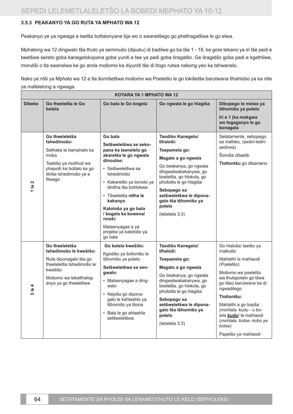### **3.5.3 PEAKANYO YA GO RUTA YA MPHATO WA 12**

Peakanyo ye ya ngwaga e laetša botlalonyane bja wo o swanetšego go phethagatšwa le go elwa.

Mphatong wa 12 dingwalo tša thuto ya semmušo (dipuku) di badilwe go ba tše 1 - 18, ke gore tekano ya iri tše pedi e beetšwe sereto goba kanegelokopana goba yuniti e tee ya padi goba tiragatšo. Ge tiragatšo goba padi e kgethilwe, morutiši o tla swanelwa ke go arola mošomo ka diyuniti tše di tlogo rutwa nakong yeo ka tshwanelo.

Nako ye ntši ya Mphato wa 12 e tla šomišetšwa mošomo wa Poeletšo le go lokišetša barutwana tlhahlobo ya ka ntle ya mafelelong a ngwaga.

| KOTARA YA 1 MPHATO WA 12 |                                                                                                                                                               |                                                                                                                                                                                                                                                                                                                                           |                                                                                                                                                                                                                                                                              |                                                                                                                                                                                                                                                                                                                                  |  |  |
|--------------------------|---------------------------------------------------------------------------------------------------------------------------------------------------------------|-------------------------------------------------------------------------------------------------------------------------------------------------------------------------------------------------------------------------------------------------------------------------------------------------------------------------------------------|------------------------------------------------------------------------------------------------------------------------------------------------------------------------------------------------------------------------------------------------------------------------------|----------------------------------------------------------------------------------------------------------------------------------------------------------------------------------------------------------------------------------------------------------------------------------------------------------------------------------|--|--|
| <b>Dibeke</b>            | Go theeletša le Go<br>bolela                                                                                                                                  | Go bala le Go bogela                                                                                                                                                                                                                                                                                                                      | Go ngwala le go hlagiša                                                                                                                                                                                                                                                      | Dibopego le melao ya<br>tšhomišo ya polelo                                                                                                                                                                                                                                                                                       |  |  |
|                          |                                                                                                                                                               |                                                                                                                                                                                                                                                                                                                                           |                                                                                                                                                                                                                                                                              | Iri e 1 (ka mokgwa<br>wa togaganyo le go<br>bonagala                                                                                                                                                                                                                                                                             |  |  |
| $1$ le $2$               | Go theeleletša<br>tshedimošo:<br>Sethaka le bamphato ka<br>moka<br>Tsebišo ya moithuti wa<br>phapoši ka botlalo ka go<br>diriša tshedimošo ye e<br>filwego    | Go bala<br>Setšweletšwa se seko-<br>pana ka tsenelelo go<br>akaretša le go ngwala<br>dinoutse:<br>• Setšweletšwa sa<br>tshedimošo<br>· Kakaretšo ya bonolo ya<br>dintlha tša bohlokwa<br>· Tšweletša ntlha le<br>kakanyo<br>Katološo ya go bala<br>/ bogela ka bowena/<br>nnoši:<br>Matsenyagae a ya<br>projeke ya katološo ya<br>go bala | Taodišo Kanegelo/<br>tlhaloši:<br>Tsepamela go:<br>Magato a go ngwala<br>Go beakanya, go ngwala<br>dingwalwakakanywa, go<br>boeletša, go hlokola, go<br>phošolla le go hlagiša<br>Sebopego sa<br>setšweletšwa le dipona-<br>galo tša tšhomišo ya<br>polelo<br>(lebelela 3.3) | Setatamente, sebopego<br>sa mafoko, (sediri-lediri-<br>sedirwa)<br>Šomiša ditaetši<br>Tlotlontšu go dikamano                                                                                                                                                                                                                     |  |  |
| $3 \leq 4$               | Go theeleletša<br>tshedimošo le kwešišo:<br>Ruta diponagalo tša go<br>theeleletša tshedimošo le<br>kwešišo<br>Mošomo wa tekatlhalog-<br>anyo ya go theeletšwa | Go balela kwešišo:<br>Kgodišo ya tlotlontšu le<br>tšhomišo ya polelo<br>Setšweletšwa sa sen-<br>qwalo:<br>• Matsenyagae a ding-<br>walo<br>· Nepiša go dipona-<br>galo le kahlaahlo ya<br>tšhomišo ya tšona<br>· Bala le go ahlaahla<br>setšweletšwa                                                                                      | Taodišo Kanegelo/<br>tlhaloši:<br>Tsepamela go:<br>Magato a go ngwala<br>Go beakanya, go ngwala<br>dingwalwakakanywa, go<br>boeletša, go hlokola, go<br>phošolla le go hlagiša<br>Sebopego sa<br>setšweletšwa le dipona-<br>galo tša tšhomišo ya<br>polelo<br>(lebelela 3.3) | Go hlaloša/ taetšo ya<br>maikutlo:<br>Mahlathi le mahlaodi<br>(Poeletšo)<br>Mošomo wa poeletšo<br>wa thutapolelo go tšwa<br>go tšeo barutwana ba di<br>ngwadilego<br>Tlotlontšu:<br>Mahlathi a go bopša<br>(mohlala. kudu - o bo-<br>lela <b>kudu</b> ) le mahlaodi<br>(mohlala. botse- kobo ye<br>botse)<br>Papetšo ya mahlaodi |  |  |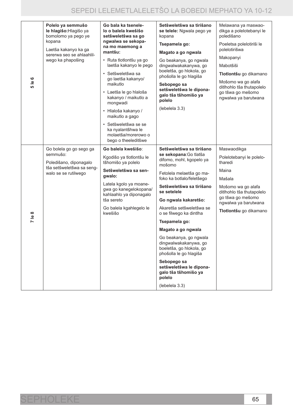| 5 le 6 | Polelo ya semmušo<br>le hlagišo: Hlagišo ya<br>bomolomo ya pego ye<br>kopana<br>Laetša kakanyo ka ga<br>sererwa seo se ahlaahlil-<br>wego ka phapošing | Go bala ka tsenele-<br>lo o balela kwešišo<br>setšweletšwa sa go<br>ngwalwa se sekopa-<br>na mo maemong a<br>mantšu:<br>• Ruta tlotlontšu ya go<br>laetša kakanyo le pego<br>· Setšweletšwa sa<br>go laetša kakanyo/<br>maikutlo<br>· Laetša le go hlaloša<br>kakanyo / maikutlo a<br>mongwadi<br>Hlaloša kakanyo /<br>maikutlo a gago<br>· Setšweletšwa se se<br>ka nyalantšhwa le<br>molaetša/morerowo o<br>bego o theeleditšwe | Setšweletšwa sa tirišano<br>se telele: Ngwala pego ye<br>kopana<br>Tsepamela go:<br>Magato a go ngwala<br>Go beakanya, go ngwala<br>dingwalwakakanywa, go<br>boeletša, go hlokola, go<br>phošolla le go hlagiša<br>Sebopego sa<br>setšweletšwa le dipona-<br>galo tša tšhomišo ya<br>polelo<br>(lebelela 3.3)                                                                                                                                                                                                             | Melawana ya maswao-<br>dikga a polelotebanyi le<br>poledišano<br>Poeletsa polelotiriši le<br>polelotirišwa<br>Makopanyi<br>Mabotšiši<br>Tlotlontšu go dikamano<br>Mošomo wa go alafa<br>ditlhohlo tša thutapolelo<br>go tšwa go mešomo<br>ngwalwa ya barutwana |    |
|--------|--------------------------------------------------------------------------------------------------------------------------------------------------------|-----------------------------------------------------------------------------------------------------------------------------------------------------------------------------------------------------------------------------------------------------------------------------------------------------------------------------------------------------------------------------------------------------------------------------------|---------------------------------------------------------------------------------------------------------------------------------------------------------------------------------------------------------------------------------------------------------------------------------------------------------------------------------------------------------------------------------------------------------------------------------------------------------------------------------------------------------------------------|----------------------------------------------------------------------------------------------------------------------------------------------------------------------------------------------------------------------------------------------------------------|----|
| 7leqsl | Go bolela go go sego ga<br>semmušo:<br>Poledišano, diponagalo<br>tša setšweletšwa sa seng-<br>walo se se rutilwego                                     | Go balela kwešišo:<br>Kgodišo ya tlotlontšu le<br>tšhomišo ya polelo<br>Setšweletšwa sa sen-<br>gwalo:<br>Latela kgolo ya moane-<br>gwa go kanegelokopana/<br>kahlaahlo ya diponagalo<br>tša sereto<br>Go balela kgahlegelo le<br>kwešišo                                                                                                                                                                                         | Setšweletšwa sa tirišano<br>se sekopana: Go tlatša<br>difomo, mohl, kgopelo ya<br>mošomo<br>Fetolela melaetša go ma-<br>foko ka botlalo/feletšego<br>Setšweletšwa sa tirišano<br>se setelele<br>Go ngwala kakaretšo:<br>Akaretša setšweletšwa se<br>o se filwego ka dintlha<br>Tsepamela go:<br>Magato a go ngwala<br>Go beakanya, go ngwala<br>dingwalwakakanywa, go<br>boeletša, go hlokola, go<br>phošolla le go hlagiša<br>Sebopego sa<br>setšweletšwa le dipona-<br>galo tša tšhomišo ya<br>polelo<br>(lebelela 3.3) | Maswaodikga<br>Polelotebanyi le polelo-<br>tharedi<br>Maina<br>Mašala<br>Mošomo wa go alafa<br>ditlhohlo tša thutapolelo<br>go tšwa go mešomo<br>ngwalwa ya barutwana<br>Tlotlontšu go dikamano                                                                |    |
|        | SEPHOLEI                                                                                                                                               |                                                                                                                                                                                                                                                                                                                                                                                                                                   |                                                                                                                                                                                                                                                                                                                                                                                                                                                                                                                           |                                                                                                                                                                                                                                                                | 65 |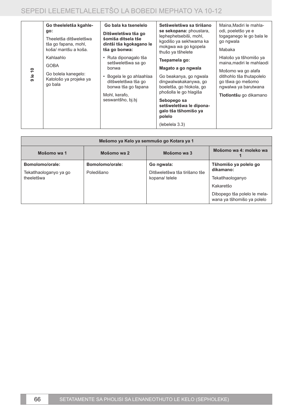| $\overline{\phantom{0}}$<br>$\frac{6}{9}$ | Go theeleletša kgahle-<br>go:<br>Theeletša ditšweletšwa<br>tša go fapana, mohl,<br>koša/ mantšu a koša. | Go bala ka tsenelelo<br>Ditšweletšwa tša go<br>šomiša ditsela tše<br>dintši tša kgokagano le<br>tša go bonwa:                                                      | Setšweletšwa sa tirišano<br>se sekopana: phoustara,<br>lephephetsebiši, mohl,<br>kgodišo ya sekhwama ka<br>mokgwa wa go kgopela<br>thušo va tšhelete | Maina, Madiri le mahla-<br>odi, poeletšo ye e<br>togaganego le go bala le<br>go ngwala<br>Mabaka                       |
|-------------------------------------------|---------------------------------------------------------------------------------------------------------|--------------------------------------------------------------------------------------------------------------------------------------------------------------------|------------------------------------------------------------------------------------------------------------------------------------------------------|------------------------------------------------------------------------------------------------------------------------|
|                                           | Kahlaahlo                                                                                               | • Ruta diponagalo tša<br>setšweletšwa sa go<br>bonwa<br>Bogela le go ahlaahlaa<br>ditšweletšwa tša go<br>bonwa tša go fapana<br>Mohl, kerafo,<br>seswantšho, bj.bj | Tsepamela go:                                                                                                                                        | Hlalošo ya tšhomišo ya<br>maina, madiri le mahlaodi                                                                    |
|                                           | <b>GOBA</b><br>Go bolela kanegelo:<br>Katološo ya projeke ya<br>go bala                                 |                                                                                                                                                                    | Magato a go ngwala<br>Go beakanya, go ngwala<br>dingwalwakakanywa, go<br>boeletša, go hlokola, go<br>phošolla le go hlagiša<br>Sebopego sa           | Mošomo wa go alafa<br>ditlhohlo tša thutapolelo<br>go tšwa go mešomo<br>ngwalwa ya barutwana<br>Tlotlontšu go dikamano |
|                                           |                                                                                                         |                                                                                                                                                                    | setšweletšwa le dipona-<br>galo tša tšhomišo ya<br>polelo<br>(lebelela 3.3)                                                                          |                                                                                                                        |

| Mešomo ya Kelo ya semmušo go Kotara ya 1 |                 |                                                 |                                                            |  |  |  |  |
|------------------------------------------|-----------------|-------------------------------------------------|------------------------------------------------------------|--|--|--|--|
| Mošomo wa 1                              | Mošomo wa 2     | Mošomo wa 3                                     | Mošomo wa 4: moleko wa                                     |  |  |  |  |
| Bomolomo/orale:                          | Bomolomo/orale: | Go ngwala:                                      | Tšhomišo ya polelo go                                      |  |  |  |  |
| Tekatlhaologanyo ya go                   | Poledišano      | Ditšweletšwa tša tirišano tše<br>kopana/ telele | dikamano:                                                  |  |  |  |  |
| theeletšwa                               |                 |                                                 | Tekatlhaologanyo                                           |  |  |  |  |
|                                          |                 |                                                 | Kakaretšo                                                  |  |  |  |  |
|                                          |                 |                                                 | Dibopego tša polelo le mela-<br>wana ya tšhomišo ya polelo |  |  |  |  |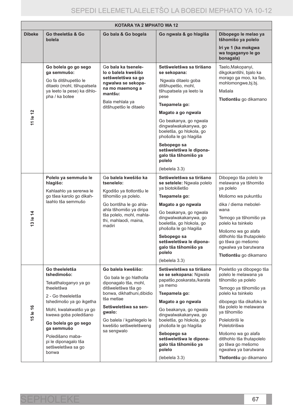| <b>KOTARA YA 2 MPHATO WA 12</b> |                                                                                                                                                                                                                                                                                             |                                                                                                                                                                                                                                                   |                                                                                                                                                                                                                                                                                                                                                                        |                                                                                                                                                                                                                                                                                                                                                           |  |  |
|---------------------------------|---------------------------------------------------------------------------------------------------------------------------------------------------------------------------------------------------------------------------------------------------------------------------------------------|---------------------------------------------------------------------------------------------------------------------------------------------------------------------------------------------------------------------------------------------------|------------------------------------------------------------------------------------------------------------------------------------------------------------------------------------------------------------------------------------------------------------------------------------------------------------------------------------------------------------------------|-----------------------------------------------------------------------------------------------------------------------------------------------------------------------------------------------------------------------------------------------------------------------------------------------------------------------------------------------------------|--|--|
| <b>Dibeke</b>                   | Go theeletša & Go<br>bolela                                                                                                                                                                                                                                                                 | Go bala & Go bogela                                                                                                                                                                                                                               | Go ngwala & go hlagiša                                                                                                                                                                                                                                                                                                                                                 | Dibopego le melao ya<br>tšhomišo ya polelo                                                                                                                                                                                                                                                                                                                |  |  |
|                                 |                                                                                                                                                                                                                                                                                             |                                                                                                                                                                                                                                                   |                                                                                                                                                                                                                                                                                                                                                                        | Iri ye 1 (ka mokgwa<br>wa togaganyo le go<br>bonagala)                                                                                                                                                                                                                                                                                                    |  |  |
| 11 le 12                        | Go bolela go go sego<br>ga semmušo:<br>Go fa ditšhupetšo le<br>ditaelo (mohl, tšhupatsela<br>ya leeto la pese) ka dihlo-<br>pha / ka botee                                                                                                                                                  | Go bala ka tsenele-<br>lo o balela kwešišo<br>setšweletšwa sa go<br>ngwalwa se sekopa-<br>na mo maemong a<br>mantšu:<br>Bala mehlala ya<br>ditšhupetšo le ditaelo                                                                                 | Setšweletšwa sa tirišano<br>se sekopana:<br>Ngwala ditaelo goba<br>ditšhupetšo, mohl,<br>tšhupatsela ya leeto la<br>pese<br>Tsepamela go:<br>Magato a go ngwala<br>Go beakanya, go ngwala<br>dingwalwakakanywa, go<br>boeletša, go hlokola, go<br>phošolla le go hlagiša<br>Sebopego sa<br>setšweletšwa le dipona-<br>galo tša tšhomišo ya<br>polelo<br>(lebelela 3.3) | Taelo, Makopanyi,<br>dikgokantšhi, bjalo ka<br>morago ga moo, ka fao,<br>mohlomongwe,bj.bj.<br>Mašala<br>Tlotlontšu go dikamano                                                                                                                                                                                                                           |  |  |
| 13 le 14                        | Polelo ya semmušo le<br>hlagišo:<br>Kahlaahlo ya sererwa le<br>go tšea karolo go dikah-<br>laahlo tša semmušo                                                                                                                                                                               | Go balela kwešišo ka<br>tsenelelo:<br>Kgodišo ya tlotlontšu le<br>tšhomišo ya polelo.<br>Go bontšha le go ahla-<br>ahla tšhomišo ya diripa<br>tša polelo, mohl, mahla-<br>thi, mahlaodi, maina,<br>madiri                                         | Setšweletšwa sa tirišano<br>se setelele: Ngwala polelo<br>ya biotokišetšo<br>Tsepamela go:<br>Magato a go ngwala<br>Go beakanya, go ngwala<br>dingwalwakakanywa, go<br>boeletša, go hlokola, go<br>phošolla le go hlagiša<br>Sebopego sa<br>setšweletšwa le dipona-<br>galo tša tšhomišo ya<br>polelo<br>(lebelela 3.3)                                                | Dibopego tša polelo le<br>melawana ya tšhomišo<br>ya polelo<br>Mošomo wa pukuntšu<br>dika / diema mebolel-<br>wana<br>Temogo ya tšhomišo ya<br>polelo ka tsinkelo<br>Mošomo wa go alafa<br>ditlhohlo tša thutapolelo<br>go tšwa go mešomo<br>ngwalwa ya barutwana<br>Tlotlontšu go dikamano                                                               |  |  |
| 15 le 16                        | Go theeleletša<br>tshedimošo:<br>Tekatlhaloganyo ya go<br>theeletšwa<br>2 - Go theeleletša<br>tshedimošo ya go ikgetha<br>Mohl, kwalakwatšo ya go<br>kwewa goba poledišano<br>Go bolela go go sego<br>ga semmušo<br>Poledišano maba-<br>pi le diponagalo tša<br>setšweletšwa sa go<br>bonwa | Go balela kwešišo:<br>Go bala le go hlatholla<br>diponagalo tša, mohl,<br>ditšweletšwa tša go<br>bonwa, dikhathuni, dibidio<br>tša metlae<br>Setšweletšwa sa sen-<br>gwalo:<br>Go balela / kgahlegelo le<br>kwešišo setšweletšweng<br>sa sengwalo | Setšweletšwa sa tirišano<br>se se sekopana: Ngwala<br>papatšo, poskarata, /karata<br>ya memo<br>Tsepamela go:<br>Magato a go ngwala<br>Go beakanya, go ngwala<br>dingwalwakakanywa, go<br>boeletša, go hlokola, go<br>phošolla le go hlagiša<br>Sebopego sa<br>setšweletšwa le dipona-<br>galo tša tšhomišo ya<br>polelo<br>(lebelela 3.3)                             | Poeletšo ya dibopego tša<br>polelo le melawana ya<br>tšhomišo ya polelo<br>Temogo ya tšhomišo ya<br>polelo ka tsinkelo<br>dibopego tša dikafoko le<br>tša polelo le melawana<br>ya tšhomišo<br>Polelotiriši le<br>Polelotirišwa<br>Mošomo wa go alafa<br>ditlhohlo tša thutapolelo<br>go tšwa go mešomo<br>ngwalwa ya barutwana<br>Tlotlontšu go dikamano |  |  |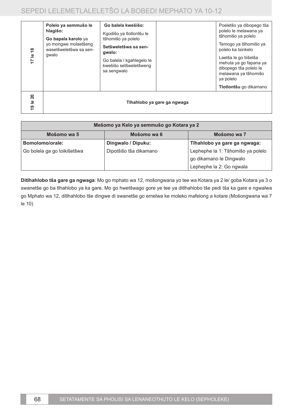| $\overline{20}$<br>$\overline{\bullet}$<br><u>စု</u> |                                                         |                                                                      | Tihahlobo ya gare ga ngwaga |                                                                                                                |
|------------------------------------------------------|---------------------------------------------------------|----------------------------------------------------------------------|-----------------------------|----------------------------------------------------------------------------------------------------------------|
|                                                      |                                                         |                                                                      |                             | Tlotlontšu go dikamano                                                                                         |
| $\underline{\bullet}$<br>$\overline{1}$              | gwalo                                                   | Go balela / kgahlegelo le<br>kwešišo setšweletšweng<br>sa sengwalo   |                             | Laetša le go tiišetša<br>mehuta ya go fapana ya<br>dibopego tša polelo le<br>melawana ya tšhomišo<br>ya polelo |
| $\frac{8}{1}$                                        | yo mongwe molaetšeng<br>wasetšweletšwa sa sen-          | Setšweletšwa sa sen-<br>qwalo:                                       |                             | Temogo ya tšhomišo ya<br>polelo ka tsinkelo                                                                    |
|                                                      | Polelo ya semmušo le<br>hlagišo:<br>Go bapala karolo ya | Go balela kwešišo:<br>Kgodišo ya tlotlontšu le<br>tšhomišo ya polelo |                             | Poeletšo ya dibopego tša<br>polelo le melawana ya<br>tšhomišo ya polelo                                        |
|                                                      |                                                         |                                                                      |                             |                                                                                                                |

| Mešomo ya Kelo ya semmušo go Kotara ya 2  |                        |                                   |  |
|-------------------------------------------|------------------------|-----------------------------------|--|
| Mošomo wa 6<br>Mošomo wa 5<br>Mošomo wa 7 |                        |                                   |  |
| Bomolomo/orale:                           | Dingwalo / Dipuku:     | Tihahlobo ya gare ga ngwaga:      |  |
| Go bolela ga go toikišetšwa               | Dipotšišo tša dikamano | Lephephe la 1: Tšhomišo ya polelo |  |
|                                           |                        | go dikamano le Dingwalo           |  |
|                                           |                        | Lephephe la 2: Go ngwala          |  |

**Ditlhahlobo tša gare ga ngwaga**: Mo go mphato wa 12, mošongwana yo tee wa Kotara ya 2 le/ goba Kotara ya 3 o swanetše go ba tlhahlobo ya ka gare. Mo go hwetšwago gore ye tee ya ditlhahlobo tše pedi tša ka gare e ngwalwa go Mphato wa 12, ditlhahlobo tše dingwe di swanetše go emelwa ke moleko mafelong a kotare (Mošongwana wa 7 le 10)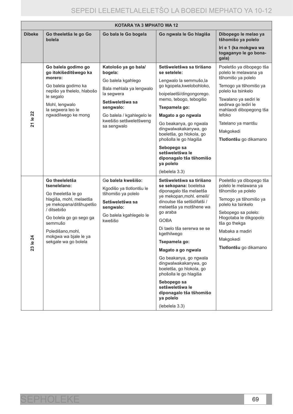|                           | <b>KOTARA YA 3 MPHATO WA 12</b>                                                                                                                                                                                                       |                                                                                                                                                                                                       |                                                                                                                                                                                                                                                                                                                                                                                                                                                                                         |                                                                                                                                                                                                                                                                           |  |
|---------------------------|---------------------------------------------------------------------------------------------------------------------------------------------------------------------------------------------------------------------------------------|-------------------------------------------------------------------------------------------------------------------------------------------------------------------------------------------------------|-----------------------------------------------------------------------------------------------------------------------------------------------------------------------------------------------------------------------------------------------------------------------------------------------------------------------------------------------------------------------------------------------------------------------------------------------------------------------------------------|---------------------------------------------------------------------------------------------------------------------------------------------------------------------------------------------------------------------------------------------------------------------------|--|
| <b>Dibeke</b>             | Go theeletša le go Go<br>bolela                                                                                                                                                                                                       | Go bala le Go bogela                                                                                                                                                                                  | Go ngwala le Go hlagiša                                                                                                                                                                                                                                                                                                                                                                                                                                                                 | Dibopego le melao ya<br>tšhomišo ya polelo                                                                                                                                                                                                                                |  |
|                           |                                                                                                                                                                                                                                       |                                                                                                                                                                                                       |                                                                                                                                                                                                                                                                                                                                                                                                                                                                                         | Iri e 1 (ka mokgwa wa<br>togaganyo le go bona-<br>gala)                                                                                                                                                                                                                   |  |
| 21 le 22                  | Go balela godimo go<br>go itokišeditšwego ka<br>morero:<br>Go balela godimo ka<br>nepišo ya thelelo, hlabošo<br>le segalo<br>Mohl, lengwalo<br>la segwera leo le<br>ngwadilwego ke mong                                               | Katološo ya go bala/<br>bogela:<br>Go balela kgahlego<br>Bala mehlala ya lengwalo<br>la segwera<br>Setšweletšwa sa<br>sengwalo:<br>Go balela / kgahlegelo le<br>kwešišo setšweletšweng<br>sa sengwalo | Setšweletšwa sa tirišano<br>se setelele:<br>Lengwalo la semmušo, la<br>go kgopela, kwelobohloko,<br>boipelaetši/dingongorego.<br>memo, tebogo, tebogišo<br>Tsepamela go:<br>Magato a go ngwala<br>Go beakanya, go ngwala<br>dingwalwakakanywa, go<br>boeletša, go hlokola, go<br>phošolla le go hlagiša<br>Sebopego sa<br>setšweletšwa le<br>diponagalo tša tšhomišo<br>ya polelo<br>(lebelela 3.3)                                                                                     | Poeletšo ya dibopego tša<br>polelo le melawana ya<br>tšhomišo ya polelo<br>Temogo ya tšhomišo ya<br>polelo ka tsinkelo<br>Tswalano ya sediri le<br>sedirwa go lediri le<br>mahlaodi dibopegong tša<br>lefoko<br>Tatelano ya mantšu<br>Makgokedi<br>Tlotlontšu go dikamano |  |
| $\overline{2}$<br>≗<br>23 | Go theeleletša<br>tsenelelano:<br>Go theeletša le go<br>hlagiša, mohl, melaetša<br>ye mekopana/ditšhupetšo<br>/ ditsebišo<br>Go bolela go go sego ga<br>semmušo<br>Poledišano, mohl,<br>mokgwa wa bjale le ya<br>sekgale wa go bolela | Go balela kwešišo:<br>Kgodišo ya tlotlontšu le<br>tšhomišo ya polelo<br>Setšweletšwa sa<br>sengwalo:<br>Go balela kgahlegelo le<br>kwešišo                                                            | Setšweletšwa sa tirišano<br>se sekopana: boeletsa<br>diponagalo tša melaetša<br>ye mekopan, mohl. emeili/<br>dinoutse tša setšidifatši /<br>melaetša ya motšhene wa<br>go araba<br><b>GOBA</b><br>Di taelo tša sererwa se se<br>kgethilwego<br>Tsepamela go:<br>Magato a go ngwala<br>Go beakanya, go ngwala<br>dingwalwakakanywa, go<br>boeletša, go hlokola, go<br>phošolla le go hlagiša<br>Sebopego sa<br>setšweletšwa le<br>diponagalo tša tšhomišo<br>ya polelo<br>(lebelela 3.3) | Poeletšo ya dibopego tša<br>polelo le melawana ya<br>tšhomišo ya polelo<br>Temogo ya tšhomišo ya<br>polelo ka tsinkelo<br>Sebopego sa polelo:<br>Hlogotaba le dikgopolo<br>tša go thekga<br>Mabaka a madiri<br>Makgokedi<br>Tlotlontšu go dikamano                        |  |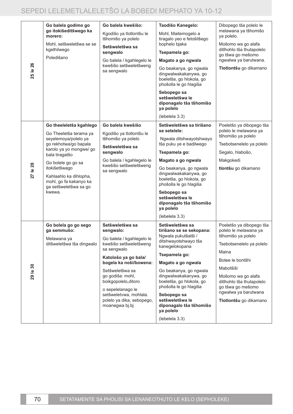| 25 le 26 | Go balela godimo go<br>go itokišeditšwego ka<br>morero:<br>Mohl, setšweletšwa se se<br>kgethilwego<br>Poledišano                                                                                                                                                              | Go balela kwešišo:<br>Kgodišo ya tlotlontšu le<br>tšhomišo ya polelo<br>Setšweletšwa sa<br>sengwalo<br>Go balela / kgahlegelo le<br>kwešišo setšweletšweng<br>sa sengwalo                                                                                                                                         | Taodišo Kanegelo:<br>Mohl, Maitemogelo a<br>tiragalo yeo e fetošitšego<br>bophelo bjaka<br>Tsepamela go:<br>Magato a go ngwala<br>Go beakanya, go ngwala<br>dingwalwakakanywa, go<br>boeletša, go hlokola, go<br>phošolla le go hlagiša<br>Sebopego sa<br>setšweletšwa le<br>diponagalo tša tšhomišo<br>ya polelo<br>(lebelela 3.3)                      | Dibopego tša polelo le<br>melawana ya tšhomišo<br>ya polelo.<br>Mošomo wa go alafa<br>ditlhohlo tša thutapolelo<br>go tšwa go mešomo<br>ngwalwa ya barutwana.<br>Tlotlontšu go dikamano                                                                                 |
|----------|-------------------------------------------------------------------------------------------------------------------------------------------------------------------------------------------------------------------------------------------------------------------------------|-------------------------------------------------------------------------------------------------------------------------------------------------------------------------------------------------------------------------------------------------------------------------------------------------------------------|----------------------------------------------------------------------------------------------------------------------------------------------------------------------------------------------------------------------------------------------------------------------------------------------------------------------------------------------------------|-------------------------------------------------------------------------------------------------------------------------------------------------------------------------------------------------------------------------------------------------------------------------|
| 27 le 28 | Go theeleletša kgahlego<br>Go Theeletša terama ya<br>seyelemoya/polelo ya<br>go rekhotwa/go bapala<br>karolo ya yo mongwe/ go<br>bala tiragatšo<br>Go bolele go go sa<br>itokišetšwago<br>Kahlaahlo ka dihlopha,<br>mohl, go fa kakanyo ka<br>ga setšweletšwa sa go<br>kwewa. | Go balela kwešišo<br>Kgodišo ya tlotlontšu le<br>tšhomišo ya polelo<br>Setšweletšwa sa<br>sengwalo<br>Go balela / kgahlegelo le<br>kwešišo setšweletšweng<br>sa sengwalo                                                                                                                                          | Setšweletšwa sa tirišano<br>se setelele:<br>Ngwala ditshwayotshwayo<br>tša puku ye e badilwego<br>Tsepamela go:<br>Magato a go ngwala<br>Go beakanya, go ngwala<br>dingwalwakakanywa, go<br>boeletša, go hlokola, go<br>phošolla le go hlagiša<br>Sebopego sa<br>setšweletšwa le<br>diponagalo tša tšhomišo<br>ya polelo<br>(lebelela 3.3)               | Poeletšo ya dibopego tša<br>polelo le melawana ya<br>tšhomišo ya polelo<br>Tsebotsenelelo ya polelo<br>Segalo, hlabošo,<br>Makgokedi<br>tlontšu go dikamano                                                                                                             |
| 29 le 30 | Go bolela go go sego<br>ga semmušo:<br>Melawana ya<br>ditšweletšwa tša dingwalo                                                                                                                                                                                               | Setšweletšwa sa<br>sengwalo:<br>Go balela / kgahlegelo le<br>kwešišo setšweletšweng<br>sa sengwalo<br>Katološo ya go bala/<br>bogela ka noši/bowena:<br>Setšweletšwa sa<br>go godiša: mohl,<br>boikgopolelo, ditoro<br>o sepelelanago le<br>setšweletvwa, mohlala.<br>polelo ya dika, sebopego,<br>moanegwa bj.bj | Setšweletšwa sa<br>tirišano se se sekopana:<br>Ngwala pukutšatši /<br>ditshwayotshwayo tša<br>kanegelokopana<br>Tsepamela go:<br>Magato a go ngwala<br>Go beakanya, go ngwala<br>dingwalwakakanywa, go<br>boeletša, go hlokola, go<br>phošolla le go hlagiša<br>Sebopego sa<br>setšweletšwa le<br>diponagalo tša tšhomišo<br>ya polelo<br>(lebelela 3.3) | Poeletšo ya dibopego tša<br>polelo le melawana ya<br>tšhomišo ya polelo<br>Tsebotsenelelo ya polelo<br>Maina<br>Botee le bontšhi<br>Mabotšiši<br>Mošomo wa go alafa<br>ditlhohlo tša thutapolelo<br>go tšwa go mešomo<br>ngwalwa ya barutwana<br>Tlotlontšu go dikamano |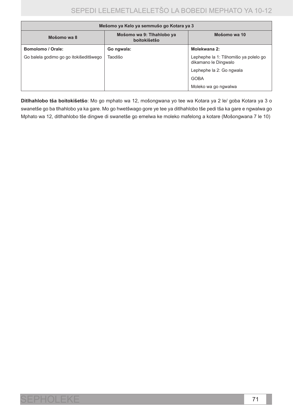| Mešomo ya Kelo ya semmušo go Kotara ya 3 |                                           |                                                              |  |  |
|------------------------------------------|-------------------------------------------|--------------------------------------------------------------|--|--|
| Mošomo wa 8                              | Mošomo wa 9: Tihahlobo ya<br>boitokišetšo | Mošomo wa 10                                                 |  |  |
| Bomolomo / Orale:                        | Go ngwala:                                | Molekwana 2:                                                 |  |  |
| Go balela godimo go go itokišeditšwego   | Taodišo                                   | Lephephe la 1: Tšhomišo ya polelo go<br>dikamano le Dingwalo |  |  |
|                                          |                                           | Lephephe la 2: Go ngwala                                     |  |  |
|                                          |                                           | <b>GOBA</b>                                                  |  |  |
|                                          |                                           | Moleko wa go ngwalwa                                         |  |  |

**Ditlhahlobo tša boitokišetšo**: Mo go mphato wa 12, mošongwana yo tee wa Kotara ya 2 le/ goba Kotara ya 3 o swanetše go ba tlhahlobo ya ka gare. Mo go hwetšwago gore ye tee ya ditlhahlobo tše pedi tša ka gare e ngwalwa go Mphato wa 12, ditlhahlobo tše dingwe di swanetše go emelwa ke moleko mafelong a kotare (Mošongwana 7 le 10)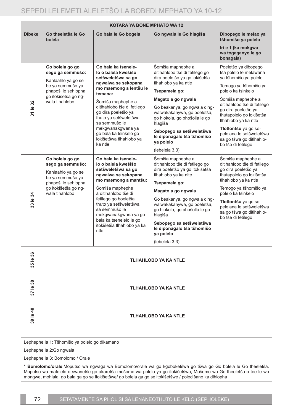|                    | KOTARA YA BONE MPHATO WA 12                                                                                                                     |                                                                                                                                                                                                                                                                                                                                        |                                                                                                                                                                                                                                                                                                                                                          |                                                                                                                                                                                                                                                                                                                                                             |  |
|--------------------|-------------------------------------------------------------------------------------------------------------------------------------------------|----------------------------------------------------------------------------------------------------------------------------------------------------------------------------------------------------------------------------------------------------------------------------------------------------------------------------------------|----------------------------------------------------------------------------------------------------------------------------------------------------------------------------------------------------------------------------------------------------------------------------------------------------------------------------------------------------------|-------------------------------------------------------------------------------------------------------------------------------------------------------------------------------------------------------------------------------------------------------------------------------------------------------------------------------------------------------------|--|
| <b>Dibeke</b>      | Go theeletša le Go<br>bolela                                                                                                                    | Go bala le Go bogela                                                                                                                                                                                                                                                                                                                   | Go ngwala le Go hlagiša                                                                                                                                                                                                                                                                                                                                  | Dibopego le melao ya<br>tšhomišo ya polelo                                                                                                                                                                                                                                                                                                                  |  |
|                    |                                                                                                                                                 |                                                                                                                                                                                                                                                                                                                                        |                                                                                                                                                                                                                                                                                                                                                          | Iri e 1 (ka mokgwa<br>wa togaganyo le go<br>bonagala)                                                                                                                                                                                                                                                                                                       |  |
| 31 le 32           | Go bolela go go<br>sego ga semmušo:<br>Kahlaahlo ya go se<br>be ya semmušo ya<br>phapoši le sehlopha<br>go itokišetša go ng-<br>wala tlhahlobo. | Go bala ka tsenele-<br>lo o balela kwešišo<br>setšweletšwa sa go<br>ngwalwa se sekopana<br>mo maemong a lentšu le<br>temana:<br>Šomiša maphephe a<br>ditlhahlobo tše di fetilego<br>go dira poeletšo ya<br>thuto ya setšweletšwa<br>sa semmušo le<br>mekgwanakgwana ya<br>go bala ka tsinkelo go<br>lokišetšwa tlhahlobo ya<br>ka ntle | Šomiša maphephe a<br>ditlhahlobo tše di fetilego go<br>dira poeletšo ya go lokišetša<br>tlhahlobo ya ka ntle<br>Tsepamela go:<br>Magato a go ngwala<br>Go beakanya, go ngwala ding-<br>walwakakanywa, go boeletša,<br>go hlokola, go phošolla le go<br>hlagiša<br>Sebopego sa setšweletšwa<br>le diponagalo tša tšhomišo<br>ya polelo<br>(lebelela 3.3)  | Poeletšo ya dibopego<br>tša polelo le melawana<br>ya tšhomišo ya polelo<br>Temogo ya tšhomišo ya<br>polelo ka tsinkelo<br>Somiša maphephe a<br>ditlhahlobo tše di fetilego<br>go dira poeletšo ya<br>thutapolelo go lokišetša<br>tlhahlobo ya ka ntle<br>Tlotlontšu ya go se-<br>pelelana le setšweletšwa<br>sa go tšwa go ditlhahlo-<br>bo tše di fetilego |  |
| 33 le 34           | Go bolela go go<br>sego ga semmušo:<br>Kahlaahlo ya go se<br>be ya semmušo ya<br>phapoši le sehlopha<br>go itokišetša go ng-<br>wala tlhahlobo  | Go bala ka tsenele-<br>lo o balela kwešišo<br>setšweletšwa sa go<br>ngwalwa se sekopana<br>mo maemong a mantšu:<br>Šomiša maphephe<br>a ditlhahlobo tše di<br>fetilego go boeletša<br>thuto ya setšweletšwa<br>sa semmušo le<br>mekgwanakgwana ya go<br>bala ka tsenelelo le go<br>itokišetša tlhahlobo ya ka<br>ntle                  | Šomiša maphephe a<br>ditlhahlobo tše di fetilego go<br>dira poeletšo ya go itokišetša<br>tlhahlobo ya ka nite<br>Tsepamela go:<br>Magato a go ngwala<br>Go beakanya, go ngwala ding-<br>walwakakanywa, go boeletša,<br>go hlokola, go phošolla le go<br>hlagiša<br>Sebopego sa setšweletšwa<br>le diponagalo tša tšhomišo<br>ya polelo<br>(lebelela 3.3) | Šomiša maphephe a<br>ditlhahlobo tše di fetilego<br>go dira poeletšo ya<br>thutapolelo go lokišetša<br>tlhahlobo ya ka ntle<br>Temogo ya tšhomišo ya<br>polelo ka tsinkelo<br>Tlotlontšu ya go se-<br>pelelana le setšweletšwa<br>sa go tšwa go ditlhahlo-<br>bo tše di fetilego                                                                            |  |
| 36<br>$35$ le $35$ | <b>TLHAHLOBO YA KA NTLE</b>                                                                                                                     |                                                                                                                                                                                                                                                                                                                                        |                                                                                                                                                                                                                                                                                                                                                          |                                                                                                                                                                                                                                                                                                                                                             |  |
| 37 le 38           | TLHAHLOBO YA KA NTLE                                                                                                                            |                                                                                                                                                                                                                                                                                                                                        |                                                                                                                                                                                                                                                                                                                                                          |                                                                                                                                                                                                                                                                                                                                                             |  |
| 39 le 40           | <b>TLHAHLOBO YA KA NTLE</b>                                                                                                                     |                                                                                                                                                                                                                                                                                                                                        |                                                                                                                                                                                                                                                                                                                                                          |                                                                                                                                                                                                                                                                                                                                                             |  |

Lephephe la 1: Tšhomišo ya polelo go dikamano

Lephephe la 2:Go ngwala

Lephephe la 3: Bomolomo / Orale

\* **Bomolomo/orale**:Moputso wa ngwaga wa Bomolomo/orale wa go kgoboketšwa go tšwa go Go bolela le Go theeletša. Moputso wa mafelelo o swanetše go akaretša mošomo wa polelo ya go itokišetšwa, Mošomo wa Go theeletša o tee le wo mongwe, mohlala. go bala ga go se itokišetšwe/ go bolela ga go se itokišetšwe / poledišano ka dihlopha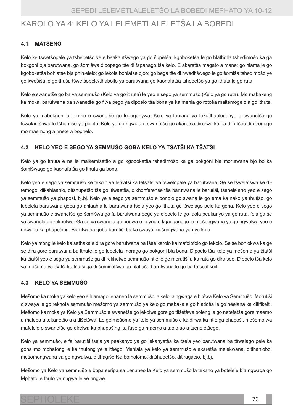# KAROLO YA 4: KELO YA LELEMETLALELETŠA LA BOBEDI

### **4.1 MATSENO**

Kelo ke tšwetšopele ya tshepetšo ye e beakantšwego ya go šupetša, kgoboketša le go hlatholla tshedimošo ka ga bokgoni bja barutwana, go šomišwa dibopego tše di fapanago tša kelo. E akaretša magato a mane: go hlama le go kgoboketša bohlatse bja phihlelelo; go lekola bohlatse bjoo; go bega tše di hweditšwego le go šomiša tshedimošo ye go kwešiša le go thuša tšwetšopele/tlhabollo ya barutwana go kaonafatša tshepetšo ya go ithuta le go ruta.

Kelo e swanetše go ba ya semmušo (Kelo ya go ithuta) le yeo e sego ya semmušo (Kelo ya go ruta). Mo mabakeng ka moka, barutwana ba swanetše go fiwa pego ya dipoelo tša bona ya ka mehla go rotoša maitemogelo a go ithuta.

Kelo ya mabokgoni a leleme e swanetše go logaganywa. Kelo ya temana ya tekatlhaologanyo e swanetše go tswalantšhwa le tšhomišo ya polelo. Kelo ya go ngwala e swanetše go akaretša direrwa ka ga dilo tšeo di diregago mo maemong a nnete a bophelo.

### **4.2 KELO YEO E SEGO YA SEMMUŠO GOBA KELO YA TŠATŠI KA TŠATŠI**

Kelo ya go ithuta e na le maikemišetšo a go kgoboketša tshedimošo ka ga bokgoni bja morutwana bjo bo ka šomišwago go kaonafatša go ithuta ga bona.

Kelo yeo e sego ya semmušo ke tekolo ya letšatši ka letšatši ya tšwelopele ya barutwana. Se se tšweletšwa ke ditemogo, dikahlaahlo, ditšhupetšo tša go itlwaetša, dikhonferense tša barutwana le barutiši, tsenelelano yeo e sego ya semmušo ya phapoši, bj.bj. Kelo ye e sego ya semmušo e bonolo go swana le go ema ka nako ya thutišo, go lebelela barutwana goba go ahlaahla le barutwana tsela yeo go ithuta go tšwelago pele ka gona. Kelo yeo e sego ya semmušo e swanetše go šomišwa go fa barutwana pego ya dipoelo le go laola peakanyo ya go ruta, fela ga se ya swanela go rekhotwa. Ga se ya swanela go bonwa e le yeo e kgaoganego le mešongwana ya go ngwalwa yeo e dirwago ka phapošing. Barutwana goba barutiši ba ka swaya mešongwana yeo ya kelo.

Kelo ya mong le kelo ka sethaka e dira gore barutwana ba tšee karolo ka mafolofolo go tekolo. Se se bohlokwa ka ge se dira gore barutwana ba ithute le go lebelela morago go bokgoni bja bona. Dipoelo tša kelo ya mešomo ya tšatši ka tšatši yeo e sego ya semmušo ga di rekhotwe semmušo ntle le ge morutiši a ka rata go dira seo. Dipoelo tša kelo ya mešomo ya tšatši ka tšatši ga di šomišetšwe go hlatloša barutwana le go ba fa setifikeiti.

### **4.3 KELO YA SEMMUŠO**

Mešomo ka moka ya kelo yeo e hlamago lenaneo la semmušo la kelo la ngwaga e bitšwa Kelo ya Semmušo. Morutiši o swaya le go rekhota semmušo mešomo ya semmušo ya kelo go mabaka a go hlatloša le go neelana ka ditifikeiti. Mešomo ka moka ya Kelo ya Semmušo e swanetše go lekolwa gore go tiišetšwe boleng le go netefatša gore maemo a maleba a tekanetšo a a tiišetšwa. Le ge mešomo ya kelo ya semmušo e ka dirwa ka ntle ga phapoši, mošomo wa mafelelo o swanetše go direlwa ka phapošing ka fase ga maemo a taolo ao a tseneletšego.

Kelo ya semmušo, e fa barutiši tsela ya peakanyo ya go lekanyetša ka tsela yeo barutwana ba tšwelago pele ka gona mo mphatong le ka thutong ye e itšego. Mehlala ya kelo ya semmušo e akaretša melekwana, ditlhahlobo, mešomongwana ya go ngwalwa, ditlhagišo tša bomolomo, ditšhupetšo, ditiragatšo, bj.bj.

Mešomo ya Kelo ya semmušo e bopa seripa sa Lenaneo la Kelo ya semmušo la tekano ya botelele bja ngwaga go Mphato le thuto ye nngwe le ye nngwe.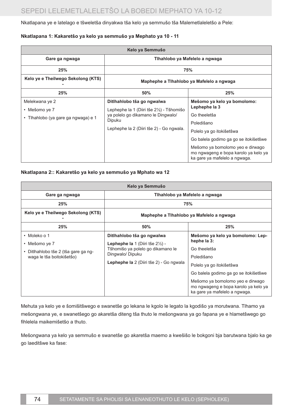Nkatlapana ye e latelago e tšweletša dinyakwa tša kelo ya semmušo tša Malemetlaleletšo a Pele:

### **Nkatlapana 1: Kakaretšo ya kelo ya semmušo ya Mephato ya 10 - 11**

| Kelo ya Semmušo                                                        |                                                                                                                                                                   |                                                                                                                                                                                                                                                              |  |  |
|------------------------------------------------------------------------|-------------------------------------------------------------------------------------------------------------------------------------------------------------------|--------------------------------------------------------------------------------------------------------------------------------------------------------------------------------------------------------------------------------------------------------------|--|--|
| Gare ga ngwaga                                                         | Tihahlobo ya Mafelelo a ngwaga                                                                                                                                    |                                                                                                                                                                                                                                                              |  |  |
| 25%                                                                    | 75%                                                                                                                                                               |                                                                                                                                                                                                                                                              |  |  |
| Kelo ye e Theilwego Sekolong (KTS)                                     | Maphephe a Tihahlobo ya Mafelelo a ngwaga                                                                                                                         |                                                                                                                                                                                                                                                              |  |  |
| 25%                                                                    | 50%                                                                                                                                                               | 25%                                                                                                                                                                                                                                                          |  |  |
| Melekwana ye 2<br>• Mešomo ye 7<br>• Tihahlobo (ya gare ga ngwaga) e 1 | Ditlhahlobo tša go ngwalwa<br>Lephephe la 1 (Diiri tše 2½) - Tšhomišo<br>ya polelo go dikamano le Dingwalo/<br>Dipuku<br>Lephephe la 2 (Diiri tše 2) - Go ngwala. | Mešomo ya kelo ya bomolomo:<br>Lephephe la 3<br>Go theeletša<br>Poledišano<br>Polelo ya go itokišetšwa<br>Go balela godimo ga go se itokišetšwe<br>Mešomo ya bomolomo yeo e dirwago<br>mo ngwageng e bopa karolo ya kelo ya<br>ka gare ya mafelelo a ngwaga. |  |  |

### **Nkatlapana 2:: Kakaretšo ya kelo ya semmušo ya Mphato wa 12**

| Kelo ya Semmušo                                                                                                     |                                                                                                                                                                              |                                                                                                                                                                                                                                                                 |  |  |
|---------------------------------------------------------------------------------------------------------------------|------------------------------------------------------------------------------------------------------------------------------------------------------------------------------|-----------------------------------------------------------------------------------------------------------------------------------------------------------------------------------------------------------------------------------------------------------------|--|--|
| Gare ga ngwaga                                                                                                      |                                                                                                                                                                              | Tihahlobo ya Mafelelo a ngwaga                                                                                                                                                                                                                                  |  |  |
| 25%                                                                                                                 |                                                                                                                                                                              | 75%                                                                                                                                                                                                                                                             |  |  |
| Kelo ye e Theilwego Sekolong (KTS)                                                                                  | Maphephe a Tihahlobo ya Mafelelo a ngwaga                                                                                                                                    |                                                                                                                                                                                                                                                                 |  |  |
| 25%                                                                                                                 | 50%                                                                                                                                                                          | 25%                                                                                                                                                                                                                                                             |  |  |
| $\cdot$ Moleko o 1<br>• Mešomo ye 7<br>Ditlhahlobo tše 2 (tša gare ga ng-<br>$\bullet$<br>waga le tša boitokišetšo) | Ditlhahlobo tša go ngwalwa<br>Lephephe la 1 (Diiri tše $2\frac{1}{2}$ ) -<br>Tšhomišo ya polelo go dikamano le<br>Dingwalo/Dipuku<br>Lephephe la 2 (Diiri tše 2) - Go ngwala | Mešomo ya kelo ya bomolomo: Lep-<br>hephe la 3:<br>Go theeletša<br>Poledišano<br>Polelo ya go itokišetšwa<br>Go balela godimo ga go se itokišetšwe<br>Mešomo ya bomolomo yeo e dirwago<br>mo ngwageng e bopa karolo ya kelo ya<br>ka gare ya mafelelo a ngwaga. |  |  |

Mehuta ya kelo ye e šomišitšwego e swanetše go lekana le kgolo le legato la kgodišo ya morutwana. Tlhamo ya mešongwana ye, e swanetšego go akaretša diteng tša thuto le mešongwana ya go fapana ye e hlametšwego go fihlelela maikemišetšo a thuto.

Mešongwana ya kelo ya semmušo e swanetše go akaretša maemo a kwešišo le bokgoni bja barutwana bjalo ka ge go laeditšwe ka fase: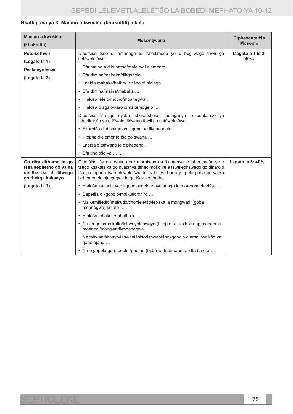### **Nkatlapana ya 3: Maemo a kwešišo (khoknitifi) a kelo**

| Maemo a kwešišo<br>(khoknitifi)                                                                | Mošongwana                                                                                                                                                                                                                                                            | Diphesente tša<br><b>Mošomo</b> |
|------------------------------------------------------------------------------------------------|-----------------------------------------------------------------------------------------------------------------------------------------------------------------------------------------------------------------------------------------------------------------------|---------------------------------|
| Potšišothwii<br>(Legato la 1)                                                                  | Dipotšišo tšeo di amanago le tshedimošo ye e begilwego thwii go<br>setšweletšwa                                                                                                                                                                                       | Magato a 1 le 2:<br>40%         |
| Peakanyoleswa<br>(Legato la 2)                                                                 | · Efa maina a dilo/batho/mafelo/di elemente<br>· Efa dintlha/mabaka/dikgopolo                                                                                                                                                                                         |                                 |
|                                                                                                | · Laetša mabaka/batho/ le tšeo di hlolago<br>• Efa dintlha/maina/mabaka                                                                                                                                                                                               |                                 |
|                                                                                                | · Hlaloša lefelo/motho/moanegwa                                                                                                                                                                                                                                       |                                 |
|                                                                                                | · Hlaloša tiragalo/karolo/maitemogelo<br>Dipotšišo tša go nyaka tshekatsheko, thulaganyo le peakanyo ya<br>tshedimošo ye e tšweleditšwego thwii go setšweletšwa.                                                                                                      |                                 |
|                                                                                                | · Akaretša dintlhakgolo/dikgopolo/ dikgonagalo                                                                                                                                                                                                                        |                                 |
|                                                                                                | · Hlopha dielemente tša go swana                                                                                                                                                                                                                                      |                                 |
|                                                                                                | · Laetša ditshwano le diphapano                                                                                                                                                                                                                                       |                                 |
|                                                                                                | · Efa tlhalošo ya                                                                                                                                                                                                                                                     |                                 |
| Go dira dithumo le go<br>tšea sephetho go ya ka<br>dintlha tše di filwego<br>go thekga kakanyo | Dipotšišo tša go nyaka gore morutwana a ikamanye le tshedimošo ye e<br>tšego kgakala ka go nyalanya tshedimošo ye e tšweleditšwego go dikarolo<br>tša go fapana tša setšweletšwa le tsebo ya bona ya pele goba go ya ka<br>boitemogelo bia gagwe le go tšea sephetho. | Legato la 3:40%                 |
| (Legato la 3)                                                                                  | · Hlaloša ka tsela yeo kgopolokgolo e nyalanago le morero/molaetša                                                                                                                                                                                                    |                                 |
|                                                                                                | · Bapetša dikgopolo/maikutlo/ditiro                                                                                                                                                                                                                                   |                                 |
|                                                                                                | · Maikemišetšo/maikutlo/tlhohleletšo/lebaka la mongwadi (goba<br>moanegwa) ke afe                                                                                                                                                                                     |                                 |
|                                                                                                | · Hlaloša lebaka le phetho la                                                                                                                                                                                                                                         |                                 |
|                                                                                                | · Na tiragalo/maikutlo/tshwayotshwayo (bj.bj) e re utollela eng mabapi le<br>moanegi/mongwadi/moanegwa                                                                                                                                                                |                                 |
|                                                                                                | · Na tshwantšhanyo/tshwantšhišo/tshwantšhokgopolo e ama kwešišo ya<br>gago bjang                                                                                                                                                                                      |                                 |
|                                                                                                | · Na o gopola gore poelo /phetho (bj.bj) ya tiro/maemo e tla ba efe                                                                                                                                                                                                   |                                 |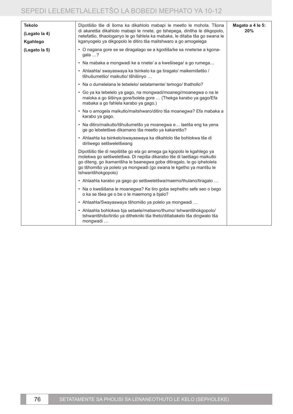| <b>Tekolo</b><br>(Legato la 4)<br>Kgahlego | Dipotšišo tše di šoma ka dikahlolo mabapi le meetlo le mohola. Tšona<br>di akaretša dikahlolo mabapi le nnete, go tshepega, dintlha le dikgopolo,<br>netefatšo, tlhaologanyo le go fahlela ka mabaka, le ditaba tša go swana le<br>kganyogelo ya dikgopolo le ditiro tša maitshwaro a go amogelega                 | Magato a 4 le 5:<br>20% |
|--------------------------------------------|--------------------------------------------------------------------------------------------------------------------------------------------------------------------------------------------------------------------------------------------------------------------------------------------------------------------|-------------------------|
| (Legato la 5)                              | · O nagana gore se se diragalago se a kgodiša/ke sa nnete/se a kgona-<br>gala $\ldots$ ?                                                                                                                                                                                                                           |                         |
|                                            | · Na mabaka a mongwadi ke a nnete/ a a kwešisega/ a go rumega                                                                                                                                                                                                                                                      |                         |
|                                            | · Ahlaahla/ swayaswaya ka tsinkelo ka ga tiragalo/ maikemišetšo /<br>tšhušumetšo/ maikutlo/ tšhišinyo                                                                                                                                                                                                              |                         |
|                                            | • Na o dumelelana le tebelelo/ setatamente/ temogo/ thathollo?                                                                                                                                                                                                                                                     |                         |
|                                            | · Go ya ka tebelelo ya gago, na mongwadi/moanegi/moanegwa o na le<br>maloka a go šišinya gore/bolela gore  (Thekga karabo ya gago/Efa<br>mabaka a go fahlela karabo ya gago.)                                                                                                                                      |                         |
|                                            | · Na o amogela maikutlo/maitshwaro/ditiro tša moanegwa? Efa mabaka a<br>karabo ya gago.                                                                                                                                                                                                                            |                         |
|                                            | · Na ditiro/maikutlo/tšhušumetšo ya moanegwa e laetša eng ka yena<br>ge go lebeletšwe dikamano tša meetlo ya kakaretšo?                                                                                                                                                                                            |                         |
|                                            | • Ahlaahla ka tsinkelo/swayaswaya ka dikahlolo tše bohlokwa tše di<br>dirilwego setšweletšwang                                                                                                                                                                                                                     |                         |
|                                            | Dipotšišo tše di nepišitše go ela go amega ga kgopolo le kgahlego ya<br>molekwa go setšweletšwa. Di nepiša dikarabo tše di laetšago maikutlo<br>go diteng, go ikamantšha le baanegwa goba ditiragalo, le go iphetolela<br>go tšhomišo ya polelo ya mongwadi (go swana le kgetho ya mantšu le<br>tshwantšhokgopolo) |                         |
|                                            | · Ahlaahla karabo ya gago go setšweletšwa/maemo/thulano/tiragalo                                                                                                                                                                                                                                                   |                         |
|                                            | · Na o kwešišana le moanegwa? Ke tiro goba sephetho sefe seo o bego<br>o ka se tšea ge o be o le maemong a bjalo?                                                                                                                                                                                                  |                         |
|                                            | · Ahlaahla/Swayaswaya tšhomišo ya polelo ya mongwadi                                                                                                                                                                                                                                                               |                         |
|                                            | · Ahlaahla bohlokwa bja setaele/matseno/thumo/ tshwantšhokgopolo/<br>tshwantšhišo/tirišo ya dithekniki tša theto/ditlabakelo tša dingwalo tša<br>mongwadi                                                                                                                                                          |                         |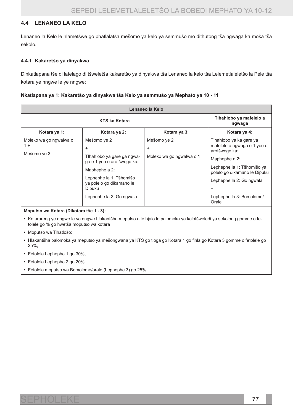### **4.4 LENANEO LA KELO**

Lenaneo la Kelo le hlametšwe go phatlalatša mešomo ya kelo ya semmušo mo dithutong tša ngwaga ka moka tša sekolo.

### **4.4.1 Kakaretšo ya dinyakwa**

Dinkatlapana tše di latelago di tšweletša kakaretšo ya dinyakwa tša Lenaneo la kelo tša Lelemetlaleletšo la Pele tša kotara ye nngwe le ye nngwe:

#### **Nkatlapana ya 1: Kakaretšo ya dinyakwa tša Kelo ya semmušo ya Mephato ya 10 - 11**

| Lenaneo la Kelo                                |                                                          |                          |                                                                         |  |
|------------------------------------------------|----------------------------------------------------------|--------------------------|-------------------------------------------------------------------------|--|
|                                                | Tihahlobo ya mafelelo a<br>ngwaga                        |                          |                                                                         |  |
| Kotara ya 1:                                   | Kotara ya 2:                                             | Kotara ya 3:             | Kotara ya 4:                                                            |  |
| Moleko wa go ngwalwa o<br>$1 +$<br>Mešomo ye 3 | Mešomo ye 2<br>$\ddot{}$                                 | Mešomo ve 2<br>$+$       | Tihahlobo ya ka gare ya<br>mafelelo a ngwaga e 1 yeo e<br>arotšwego ka: |  |
|                                                | Tihahlobo ya gare ga ngwa-<br>ga e 1 yeo e arotšwego ka: | Moleko wa go ngwalwa o 1 | Maphephe a 2:                                                           |  |
|                                                | Maphephe a 2:                                            |                          | Lephephe la 1: Tšhomišo ya<br>polelo go dikamano le Dipuku              |  |
|                                                | Lephephe la 1: Tšhomišo<br>ya polelo go dikamano le      |                          | Lephephe la 2: Go ngwala                                                |  |
|                                                | Dipuku                                                   |                          | $\ddot{}$                                                               |  |
|                                                | Lephephe la 2: Go ngwala                                 |                          | Lephephe la 3: Bomolomo/<br>Orale                                       |  |

**Moputso wa Kotara (Dikotara tše 1 - 3):** 

• Kotarareng ye nngwe le ye nngwe hlakantšha meputso e le bjalo le palomoka ya kelotšweledi ya sekolong gomme o fetolele go % go hwetša moputso wa kotara

• Moputso wa Tlhatlošo:

• Hlakantšha palomoka ya meputso ya mešongwana ya KTS go tloga go Kotara 1 go fihla go Kotara 3 gomme o fetolele go 25%,

• Fetolela Lephephe 1 go 30%,

• Fetolela Lephephe 2 go 20%

• Fetolela moputso wa Bomolomo/orale (Lephephe 3) go 25%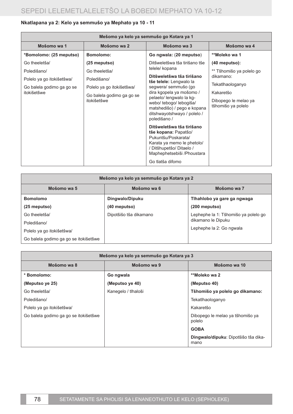### **Nkatlapana ya 2: Kelo ya semmušo ya Mephato ya 10 - 11**

| Mešomo ya kelo ya semmušo go Kotara ya 1                                                              |                                                                                                                         |                                                                                                                                                                                                                                                                                                                                                                                                                                                                      |                                                                                                                                         |  |
|-------------------------------------------------------------------------------------------------------|-------------------------------------------------------------------------------------------------------------------------|----------------------------------------------------------------------------------------------------------------------------------------------------------------------------------------------------------------------------------------------------------------------------------------------------------------------------------------------------------------------------------------------------------------------------------------------------------------------|-----------------------------------------------------------------------------------------------------------------------------------------|--|
| Mošomo wa 1                                                                                           | Mošomo wa 2                                                                                                             | Mošomo wa 3                                                                                                                                                                                                                                                                                                                                                                                                                                                          | Mošomo wa 4                                                                                                                             |  |
| *Bomolomo: (25 meputso)                                                                               | <b>Bomolomo:</b>                                                                                                        | Go ngwala: (20 meputso)                                                                                                                                                                                                                                                                                                                                                                                                                                              | **Moleko wa 1                                                                                                                           |  |
| Go theeletša/<br>Poledišano/<br>Polelo ya go itokišetšwa/<br>Go balela godimo ga go se<br>itokišetšwe | $(25$ meputso)<br>Go theeletša/<br>Poledišano/<br>Polelo ya go itokišetšwa/<br>Go balela godimo ga go se<br>itokišetšwe | Ditšweletšwa tša tirišano tše<br>telele/ kopana<br>Ditšweletšwa tša tirišano<br>tše telele: Lengwalo la<br>segwera/ semmušo (go<br>dira kgopela ya mošomo /<br>pelaelo/ lengwalo la kg-<br>webo/ tebogo/ lebogiša/<br>matshedišo) / pego e kopana<br>ditshwayotshwayo / polelo /<br>poledišano /<br>Ditšweletšwa tša tirišano<br>tše kopana: Papatšo/<br>Pukuntšu/Poskarata/<br>Karata ya memo le phetolo/<br>/ Ditšhupetšo/ Ditaelo /<br>Maphephetsebiši /Phoustara | $(40$ meputso):<br>** Tšhomišo ya polelo go<br>dikamano:<br>Tekatlhaologanyo<br>Kakaretšo<br>Dibopego le melao ya<br>tšhomišo ya polelo |  |
|                                                                                                       |                                                                                                                         | Go tlatša difomo                                                                                                                                                                                                                                                                                                                                                                                                                                                     |                                                                                                                                         |  |

| Mešomo ya kelo ya semmušo go Kotara ya 2 |                        |                                      |  |  |
|------------------------------------------|------------------------|--------------------------------------|--|--|
| Mošomo wa 5                              | Mošomo wa 6            | Mošomo wa 7                          |  |  |
| <b>Bomolomo</b>                          | Dingwalo/Dipuku        | Tihahlobo ya gare ga ngwaga          |  |  |
| $(25$ meputso)                           | (40 meputso)           | $(200$ meputso)                      |  |  |
| Go theeletša/                            | Dipotšišo tša dikamano | Lephephe la 1: Tšhomišo ya polelo go |  |  |
| Poledišano/                              |                        | dikamano le Dipuku                   |  |  |
| Polelo ya go itokišetšwa/                |                        | Lephephe la 2: Go ngwala             |  |  |
| Go balela godimo ga go se itokišetšwe    |                        |                                      |  |  |

| Mešomo ya kelo ya semmušo go Kotara ya 3 |                             |                                              |  |  |
|------------------------------------------|-----------------------------|----------------------------------------------|--|--|
| Mošomo wa 8                              | Mošomo wa 9<br>Mošomo wa 10 |                                              |  |  |
| * Bomolomo:                              | Go ngwala                   | **Moleko wa 2                                |  |  |
| (Meputso ye 25)                          | (Meputso ye 40)             | (Meputso 40)                                 |  |  |
| Go theeletša/                            | Kanegelo / tlhaloši         | Tšhomišo ya polelo go dikamano:              |  |  |
| Poledišano/                              |                             | Tekatlhaologanyo                             |  |  |
| Polelo ya go itokišetšwa/                |                             | Kakaretšo                                    |  |  |
| Go balela godimo ga go se itokišetšwe    |                             | Dibopego le melao ya tšhomišo ya<br>polelo   |  |  |
|                                          |                             | <b>GOBA</b>                                  |  |  |
|                                          |                             | Dingwalo/dipuku: Dipotšišo tša dika-<br>mano |  |  |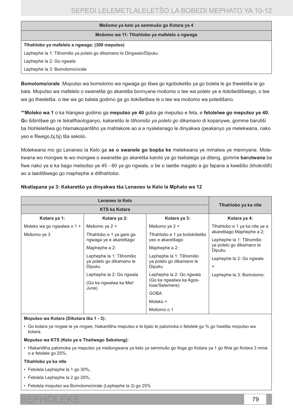| Mešomo ya kelo ya semmušo go Kotara ya 4                         |  |  |
|------------------------------------------------------------------|--|--|
| Mošomo wa 11: Tihahlobo ya mafelelo a ngwaga                     |  |  |
| Tihahlobo ya mafelelo a ngwaga: (300 meputso)                    |  |  |
| Lephephe la 1: Tšhomišo ya polelo go dikamano le Dingwalo/Dipuku |  |  |
| Lephephe la 2: Go ngwala                                         |  |  |
| Lephephe la 3: Bomolomo/orale                                    |  |  |
|                                                                  |  |  |

**Bomolomo/orale** :Moputso wa bomolomo wa ngwaga go tšwa go kgoboketšo ya go bolela le go theeletša le go bala. Moputso wa mafelelo o swanetše go akaretša bonnyane mošomo o tee wa polelo ye e itokišeditšwego, o tee wa go theeletša, o tee wa go balela godimo ga go itokišetšwa le o tee wa mošomo wa poledišano.

**\*\*Moleko wa 1** o ka hlangwa godimo ga **meputso ye 40** goba ge meputso e feta, e **fetolelwe go meputso ye 40. G**o šišintšwe go re *tekatlhaologanyo, kakaretšo le tšhomišo ya polelo go dikamano* di kopanywe, gomme barutiši ba hlohleletšwa go hlamakopantšho ya mahlakore ao a a nyalelanago le dinyakwa (peakanyo ya melekwana, nako yeo e filwego,bj.bj) tša sekolo.

Molekwana mo go Lenaneo la Kelo ga **se o swanele go bopša ke** melekwana ye mmalwa ye mennyane. Molekwana wo mongwe le wo mongwe o swanetše go akaretša karolo ya go tsebalega ya diteng, gomme **barutwana** ba fiwe nako ye e ka bago metsotso ye 45 - 60 ya go ngwala, o be o laetše magato a go fapana a kwešišo (khoknitifi) ao a laeditšwego go maphephe a ditlhahlobo.

|                            | Tihahlobo ya ka ntle                                                                                                           |                                                   |                                                     |
|----------------------------|--------------------------------------------------------------------------------------------------------------------------------|---------------------------------------------------|-----------------------------------------------------|
| Kotara ya 1:               | Kotara ya 2:                                                                                                                   | Kotara ya 3:                                      | Kotara ya 4:                                        |
| Moleko wa go ngwalwa o 1 + | Mešomo ye 2 +                                                                                                                  | Mešomo ye 2 +                                     | Tihahlobo e 1 ya ka ntle ye e                       |
| Mešomo ye 3                | Tihahlobo e 1 ya gare ga<br>ngwaga ye e akaretšago                                                                             | Tlhahlobo e 1 ya boitokišetšo<br>yeo e akaretšago | akaretšago Maphephe a 2;<br>Lephephe la 1: Tšhomišo |
| Maphephe a 2:              |                                                                                                                                | Maphephe a 2:                                     | ya polelo go dikamano le<br>Dipuku                  |
|                            | Lephephe la 1: Tšhomišo<br>Lephephe la 1: Tšhomišo<br>ya polelo go dikamano le<br>ya polelo go dikamano le<br>Dipuku<br>Dipuku |                                                   | Lephephe la 2: Go ngwala<br>$\ddot{}$               |
|                            | Lephephe la 2: Go ngwala<br>Lephephe la 2: Go ngwala                                                                           |                                                   | Lephephe la 3: Bomolomo:                            |
|                            | (Go ka ngwalwa ka Mei/<br>June)                                                                                                | (Go ka ngwalwa ka Agos-<br>tose/Setemere)         |                                                     |
|                            |                                                                                                                                | <b>GOBA</b>                                       |                                                     |
|                            |                                                                                                                                | Moleko +                                          |                                                     |
|                            |                                                                                                                                | Mošomo o 1                                        |                                                     |

### **Nkatlapana ya 3: Kakaretšo ya dinyakwa tša Lenaneo la Kelo la Mphato wa 12**

#### **Moputso wa Kotara (Dikotara tša 1 - 3):**

• Go kotara ye nngwe le ye nngwe, hlakantšha meputso e le bjalo le palomoka o fetolele go % go hwetša moputso wa kotara.

#### **Moputso wa KTS (Kelo ye e Theilwego Sekolong):**

• Hlakantšha palomoka ya meputso ya mešongwana ya kelo ya semmušo go tloga go Kotara ya 1 go fihla go Kotara 3 mme o e fetolele go 25%,

### **Tlhahlobo ya ka ntle**

- Fetolela Lephephe la 1 go 30%,
- Fetolela Lephephe la 2 go 20%,
- Fetolela moputso wa Bomolomo/orale (Lephephe la 3) go 25%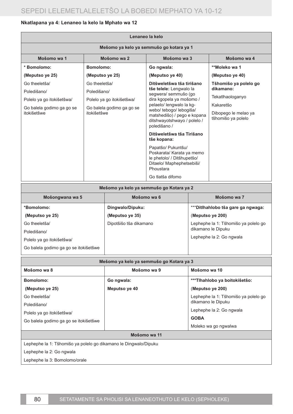### **Nkatlapana ya 4: Lenaneo la kelo la Mphato wa 12**

| Lenaneo la kelo                                                                    |                                          |                                                                                                                                   |                                                         |  |  |
|------------------------------------------------------------------------------------|------------------------------------------|-----------------------------------------------------------------------------------------------------------------------------------|---------------------------------------------------------|--|--|
| Mešomo ya kelo ya semmušo go kotara ya 1                                           |                                          |                                                                                                                                   |                                                         |  |  |
| Mošomo wa 1<br>Mošomo wa 2<br>Mošomo wa 3                                          |                                          |                                                                                                                                   | Mošomo wa 4                                             |  |  |
| * Bomolomo:                                                                        | Bomolomo:                                | Go ngwala:                                                                                                                        | **Moleko wa 1                                           |  |  |
| (Meputso ye 25)                                                                    | (Meputso ye 25)                          | (Meputso ye 40)                                                                                                                   | (Meputso ye 40)                                         |  |  |
| Go theeletša/                                                                      | Go theeletša/                            | Ditšweletšwa tša tirišano                                                                                                         | Tšhomišo ya polelo go                                   |  |  |
| Poledišano/                                                                        | Poledišano/                              | tše telele: Lengwalo la<br>segwera/ semmušo (go                                                                                   | dikamano:                                               |  |  |
| dira kgopela ya mošomo /<br>Polelo ya go itokišetšwa/<br>Polelo ya go itokišetšwa/ |                                          |                                                                                                                                   | Tekatlhaologanyo                                        |  |  |
| Go balela godimo ga go se<br>itokišetšwe                                           | Go balela godimo ga go se<br>itokišetšwe | pelaelo/ lengwalo la kg-<br>webo/ tebogo/ lebogiša/<br>matshedišo) / pego e kopana<br>ditshwayotshwayo / polelo /<br>poledišano / | Kakaretšo<br>Dibopego le melao ya<br>tšhomišo ya polelo |  |  |
|                                                                                    |                                          | Ditšweletšwa tša Tirišano<br>tše kopana:                                                                                          |                                                         |  |  |
|                                                                                    |                                          | Papatšo/ Pukuntšu/<br>Poskarata/ Karata ya memo<br>le phetolo/ / Ditšhupetšo/<br>Ditaelo/ Maphephetsebiši/<br>Phoustara           |                                                         |  |  |
|                                                                                    |                                          | Go tlatša difomo                                                                                                                  |                                                         |  |  |

| Mešomo ya kelo ya semmušo go Kotara ya 2 |                        |                                      |  |  |
|------------------------------------------|------------------------|--------------------------------------|--|--|
| Mošongwana wa 5                          | Mošomo wa 6            | Mošomo wa 7                          |  |  |
| *Bomolomo:                               | Dingwalo/Dipuku:       | ***Ditlhahlobo tša gare ga ngwaga:   |  |  |
| (Meputso ye 25)                          | (Meputso ye 35)        | (Meputso ye 200)                     |  |  |
| Go theeletša/                            | Dipotšišo tša dikamano | Lephephe la 1: Tšhomišo ya polelo go |  |  |
| Poledišano/                              |                        | dikamano le Dipuku                   |  |  |
| Polelo ya go itokišetšwa/                |                        | Lephephe la 2: Go ngwala             |  |  |
| Go balela godimo ga go se itokišetšwe    |                        |                                      |  |  |

| Mešomo ya kelo ya semmušo go Kotara ya 3                         |               |                                      |  |  |  |
|------------------------------------------------------------------|---------------|--------------------------------------|--|--|--|
| Mošomo wa 8                                                      | Mošomo wa 9   | Mošomo wa 10                         |  |  |  |
| Bomolomo:                                                        | Go ngwala:    | ***Tlhahlobo ya boitokišetšo:        |  |  |  |
| (Meputso ye 25)                                                  | Meputso ye 40 | (Meputso ye 200)                     |  |  |  |
| Go theeletša/                                                    |               | Lephephe la 1: Tšhomišo ya polelo go |  |  |  |
| Poledišano/                                                      |               | dikamano le Dipuku                   |  |  |  |
| Polelo ya go itokišetšwa/                                        |               | Lephephe la 2: Go ngwala             |  |  |  |
| Go balela godimo ga go se itokišetšwe                            |               | <b>GOBA</b>                          |  |  |  |
|                                                                  |               | Moleko wa go ngwalwa                 |  |  |  |
| Mošomo wa 11                                                     |               |                                      |  |  |  |
| Lephephe la 1: Tšhomišo ya polelo go dikamano le Dingwalo/Dipuku |               |                                      |  |  |  |
| Lephephe la 2: Go ngwala                                         |               |                                      |  |  |  |
| Lephephe la 3: Bomolomo/orale                                    |               |                                      |  |  |  |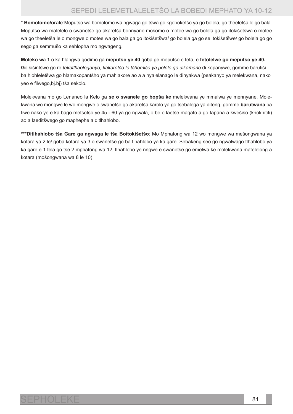\* **Bomolomo/orale**:Moputso wa bomolomo wa ngwaga go tšwa go kgoboketšo ya go bolela, go theeletša le go bala. Moputs**o** wa mafelelo o swanetše go akaretša bonnyane mošomo o motee wa go bolela ga go itokišetšwa o motee wa go theeletša le o mongwe o motee wa go bala ga go itokišetšwa/ go bolela ga go se itokišetšwe/ go bolela go go sego ga semmušo ka sehlopha mo ngwageng.

**Moleko wa 1** o ka hlangwa godimo ga **meputso ye 40** goba ge meputso e feta, e **fetolelwe go meputso ye 40. G**o šišintšwe go re *tekatlhaologanyo, kakaretšo le tšhomišo ya polelo go dikamano* di kopanywe, gomme barutiši ba hlohleletšwa go hlamakopantšho ya mahlakore ao a a nyalelanago le dinyakwa (peakanyo ya melekwana, nako yeo e filwego,bj.bj) tša sekolo.

Molekwana mo go Lenaneo la Kelo ga **se o swanele go bopša ke** melekwana ye mmalwa ye mennyane. Molekwana wo mongwe le wo mongwe o swanetše go akaretša karolo ya go tsebalega ya diteng, gomme **barutwana** ba fiwe nako ye e ka bago metsotso ye 45 - 60 ya go ngwala, o be o laetše magato a go fapana a kwešišo (khoknitifi) ao a laeditšwego go maphephe a ditlhahlobo.

**\*\*\*Ditlhahlobo tša Gare ga ngwaga le tša Boitokišetšo**: Mo Mphatong wa 12 wo mongwe wa mešongwana ya kotara ya 2 le/ goba kotara ya 3 o swanetše go ba tlhahlobo ya ka gare. Sebakeng seo go ngwalwago tlhahlobo ya ka gare e 1 fela go tše 2 mphatong wa 12, tlhahlobo ye nngwe e swanetše go emelwa ke molekwana mafelelong a kotara (mošongwana wa 8 le 10)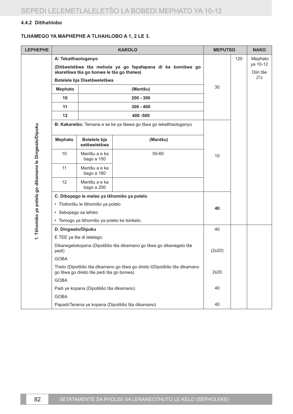### **4.4.2 Ditlhahlobo**

### **Tlhamego ya Maphephe a Tlhahlobo a 1, 2 le 3.**

| <b>LEPHEPHE</b>                                      | <b>KAROLO</b>        |                                                                                                        | <b>MEPUTSO</b>                                                           |        | <b>NAKO</b> |                       |
|------------------------------------------------------|----------------------|--------------------------------------------------------------------------------------------------------|--------------------------------------------------------------------------|--------|-------------|-----------------------|
|                                                      | A: Tekatlhaologanyo  |                                                                                                        |                                                                          |        | 120         | Mephato               |
|                                                      |                      | (Ditšweletšwa tša mehuta ya go fapafapana di ka šomišwa go<br>akaretšwa tša go bonwa le tša go thalwa) |                                                                          |        |             | ya 10-12<br>Diiri tše |
|                                                      |                      | Botelele bja Disetšweletšwa                                                                            |                                                                          |        |             | $2\frac{1}{2}$        |
|                                                      | <b>Mephato</b>       |                                                                                                        | (Mantšu)                                                                 | 30     |             |                       |
|                                                      | 10                   |                                                                                                        | $200 - 300$                                                              |        |             |                       |
|                                                      | 11                   |                                                                                                        | $300 - 400$                                                              |        |             |                       |
|                                                      | 12                   |                                                                                                        | 400 -500                                                                 |        |             |                       |
|                                                      |                      |                                                                                                        | B: Kakaretšo: Temana e se ke ya tšewa go tšwa go tekatlhaologanyo        |        |             |                       |
| 1. Tšhomišo ya polelo go dikamano le Dingwalo/Dipuku | <b>Mephato</b>       | Botelele bja<br>setšweletšwa                                                                           | (Mantšu)                                                                 |        |             |                       |
|                                                      | 10                   | Mantšu a e ka<br>bago a 150                                                                            | 50-60                                                                    | 10     |             |                       |
|                                                      | 11                   | Mantšu a e ka<br>bago a 180                                                                            |                                                                          |        |             |                       |
|                                                      | 12                   | Mantšu a e ka<br>bago a 200                                                                            |                                                                          |        |             |                       |
|                                                      |                      | C. Dibopego le melao ya tšhomišo ya polelo                                                             |                                                                          |        |             |                       |
|                                                      |                      | · Tlotlontšu le tšhomišo ya polelo                                                                     |                                                                          | 40     |             |                       |
|                                                      | · Sebopego sa lefoko |                                                                                                        |                                                                          |        |             |                       |
|                                                      |                      | · Temogo ya tšhomišo ya polelo ka tsinkelo.                                                            |                                                                          |        |             |                       |
|                                                      | D. Dingwalo/Dipuku   |                                                                                                        |                                                                          | 40     |             |                       |
|                                                      |                      | E TEE ya tše di latelago:                                                                              |                                                                          |        |             |                       |
|                                                      | pedi)                |                                                                                                        | Dikanegelokopana (Dipotšišo tša dikamano go tšwa go dikanegelo tše       | (2x20) |             |                       |
|                                                      | <b>GOBA</b>          |                                                                                                        |                                                                          |        |             |                       |
|                                                      |                      | go tšwa go direto tše pedi tša go bonwa)                                                               | Theto (Dipotšišo tša dikamano go tšwa go direto t(Dipotšišo tša dikamano | 2x20   |             |                       |
|                                                      | <b>GOBA</b>          |                                                                                                        |                                                                          |        |             |                       |
|                                                      |                      | Padi ye kopana (Dipotšišo tša dikamano)                                                                |                                                                          | 40     |             |                       |
|                                                      | <b>GOBA</b>          |                                                                                                        |                                                                          |        |             |                       |
|                                                      |                      |                                                                                                        | Papadi/Terama ye kopana (Dipotšišo tša dikamano)                         | 40     |             |                       |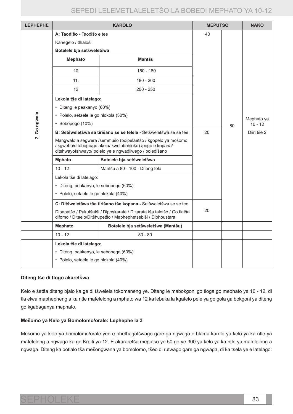| <b>LEPHEPHE</b> | <b>KAROLO</b>                                                                                                                                                                       |                                                                   | <b>MEPUTSO</b> |  | <b>NAKO</b> |  |
|-----------------|-------------------------------------------------------------------------------------------------------------------------------------------------------------------------------------|-------------------------------------------------------------------|----------------|--|-------------|--|
|                 | A: Taodišo - Taodišo e tee                                                                                                                                                          |                                                                   | 40             |  |             |  |
|                 | Kanegelo / tlhaloši                                                                                                                                                                 |                                                                   |                |  |             |  |
|                 | Botelele bja setšweletšwa                                                                                                                                                           |                                                                   |                |  |             |  |
|                 | <b>Mephato</b>                                                                                                                                                                      | Mantšu                                                            |                |  |             |  |
|                 | 10                                                                                                                                                                                  | 150 - 180                                                         |                |  |             |  |
|                 | 11.                                                                                                                                                                                 | 180 - 200                                                         |                |  |             |  |
|                 | 12                                                                                                                                                                                  | $200 - 250$                                                       |                |  |             |  |
|                 | Lekola tše di latelago:                                                                                                                                                             |                                                                   |                |  |             |  |
|                 | · Diteng le peakanyo (60%)                                                                                                                                                          |                                                                   |                |  |             |  |
|                 | · Polelo, setaele le go hlokola (30%)                                                                                                                                               |                                                                   |                |  | Mephato ya  |  |
|                 | · Sebopego (10%)                                                                                                                                                                    |                                                                   | 80<br>20       |  | $10 - 12$   |  |
| 2. Go ngwala    |                                                                                                                                                                                     | B: Setšweletšwa sa tirišano se se telele - Setšweletšwa se se tee |                |  | Diiri tše 2 |  |
|                 | Mangwalo a segwera /semmušo (boipelaetšo / kgopelo ya mošomo<br>/ kgwebo/ditebogo/go akela/ kwelobohloko) /pego e kopana/<br>ditshwayotshwayo/ polelo ye e ngwadilwego / poledišano |                                                                   |                |  |             |  |
|                 | <b>Mphato</b>                                                                                                                                                                       | Botelele bja setšweletšwa                                         |                |  |             |  |
|                 | $10 - 12$                                                                                                                                                                           | Mantšu a 80 - 100 - Diteng fela                                   |                |  |             |  |
|                 | Lekola tše di latelago:                                                                                                                                                             |                                                                   |                |  |             |  |
|                 | · Diteng, peakanyo, le sebopego (60%)                                                                                                                                               |                                                                   |                |  |             |  |
|                 | · Polelo, setaele le go hlokola (40%)                                                                                                                                               |                                                                   |                |  |             |  |
|                 | C: Ditšweletšwa tša tirišano tše kopana - Setšweletšwa se se tee                                                                                                                    |                                                                   |                |  |             |  |
|                 | Dipapatšo / Pukutšatši / Diposkarata / Dikarata tša taletšo / Go tlatša<br>difomo / Ditaelo/Ditšhupetšo / Maphephetsebiši / Diphoustara                                             |                                                                   | 20             |  |             |  |
|                 | <b>Mephato</b>                                                                                                                                                                      | Botelele bja setšweletšwa (Mantšu)                                |                |  |             |  |
|                 | $10 - 12$                                                                                                                                                                           | $50 - 80$                                                         |                |  |             |  |
|                 | Lekola tše di latelago:                                                                                                                                                             |                                                                   |                |  |             |  |
|                 | · Diteng, peakanyo, le sebopego (60%)                                                                                                                                               |                                                                   |                |  |             |  |
|                 | · Polelo, setaele le go hlokola (40%)                                                                                                                                               |                                                                   |                |  |             |  |
|                 |                                                                                                                                                                                     |                                                                   |                |  |             |  |

### **Diteng tše di tlogo akaretšwa**

Kelo e šetša diteng bjalo ka ge di tšwelela tokomaneng ye. Diteng le mabokgoni go tloga go mephato ya 10 - 12, di tla elwa maphepheng a ka ntle mafelelong a mphato wa 12 ka lebaka la kgatelo pele ya go gola ga bokgoni ya diteng go kgabaganya mephato,

### **Mešomo ya Kelo ya Bomolomo/orale: Lephephe la 3**

Mešomo ya kelo ya bomolomo/orale yeo e phethagatšwago gare ga ngwaga e hlama karolo ya kelo ya ka ntle ya mafelelong a ngwaga ka go Kreiti ya 12. E akararetša meputso ye 50 go ye 300 ya kelo ya ka ntle ya mafelelong a ngwaga. Diteng ka botlalo tša mešongwana ya bomolomo, tšeo di rutwago gare ga ngwaga, di ka tsela ye e latelago: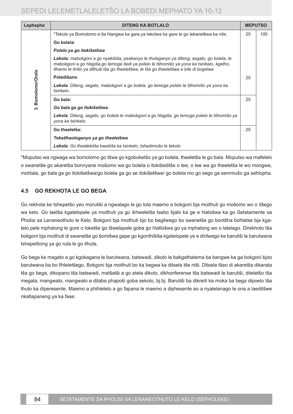| Lephephe       | <b>DITENG KA BOTLALO</b>                                                                                                                                                                                                                                                       |    | <b>MEPUTSO</b> |
|----------------|--------------------------------------------------------------------------------------------------------------------------------------------------------------------------------------------------------------------------------------------------------------------------------|----|----------------|
|                | *Tekolo ya Bomolomo e tla hlangwa ka gare,ya lekolwa ka gare le go lekanetšwa ka ntle.                                                                                                                                                                                         | 25 | 100            |
|                | Go bolela:                                                                                                                                                                                                                                                                     |    |                |
|                | Polelo ya go itokišetšwa                                                                                                                                                                                                                                                       |    |                |
|                | Lekola: mabokgoni a go nyakišiša, peakanyo le thulaganyo ya diteng, segalo, go bolela, le<br>mabokgoni a go hlagiša,go lemoga šedi ya polelo le tšhomišo ya yona ka tsinkelo, kgetho,<br>tlhamo le tirišo ya dithuši tša go theeletšwa, le tša go theeletšwa e bile di bogelwa |    |                |
|                | Poledišano                                                                                                                                                                                                                                                                     | 25 |                |
| Bomolomo/Orale | Lekola: Diteng, segalo, mabokgoni a go bolela, go lemoga polelo le tšhomišo ya yona ka<br>tsinkelo.                                                                                                                                                                            |    |                |
|                | Go bala:                                                                                                                                                                                                                                                                       | 25 |                |
| က              | Go bala ga go itokišetšwa                                                                                                                                                                                                                                                      |    |                |
|                | Lekola: Diteng, segalo, go bolela le mabokgoni a go hlagiša, go lemoga polelo le tšhomišo ya<br>yona ka tsinkelo.                                                                                                                                                              |    |                |
|                | Go theeletša:                                                                                                                                                                                                                                                                  | 25 |                |
|                | Tekatlhaologanyo ya go theeletšwa                                                                                                                                                                                                                                              |    |                |
|                | Lekola: Go theeleletša kwešiša ka tsinkelo, tshedimošo le tekolo                                                                                                                                                                                                               |    |                |

\*Moputso wa ngwaga wa bomolomo go tšwa go kgoboketšo ya go bolela, theeletša le go bala. Moputso wa mafelelo o swanetše go akaretša bonnyane mošomo wa go bolela o itokišeditše o tee, o tee wa go theeletša le wo mongwe, mohlala, go bala ga go itokišetšwa/go bolela ga go se itokišetšwe/ go bolela mo go sego ga semmušo ga sehlopha.

### **4.5 GO ReKHoTA LE gO BegA**

Go rekhota ke tshepetšo yeo morutiši a ngwalago le go lota maemo a bokgoni bja moithuti go mošomo wo o itšego wa kelo. Go laetša kgatelopele ya moithuti ya go ikhweletša tsebo bjalo ka ge e hlalošwa ka go Setatamente sa Pholisi sa Lenaneothuto le Kelo. Bokgoni bja moithuti bjo bo begilwego bo swanetše go bontšha bohlatse bja kgatelo pele mphatong le gore o loketše go tšwelapele goba go hlatlošwa go ya mphatong wo o latelago. Direkhoto tša bokgoni bja moithuti di swanetše go šomišwa gape go kgonthišiša kgatelopele ye e dirilwego ke barutiši le barutwana tshepetšong ya go ruta le go ithuta.

Go bega ke magato a go kgokagana le barutwana, batswadi, dikolo le bakgathatema ba bangwe ka ga bokgoni bjoo barutwana ba bo fihleletšego. Bokgoni bja moithuti bo ka begwa ka ditsela tše ntši. Ditsela tšeo di akaretša dikarata tša go bega, dikopano tša batswadi, matšatši a go etela dikolo, dikhonferense tša batswadi le barutiši, diteletšo tša megala, mangwalo, mangwalo a ditaba phapoši goba sekolo, bj.bj. Barutiši ba dikreiti ka moka ba bega dipoelo tša thuto ka diperesente. Maemo a phihlelelo a go fapana le maemo a diphesente ao a nyalelanago le ona a laeditšwe nkatlapaneng ya ka fase: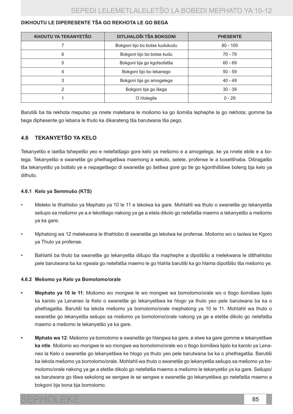### **DIKHOUTU LE DIPERESENTE TŠA GO REKHOTA LE GO BEGA**

| KHOUTU YA TEKANYETŠO | <b>DITLHALOŠI TŠA BOKGONI</b> | <b>PHESENTE</b> |
|----------------------|-------------------------------|-----------------|
|                      | Bokgoni bjo bo botse kudukudu | $80 - 100$      |
| 6                    | Bokgoni bjo bo botse kudu     | 70 - 79         |
| 5                    | Bokgoni bja go kgotsofatša    | $60 - 69$       |
| 4                    | Bokgoni bjo bo lekanego       | $50 - 59$       |
| 3                    | Bokgoni bja go amogelega      | $40 - 49$       |
| $\mathcal{P}$        | Bokgoni bja go išega          | $30 - 39$       |
|                      | O hlolegile                   | $0 - 29$        |

Barutiši ba tla rekhota meputso ya nnete malebana le mošomo ka go šomiša lephephe la go rekhota; gomme ba bega diphesente go lebana le thuto ka dikarateng tša barutwana tša pego.

### **4.6 TEKANYETŠO YA KELO**

Tekanyetšo e laetša tshepetšo yeo e netefatšago gore kelo ya mešomo e a amogelega, ke ya nnete ebile e a botega. Tekanyetšo e swanetše go phethagatšwa maemong a sekolo, selete, profense le a bosetšhaba. Ditiragatšo tša tekanyetšo ya botlalo ye e nepagetšego di swanetše go šetšwa gore go tle go kgonthišišwe boleng bja kelo ya dithuto.

### **4.6.1 Kelo ya Semmušo (KTS)**

- Meleko le tlhahlobo ya Mephato ya 10 le 11 e lekolwa ka gare. Mohlahli wa thuto o swanetše go lekanyetša sešupo sa mešomo ye a e lekotšego nakong ya ge a etela dikolo go netefatša maemo a tekanyetšo a mešomo ya ka gare.
- Mphatong wa 12 melekwana le tlhahlobo di swanetše go lekolwa ke profense. Mošomo wo o laolwa ke Kgoro ya Thuto ya profense.
- Bahlahli ba thuto ba swanetše go lekanyetša dišupo tša maphephe a dipotšišo a melekwana le ditlhahlobo pele barutwana ba ka ngwala go netefatša maemo le go hlahla barutiši ka go hlama dipotšišo tša mešomo ye.

### **4.6.2 Mešomo ya Kelo ya Bomolomo/orale**

- **Mephato ya 10 le 11**: Mošomo wo mongwe le wo mongwe wa bomolomo/orale wo o tlogo šomišwa bjalo ka karolo ya Lenaneo la Kelo o swanetše go lekanyetšwa ke hlogo ya thuto yeo pele barutwana ba ka o phethagatša. Barutiši ba lekola mešomo ya bomolomo/orale mephatong ya 10 le 11. Mohlahli wa thuto o swanetše go lekanyetša sešupo sa mešomo ya bomolomo/orale nakong ya ge a etetše dikolo go netefatša maemo a mešomo le tekanyetšo ya ka gare.
- **• Mphato wa 12**: Mešomo ya bomolomo e swanetše go hlangwa ka gare, e elwe ka gare gomme e lekanyetšwe **ka ntle**. Mošomo wo mongwe le wo mongwe wa bomolomo/orale wo o tlogo šomišwa bjalo ka karolo ya Lenaneo la Kelo o swanetše go lekanyetšwa ke hlogo ya thuto yeo pele barutwana ba ka o phethagatša. Barutiši ba lekola mešomo ya bomolomo/orale. Mohlahli wa thuto o swanetše go lekanyetša sešupo sa mešomo ya bomolomo/orale nakong ya ge a etetše dikolo go netefatša maemo a mešomo le tekanyetšo ya ka gare. Sešupo/ sa barutwana go tšwa sekolong se sengwe le se sengwe e swanetše go lekanyetšwa go netefatša maemo a bokgoni bja bona bja bomolomo.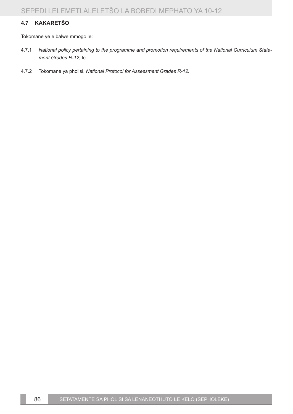### **4.7 KAKARETŠO**

Tokomane ye e balwe mmogo le:

- 4.7.1 *National policy pertaining to the programme and promotion requirements of the National Curriculum Statement Grades R-12*; le
- 4.7.2 Tokomane ya pholisi, *National Protocol for Assessment Grades R-12.*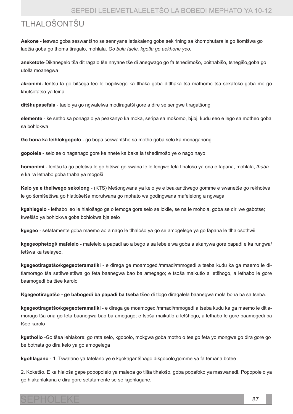# TLHALOŠONTŠU

**Aekone** - leswao goba seswantšho se sennyane letlakaleng goba sekirining sa khomphutara la go šomišwa go laetša goba go thoma tiragalo, mohlala. *Go bula faele, kgotla go aekhone yeo.*

**aneketote**-Dikanegelo tša ditiragalo tše nnyane tše di anegwago go fa tshedimošo, boithabišo, tshegišo,goba go utolla moanegwa

**akronimi-** lentšu la go bitšega leo le bopilwego ka tlhaka goba ditlhaka tša mathomo tša sekafoko goba mo go khutšofatšo ya leina

**ditšhupasefala** - taelo ya go ngwalelwa modiragatši gore a dire se sengwe tiragatšong

**elemente** - ke setho sa ponagalo ya peakanyo ka moka, seripa sa mošomo, bj.bj. kudu seo e lego sa motheo goba sa bohlokwa

**Go bona ka leihlokgopolo** - go bopa seswantšho sa motho goba selo ka monaganong

**gopolela** - selo se o naganago gore ke nnete ka baka la tshedimošo ye o nago nayo

**homonimi** - lentšu la go peletwa le go bitšwa go swana le le lengwe fela tlhalošo ya ona e fapana, mohlala, *thaba* e ka ra lethabo goba thaba ya mogoši

**Kelo ye e theilwego sekolong** - (KTS) Mešongwana ya kelo ye e beakantšwego gomme e swanetše go rekhotwa le go šomišetšwa go hlatlošetša morutwana go mphato wa godingwana mafelelong a ngwaga

**kgahlegelo** - lethabo leo le hlalošago ge o lemoga gore selo se lokile, se na le mohola, goba se dirilwe gabotse; kwešišo ya bohlokwa goba bohlokwa bja selo

**kgegeo** - setatamente goba maemo ao a nago le tlhalošo ya go se amogelege ya go fapana le tlhalošothwii

**kgegeophetogi/ mafelelo -** mafelelo a papadi ao a bego a sa lebelelwa goba a akanywa gore papadi e ka rungwa/ fetšwa ka tselayeo.

**kgegeotiragatšo/kgegeoteramatiki** - e direga ge moamogedi/mmadi/mmogedi a tseba kudu ka ga maemo le ditlamorago tša setšweletšwa go feta baanegwa bao ba amegago; e tsoša maikutlo a letšhogo, a lethabo le gore baamogedi ba tšee karolo

**Kgegeotiragatšo - ge babogedi ba papadi ba tseba t**šeo di tlogo diragalela baanegwa mola bona ba sa tseba.

**kgegeotiragatšo/kgegeoteramatiki** - e direga ge moamogedi/mmadi/mmogedi a tseba kudu ka ga maemo le ditlamorago tša ona go feta baanegwa bao ba amegago; e tsoša maikutlo a letšhogo, a lethabo le gore baamogedi ba tšee karolo

**kgethollo** -Go tšea lehlakore; go rata selo, kgopolo, mokgwa goba motho o tee go feta yo mongwe go dira gore go be bothata go dira kelo ya go amogelega

**kgohlagano** - 1. Tswalano ya tatelano ye e kgokagantšhago dikgopolo,gomme ya fa temana botee

2. Koketšo. E ka hlaloša gape popopolelo ya maleba go tliša tlhalošo, goba popafoko ya maswanedi. Popopolelo ya go hlakahlakana e dira gore setatamente se se kgohlagane.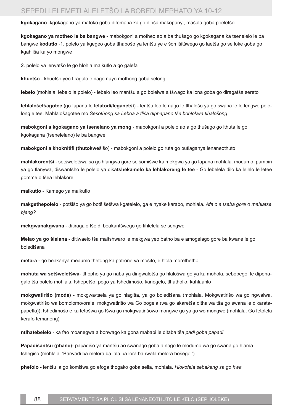**kgokagano** -kgokagano ya mafoko goba ditemana ka go diriša makopanyi, mašala goba poeletšo*.*

**kgokagano ya motheo le ba bangwe** - mabokgoni a motheo ao a ba thušago go kgokagana ka tsenelelo le ba bangwe **kodutlo** -1. polelo ya kgegeo goba tlhabošo ya lentšu ye e šomišitšwego go laetša go se loke goba go kgahliša ka yo mongwe

2. polelo ya lenyatšo le go hlohla maikutlo a go galefa

**khuetšo** - khuetšo yeo tiragalo e nago nayo mothong goba selong

**lebelo** (mohlala. lebelo la polelo) - lebelo leo mantšu a go bolelwa a tšwago ka lona goba go diragatša sereto

**lehlalošetšagotee** (go fapana le **lelatodi/leganetši**) - lentšu leo le nago le tlhalošo ya go swana le le lengwe polelong e tee. Mahlalošagotee mo *Sesothong sa Leboa a tliša diphapano tše bohlokwa tlhalošong*

**mabokgoni a kgokagano ya tsenelano ya mong** - mabokgoni a polelo ao a go thušago go ithuta le go kgokagana (tsenelelano) le ba bangwe

**mabokgoni a khoknitifi (thutokwe**šišo) - mabokgoni a polelo go ruta go putlaganya lenaneothuto

**mahlakorentši** - setšweletšwa sa go hlangwa gore se šomišwe ka mekgwa ya go fapana mohlala. modumo, pampiri ya go tlanywa, diswantšho le polelo ya dika**tshekamelo ka lehlakoreng le tee** - Go lebelela dilo ka leihlo le letee gomme o tšea lehlakore

**maikutlo** - Kamego ya maikutlo

**makgethepolelo** - potšišo ya go botšišetšwa kgatelelo, ga e nyake karabo, mohlala. *Afa o a tseba gore o mahlatse bjang?*

**mekgwanakgwana** - ditiragalo tše di beakantšwego go fihlelela se sengwe

**Melao ya go šielana** - ditlwaelo tša maitshwaro le mekgwa yeo batho ba e amogelago gore ba kwane le go boledišana

**metara** - go beakanya medumo thetong ka patrone ya mošito, e hlola morethetho

**mohuta wa setšweletšwa**- tlhopho ya go naba ya dingwalotša go hlalošwa go ya ka mohola, sebopego, le diponagalo tša polelo mohlala. tshepetšo, pego ya tshedimošo, kanegelo, tlhathollo, kahlaahlo

**mokgwatirišo (mode)** - mokgwa/tsela ya go hlagiša, ya go boledišana (mohlala. Mokgwatirišo wa go ngwalwa, mokgwatirišo wa bomolomo/orale, mokgwatirišo wa Go bogela (wa go akaretša dithalwa tša go swana le dikaratapapetla)); tshedimošo e ka fetošwa go tšwa go mokgwatirišowo mongwe go ya go wo mongwe (mohlala. Go fetolela kerafo temaneng)

**ntlhatebelelo** - ka fao moanegwa a bonwago ka gona mabapi le ditaba tša *padi goba papadi*

**Papadišantšu (phane)**- papadišo ya mantšu ao swanago goba a nago le modumo wa go swana go hlama tshegišo (mohlala. 'Barwadi ba melora ba lala ba lora ba rwala melora bošego.')*.*

**phefolo** - lentšu la go šomišwa go efoga thogako goba seila, mohlala. *Hlokofala sebakeng sa go hwa*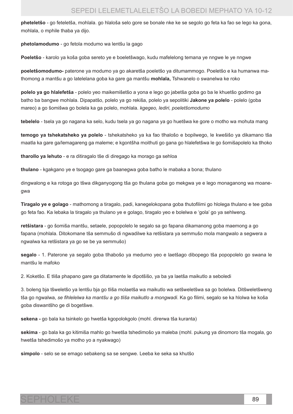**pheteletšo** - go feteletša, mohlala. go hlaloša selo gore se bonale nke ke se segolo go feta ka fao se lego ka gona, mohlala, o mphile thaba ya dijo.

**phetolamodumo** - go fetola modumo wa lentšu la gago

**Poeletšo** - karolo ya koša goba sereto ye e boeletšwago, kudu mafelelong temana ye nngwe le ye nngwe

**poeletšomodumo-** paterone ya modumo ya go akaretša poeletšo ya ditumammogo. Poeletšo e ka humanwa mathomong a mantšu a go latelelana goba ka gare ga mantšu **mohlala,** Tshwanelo o swanelwa ke roko

**polelo ya go hlalefetša** - polelo yeo maikemišetšo a yona e lego go jabetša goba go ba le khuetšo godimo ga batho ba bangwe mohlala. Dipapatšo, polelo ya go rekiša, polelo ya sepolitiki **Jakone ya polelo** - polelo (goba mareo) a go šomišwa go bolela ka ga polelo, mohlala. *kgegeo, lediri, poeletšomodumo*

**tebelelo** - tsela ya go nagana ka selo, kudu tsela ya go nagana ya go huetšwa ke gore o motho wa mohuta mang

**temogo ya tshekatsheko ya polelo** - tshekatsheko ya ka fao tlhalošo e bopilwego, le kwešišo ya dikamano tša maatla ka gare ga/lemagareng ga maleme; e kgontšha moithuti go gana go hlalefetšwa le go šomišapolelo ka tlhoko

**tharollo ya lehuto** - e ra ditiragalo tše di diregago ka morago ga sehloa

**thulano** - kgakgano ye e tsogago gare ga baanegwa goba batho le mabaka a bona; thulano

dingwalong e ka rotoga go tšwa dikganyogong tša go thulana goba go mekgwa ye e lego monaganong wa moanegwa

**Tiragalo ye e golago** - mathomong a tiragalo, padi, kanegelokopana goba thutofilimi go hlolega thulano e tee goba go feta fao. Ka lebaka la tiragalo ya thulano ye e golago, tiragalo yeo e bolelwa e 'gola' go ya sehlweng.

**retšistara** - go šomiša mantšu, setaele, popopolelo le segalo sa go fapana dikamanong goba maemong a go fapana (mohlala. Ditokomane tša semmušo di ngwadilwe ka retšistara ya semmušo mola mangwalo a segwera a ngwalwa ka retšistara ya go se be ya semmušo)

**segalo** - 1. Paterone ya segalo goba tlhabošo ya medumo yeo e laetšago dibopego tša popopolelo go swana le mantšu le mafoko

2. Koketšo. E tliša phapano gare ga ditatamente le dipotšišo, ya ba ya laetša maikutlo a seboledi

3. boleng bja tšweletšo ya lentšu bja go tliša molaetša wa maikutlo wa setšweletšwa sa go bolelwa. Ditšweletšweng tša go ngwalwa, *se fihlelelwa ka mantšu a go tliša maikutlo a mongwadi*. Ka go filimi, segalo se ka hlolwa ke koša goba diswantšho ge di bogetšwe.

**sekena -** go bala ka tsinkelo go hwetša kgopolokgolo (mohl. direrwa tša kuranta)

**sekima** - go bala ka go kitimiša mahlo go hwetša tshedimošo ya maleba (mohl. pukung ya dinomoro tša mogala, go hwetša tshedimošo ya motho yo a nyakwago)

**simpolo** - selo se se emago sebakeng sa se sengwe. Leeba ke seka sa khutšo